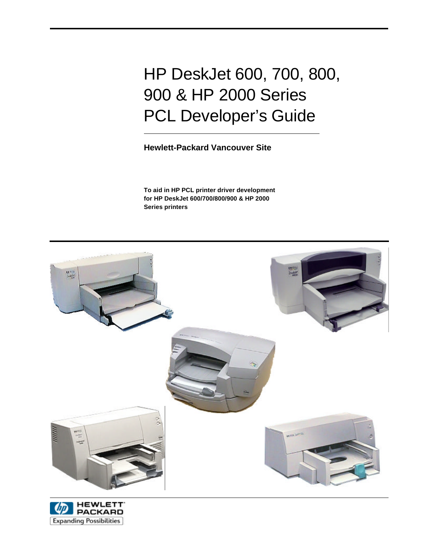# HP DeskJet 600, 700, 800, 900 & HP 2000 Series PCL Developer's Guide

# **Hewlett-Packard Vancouver Site**

**To aid in HP PCL printer driver development for HP DeskJet 600/700/800/900 & HP 2000 Series printers**



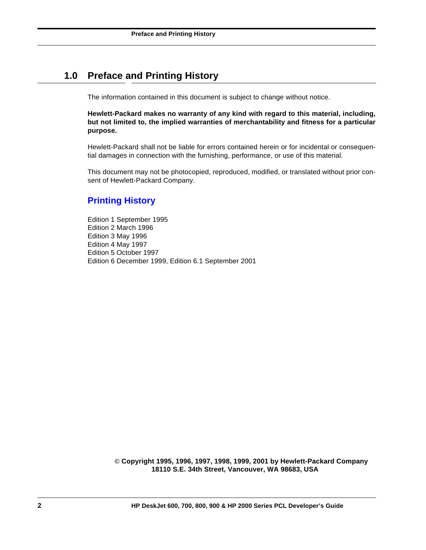# **1.0 Preface and Printing History**

The information contained in this document is subject to change without notice.

**Hewlett-Packard makes no warranty of any kind with regard to this material, including, but not limited to, the implied warranties of merchantability and fitness for a particular purpose.**

Hewlett-Packard shall not be liable for errors contained herein or for incidental or consequential damages in connection with the furnishing, performance, or use of this material.

This document may not be photocopied, reproduced, modified, or translated without prior consent of Hewlett-Packard Company.

# **Printing History**

Edition 1 September 1995 Edition 2 March 1996 Edition 3 May 1996 Edition 4 May 1997 Edition 5 October 1997 Edition 6 December 1999, Edition 6.1 September 2001

> **© Copyright 1995, 1996, 1997, 1998, 1999, 2001 by Hewlett-Packard Company 18110 S.E. 34th Street, Vancouver, WA 98683, USA**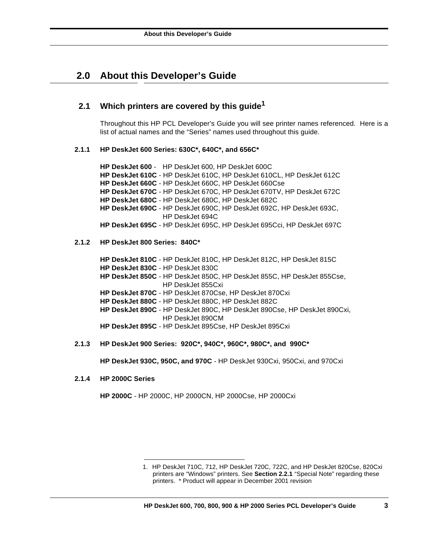# **2.0 About this Developer's Guide**

### **2.1 Which printers are covered by this guide1**

Throughout this HP PCL Developer's Guide you will see printer names referenced. Here is a list of actual names and the "Series" names used throughout this guide.

#### **2.1.1 HP DeskJet 600 Series: 630C\*, 640C\*, and 656C\***

**HP DeskJet 600** - HP DeskJet 600, HP DeskJet 600C **HP DeskJet 610C** - HP DeskJet 610C, HP DeskJet 610CL, HP DeskJet 612C **HP DeskJet 660C** - HP DeskJet 660C, HP DeskJet 660Cse **HP DeskJet 670C** - HP DeskJet 670C, HP DeskJet 670TV, HP DeskJet 672C **HP DeskJet 680C** - HP DeskJet 680C, HP DeskJet 682C **HP DeskJet 690C** - HP DeskJet 690C, HP DeskJet 692C, HP DeskJet 693C, HP DeskJet 694C **HP DeskJet 695C** - HP DeskJet 695C, HP DeskJet 695Cci, HP DeskJet 697C

### **2.1.2 HP DeskJet 800 Series: 840C\***

**HP DeskJet 810C** - HP DeskJet 810C, HP DeskJet 812C, HP DeskJet 815C **HP DeskJet 830C** - HP DeskJet 830C **HP DeskJet 850C** - HP DeskJet 850C, HP DeskJet 855C, HP DeskJet 855Cse, HP DeskJet 855Cxi **HP DeskJet 870C** - HP DeskJet 870Cse, HP DeskJet 870Cxi **HP DeskJet 880C** - HP DeskJet 880C, HP DeskJet 882C **HP DeskJet 890C** - HP DeskJet 890C, HP DeskJet 890Cse, HP DeskJet 890Cxi, HP DeskJet 890CM **HP DeskJet 895C** - HP DeskJet 895Cse, HP DeskJet 895Cxi

**2.1.3 HP DeskJet 900 Series: 920C\*, 940C\*, 960C\*, 980C\*, and 990C\***

**HP DeskJet 930C, 950C, and 970C** - HP DeskJet 930Cxi, 950Cxi, and 970Cxi

**2.1.4 HP 2000C Series**

**HP 2000C** - HP 2000C, HP 2000CN, HP 2000Cse, HP 2000Cxi

<sup>1.</sup> HP DeskJet 710C, 712, HP DeskJet 720C, 722C, and HP DeskJet 820Cse, 820Cxi printers are "Windows" printers. See **Section 2.2.1** "Special Note" regarding these printers. \* Product will appear in December 2001 revision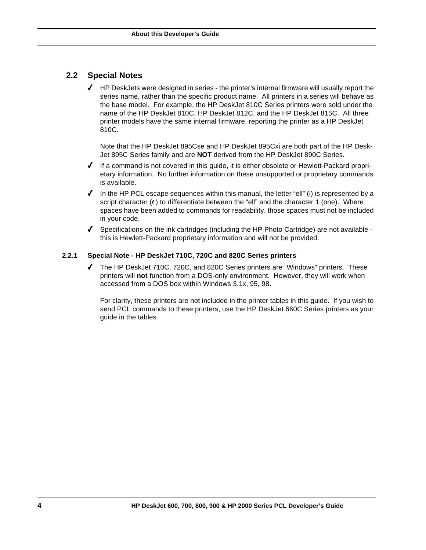# **2.2 Special Notes**

 $\blacklozenge$  HP DeskJets were designed in series - the printer's internal firmware will usually report the series name, rather than the specific product name. All printers in a series will behave as the base model. For example, the HP DeskJet 810C Series printers were sold under the name of the HP DeskJet 810C, HP DeskJet 812C, and the HP DeskJet 815C. All three printer models have the same internal firmware, reporting the printer as a HP DeskJet 810C.

Note that the HP DeskJet 895Cse and HP DeskJet 895Cxi are both part of the HP Desk-Jet 895C Series family and are **NOT** derived from the HP DeskJet 890C Series.

- $\blacklozenge$  If a command is not covered in this guide, it is either obsolete or Hewlett-Packard proprietary information. No further information on these unsupported or proprietary commands is available.
- $\blacklozenge$  In the HP PCL escape sequences within this manual, the letter "ell" (I) is represented by a script character  $(\ell)$  to differentiate between the "ell" and the character 1 (one). Where spaces have been added to commands for readability, those spaces must not be included in your code.
- $\blacklozenge$  Specifications on the ink cartridges (including the HP Photo Cartridge) are not available this is Hewlett-Packard proprietary information and will not be provided.

### **2.2.1 Special Note - HP DeskJet 710C, 720C and 820C Series printers**

4 The HP DeskJet 710C, 720C, and 820C Series printers are "Windows" printers. These printers will **not** function from a DOS-only environment. However, they will work when accessed from a DOS box within Windows 3.1x, 95, 98.

For clarity, these printers are not included in the printer tables in this guide. If you wish to send PCL commands to these printers, use the HP DeskJet 660C Series printers as your guide in the tables.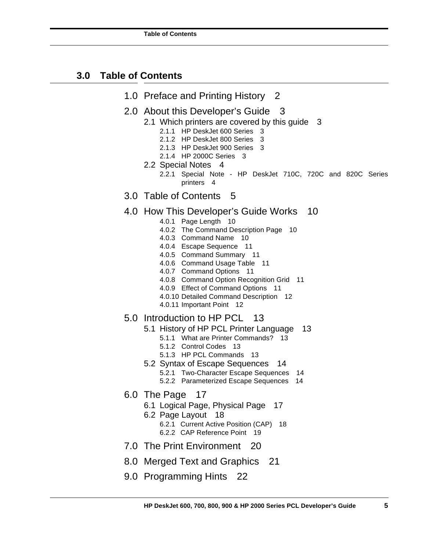# **3.0 Table of Contents**

- 1.0 Preface and Printing History 2
- 2.0 About this Developer's Guide 3
	- 2.1 Which printers are covered by this guide 3
		- 2.1.1 HP DeskJet 600 Series 3
		- 2.1.2 HP DeskJet 800 Series 3
		- 2.1.3 HP DeskJet 900 Series 3
		- 2.1.4 HP 2000C Series 3
		- 2.2 Special Notes 4
			- 2.2.1 Special Note HP DeskJet 710C, 720C and 820C Series printers 4
- 3.0 Table of Contents 5

# 4.0 How This Developer's Guide Works 10

- 4.0.1 Page Length 10
- 4.0.2 The Command Description Page 10
- 4.0.3 Command Name 10
- 4.0.4 Escape Sequence 11
- 4.0.5 Command Summary 11
- 4.0.6 Command Usage Table 11
- 4.0.7 Command Options 11
- 4.0.8 Command Option Recognition Grid 11
- 4.0.9 Effect of Command Options 11
- 4.0.10 Detailed Command Description 12
- 4.0.11 Important Point 12

### 5.0 Introduction to HP PCL 13

- 5.1 History of HP PCL Printer Language 13
	- 5.1.1 What are Printer Commands? 13
	- 5.1.2 Control Codes 13
	- 5.1.3 HP PCL Commands 13
- 5.2 Syntax of Escape Sequences 14
	- 5.2.1 Two-Character Escape Sequences 14 5.2.2 Parameterized Escape Sequences 14
- 6.0 The Page 17
	- 6.1 Logical Page, Physical Page 17
	- 6.2 Page Layout 18
		- 6.2.1 Current Active Position (CAP) 18 6.2.2 CAP Reference Point 19
- 7.0 The Print Environment 20
- 8.0 Merged Text and Graphics 21
- 9.0 Programming Hints 22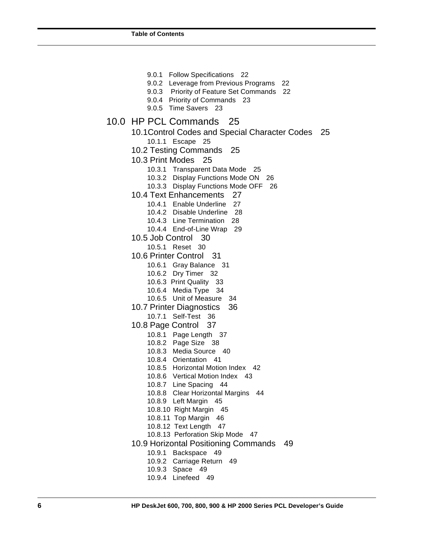9.0.1 Follow Specifications 22 9.0.2 Leverage from Previous Programs 22 9.0.3 Priority of Feature Set Commands 22 9.0.4 Priority of Commands 23 9.0.5 Time Savers 23 10.0 HP PCL Commands 25 10.1 Control Codes and Special Character Codes 25 10.1.1 Escape 25 10.2 Testing Commands 25 10.3 Print Modes 25 10.3.1 Transparent Data Mode 25 10.3.2 Display Functions Mode ON 26 10.3.3 Display Functions Mode OFF 26 10.4 Text Enhancements 27 10.4.1 Enable Underline 27 10.4.2 Disable Underline 28 10.4.3 Line Termination 28 10.4.4 End-of-Line Wrap 29 10.5 Job Control 30 10.5.1 Reset 30 10.6 Printer Control 31 10.6.1 Gray Balance 31 10.6.2 Dry Timer 32 10.6.3 Print Quality 33 10.6.4 Media Type 34 10.6.5 Unit of Measure 34 10.7 Printer Diagnostics 36 10.7.1 Self-Test 36 10.8 Page Control 37 10.8.1 Page Length 37 10.8.2 Page Size 38 10.8.3 Media Source 40 10.8.4 Orientation 41 10.8.5 Horizontal Motion Index 42 10.8.6 Vertical Motion Index 43 10.8.7 Line Spacing 44 10.8.8 Clear Horizontal Margins 44 10.8.9 Left Margin 45 10.8.10 Right Margin 45 10.8.11 Top Margin 46 10.8.12 Text Length 47 10.8.13 Perforation Skip Mode 47 10.9 Horizontal Positioning Commands 49 10.9.1 Backspace 49 10.9.2 Carriage Return 49 10.9.3 Space 49 10.9.4 Linefeed 49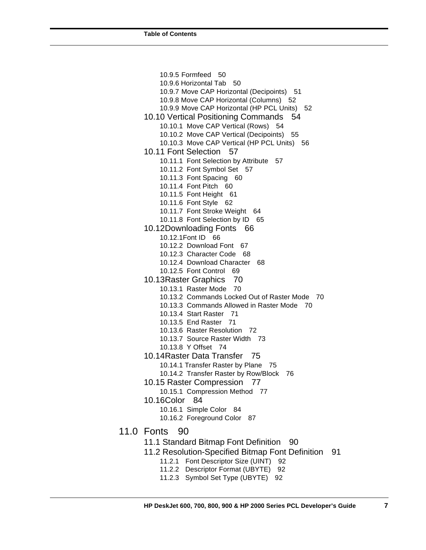10.9.5 Formfeed 50 10.9.6 Horizontal Tab 50 10.9.7 Move CAP Horizontal (Decipoints) 51 10.9.8 Move CAP Horizontal (Columns) 52 10.9.9 Move CAP Horizontal (HP PCL Units) 52 10.10 Vertical Positioning Commands 54 10.10.1 Move CAP Vertical (Rows) 54 10.10.2 Move CAP Vertical (Decipoints) 55 10.10.3 Move CAP Vertical (HP PCL Units) 56 10.11 Font Selection 57 10.11.1 Font Selection by Attribute 57 10.11.2 Font Symbol Set 57 10.11.3 Font Spacing 60 10.11.4 Font Pitch 60 10.11.5 Font Height 61 10.11.6 Font Style 62 10.11.7 Font Stroke Weight 64 10.11.8 Font Selection by ID 65 10.12 Downloading Fonts 66 10.12.1 Font ID 66 10.12.2 Download Font 67 10.12.3 Character Code 68 10.12.4 Download Character 68 10.12.5 Font Control 69 10.13 Raster Graphics 70 10.13.1 Raster Mode 70 10.13.2 Commands Locked Out of Raster Mode 70 10.13.3 Commands Allowed in Raster Mode 70 10.13.4 Start Raster 71 10.13.5 End Raster 71 10.13.6 Raster Resolution 72 10.13.7 Source Raster Width 73 10.13.8 Y Offset 74 10.14 Raster Data Transfer 75 10.14.1 Transfer Raster by Plane 75 10.14.2 Transfer Raster by Row/Block 76 10.15 Raster Compression 77 10.15.1 Compression Method 77 10.16Color 84 10.16.1 Simple Color 84 10.16.2 Foreground Color 87 11.0 Fonts 90 11.1 Standard Bitmap Font Definition 90 11.2 Resolution-Specified Bitmap Font Definition 91 11.2.1 Font Descriptor Size (UINT) 92

- 11.2.2 Descriptor Format (UBYTE) 92
- 11.2.3 Symbol Set Type (UBYTE) 92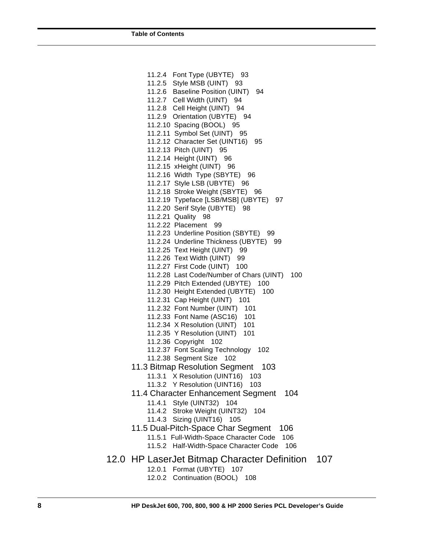11.2.4 Font Type (UBYTE) 93 11.2.5 Style MSB (UINT) 93 11.2.6 Baseline Position (UINT) 94 11.2.7 Cell Width (UINT) 94 11.2.8 Cell Height (UINT) 94 11.2.9 Orientation (UBYTE) 94 11.2.10 Spacing (BOOL) 95 11.2.11 Symbol Set (UINT) 95 11.2.12 Character Set (UINT16) 95 11.2.13 Pitch (UINT) 95 11.2.14 Height (UINT) 96 11.2.15 xHeight (UINT) 96 11.2.16 Width Type (SBYTE) 96 11.2.17 Style LSB (UBYTE) 96 11.2.18 Stroke Weight (SBYTE) 96 11.2.19 Typeface [LSB/MSB] (UBYTE) 97 11.2.20 Serif Style (UBYTE) 98 11.2.21 Quality 98 11.2.22 Placement 99 11.2.23 Underline Position (SBYTE) 99 11.2.24 Underline Thickness (UBYTE) 99 11.2.25 Text Height (UINT) 99 11.2.26 Text Width (UINT) 99 11.2.27 First Code (UINT) 100 11.2.28 Last Code/Number of Chars (UINT) 100 11.2.29 Pitch Extended (UBYTE) 100 11.2.30 Height Extended (UBYTE) 100 11.2.31 Cap Height (UINT) 101 11.2.32 Font Number (UINT) 101 11.2.33 Font Name (ASC16) 101 11.2.34 X Resolution (UINT) 101 11.2.35 Y Resolution (UINT) 101 11.2.36 Copyright 102 11.2.37 Font Scaling Technology 102 11.2.38 Segment Size 102 11.3 Bitmap Resolution Segment 103 11.3.1 X Resolution (UINT16) 103 11.3.2 Y Resolution (UINT16) 103 11.4 Character Enhancement Segment 104 11.4.1 Style (UINT32) 104 11.4.2 Stroke Weight (UINT32) 104 11.4.3 Sizing (UINT16) 105 11.5 Dual-Pitch-Space Char Segment 106 11.5.1 Full-Width-Space Character Code 106 11.5.2 Half-Width-Space Character Code 106 12.0 HP LaserJet Bitmap Character Definition 107 12.0.1 Format (UBYTE) 107 12.0.2 Continuation (BOOL) 108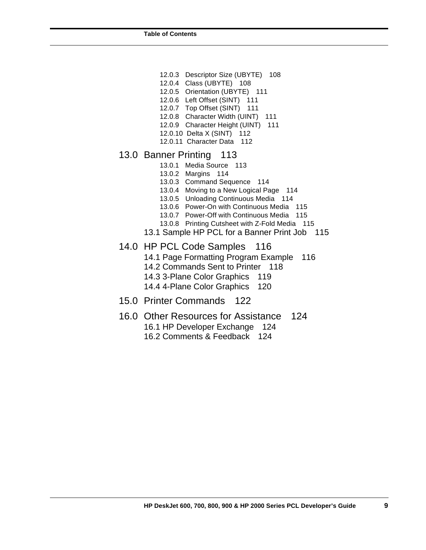- 12.0.3 Descriptor Size (UBYTE) 108
- 12.0.4 Class (UBYTE) 108
- 12.0.5 Orientation (UBYTE) 111
- 12.0.6 Left Offset (SINT) 111
- 12.0.7 Top Offset (SINT) 111
- 12.0.8 Character Width (UINT) 111 12.0.9 Character Height (UINT) 111
- 12.0.10 Delta X (SINT) 112
- 12.0.11 Character Data 112

# 13.0 Banner Printing 113

- 13.0.1 Media Source 113
- 13.0.2 Margins 114
- 13.0.3 Command Sequence 114
- 13.0.4 Moving to a New Logical Page 114
- 13.0.5 Unloading Continuous Media 114
- 13.0.6 Power-On with Continuous Media 115
- 13.0.7 Power-Off with Continuous Media 115
- 13.0.8 Printing Cutsheet with Z-Fold Media 115
- 13.1 Sample HP PCL for a Banner Print Job 115

# 14.0 HP PCL Code Samples 116

- 14.1 Page Formatting Program Example 116
- 14.2 Commands Sent to Printer 118
- 14.3 3-Plane Color Graphics 119
- 14.4 4-Plane Color Graphics 120
- 15.0 Printer Commands 122
- 16.0 Other Resources for Assistance 124

16.1 HP Developer Exchange 124

16.2 Comments & Feedback 124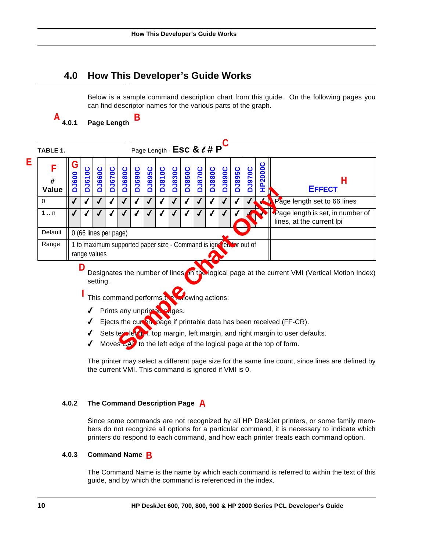# **4.0 How This Developer's Guide Works**

**B**

Below is a sample command description chart from this guide. On the following pages you can find descriptor names for the various parts of the graph.

**4.0.1 Page Length**  $A_{4.0.1}$ 

**E**

| TABLE 1.        |                       |                                                                                    |               |               |                                                                          |               |               | Page Length - ESC & $\ell$ # P |               |               |               |               |               |               |               |                |                                                                                                                                                                                                                                                                                                                                         |
|-----------------|-----------------------|------------------------------------------------------------------------------------|---------------|---------------|--------------------------------------------------------------------------|---------------|---------------|--------------------------------|---------------|---------------|---------------|---------------|---------------|---------------|---------------|----------------|-----------------------------------------------------------------------------------------------------------------------------------------------------------------------------------------------------------------------------------------------------------------------------------------------------------------------------------------|
| F<br>#<br>Value | G<br><b>DJ600</b>     | <b>DJ610C</b>                                                                      | <b>DJ660C</b> | <b>DJ670C</b> | <b>DJ680C</b>                                                            | <b>DJ690C</b> | <b>DJ695C</b> | <b>DJ810C</b>                  | <b>DJ830C</b> | <b>DJ850C</b> | <b>DJ870C</b> | <b>DJ880C</b> | <b>DJ890C</b> | <b>DJ895C</b> | <b>DJ970C</b> | <b>HP2000C</b> | Н<br><b>EFFECT</b>                                                                                                                                                                                                                                                                                                                      |
| 0               |                       |                                                                                    |               |               |                                                                          |               |               |                                |               |               |               |               |               |               |               |                | Page length set to 66 lines                                                                                                                                                                                                                                                                                                             |
| $1 \dots n$     |                       |                                                                                    |               |               |                                                                          |               |               |                                |               |               |               |               |               |               |               |                | Page length is set, in number of<br>lines, at the current lpi                                                                                                                                                                                                                                                                           |
| Default         | 0 (66 lines per page) |                                                                                    |               |               |                                                                          |               |               |                                |               |               |               |               |               |               |               |                |                                                                                                                                                                                                                                                                                                                                         |
| Range           |                       | 1 to maximum supported paper size - Command is ignores. for out of<br>range values |               |               |                                                                          |               |               |                                |               |               |               |               |               |               |               |                |                                                                                                                                                                                                                                                                                                                                         |
|                 |                       | D                                                                                  | setting.      |               | This command performs the mowing actions:<br>Prints any unprinted pages. |               |               |                                |               |               |               |               |               |               |               |                | Designates the number of lines on the logical page at the current VMI (Vertical Motion Index)<br>Ejects the curvan page if printable data has been received (FF-CR).<br>Sets textlength, top margin, left margin, and right margin to user defaults.<br>Moves $\mathbb{C}^{A}$ to the left edge of the logical page at the top of form. |

- $\sqrt{ }$  Prints any unprint
- $\blacklozenge$  Ejects the curvation page if printable data has been received (FF-CR).
- $\sqrt{\phantom{a}}$  Sets text length, top margin, left margin, and right margin to user defaults.
- $\sqrt{ }$  Moves  $\overline{c}$  to the left edge of the logical page at the top of form.

The printer may select a different page size for the same line count, since lines are defined by the current VMI. This command is ignored if VMI is 0.

### **4.0.2 The Command Description Page A**

Since some commands are not recognized by all HP DeskJet printers, or some family members do not recognize all options for a particular command, it is necessary to indicate which printers do respond to each command, and how each printer treats each command option.

# **4.0.3 Command Name B**

The Command Name is the name by which each command is referred to within the text of this guide, and by which the command is referenced in the index.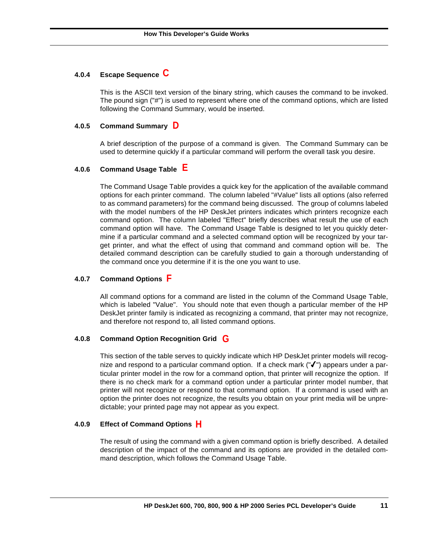# **4.0.4 Escape Sequence C**

This is the ASCII text version of the binary string, which causes the command to be invoked. The pound sign ("#") is used to represent where one of the command options, which are listed following the Command Summary, would be inserted.

### **4.0.5 Command Summary D**

A brief description of the purpose of a command is given. The Command Summary can be used to determine quickly if a particular command will perform the overall task you desire.

### **4.0.6 Command Usage Table E**

The Command Usage Table provides a quick key for the application of the available command options for each printer command. The column labeled "#Value" lists all options (also referred to as command parameters) for the command being discussed. The group of columns labeled with the model numbers of the HP DeskJet printers indicates which printers recognize each command option. The column labeled "Effect" briefly describes what result the use of each command option will have. The Command Usage Table is designed to let you quickly determine if a particular command and a selected command option will be recognized by your target printer, and what the effect of using that command and command option will be. The detailed command description can be carefully studied to gain a thorough understanding of the command once you determine if it is the one you want to use.

### **4.0.7 Command Options F**

All command options for a command are listed in the column of the Command Usage Table, which is labeled "Value". You should note that even though a particular member of the HP DeskJet printer family is indicated as recognizing a command, that printer may not recognize, and therefore not respond to, all listed command options.

### **4.0.8 Command Option Recognition Grid G**

This section of the table serves to quickly indicate which HP DeskJet printer models will recognize and respond to a particular command option. If a check mark ( $\mathbb{V}$ ") appears under a particular printer model in the row for a command option, that printer will recognize the option. If there is no check mark for a command option under a particular printer model number, that printer will not recognize or respond to that command option. If a command is used with an option the printer does not recognize, the results you obtain on your print media will be unpredictable; your printed page may not appear as you expect.

### **4.0.9 Effect of Command Options H**

The result of using the command with a given command option is briefly described. A detailed description of the impact of the command and its options are provided in the detailed command description, which follows the Command Usage Table.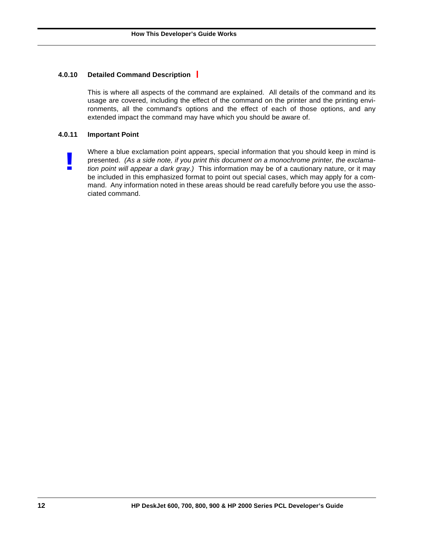### **4.0.10 Detailed Command Description I**

This is where all aspects of the command are explained. All details of the command and its usage are covered, including the effect of the command on the printer and the printing environments, all the command's options and the effect of each of those options, and any extended impact the command may have which you should be aware of.

### **4.0.11 Important Point**

**!**

Where a blue exclamation point appears, special information that you should keep in mind is presented. *(As a side note, if you print this document on a monochrome printer, the exclamation point will appear a dark gray.)* This information may be of a cautionary nature, or it may be included in this emphasized format to point out special cases, which may apply for a command. Any information noted in these areas should be read carefully before you use the associated command.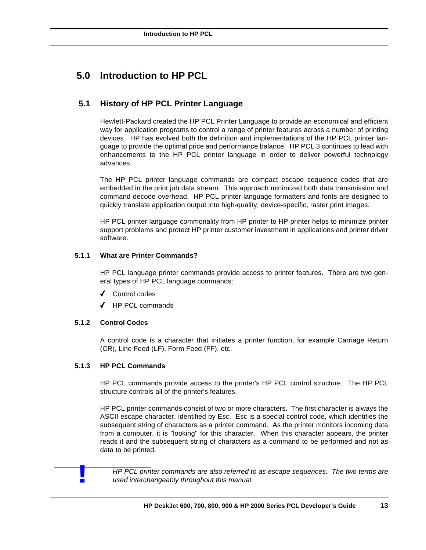# **5.0 Introduction to HP PCL**

# **5.1 History of HP PCL Printer Language**

Hewlett-Packard created the HP PCL Printer Language to provide an economical and efficient way for application programs to control a range of printer features across a number of printing devices. HP has evolved both the definition and implementations of the HP PCL printer language to provide the optimal price and performance balance. HP PCL 3 continues to lead with enhancements to the HP PCL printer language in order to deliver powerful technology advances.

The HP PCL printer language commands are compact escape sequence codes that are embedded in the print job data stream. This approach minimized both data transmission and command decode overhead. HP PCL printer language formatters and fonts are designed to quickly translate application output into high-quality, device-specific, raster print images.

HP PCL printer language commonality from HP printer to HP printer helps to minimize printer support problems and protect HP printer customer investment in applications and printer driver software.

### **5.1.1 What are Printer Commands?**

HP PCL language printer commands provide access to printer features. There are two general types of HP PCL language commands:

- 4 Control codes
- 4 HP PCL commands

### **5.1.2 Control Codes**

A control code is a character that initiates a printer function, for example Carriage Return (CR), Line Feed (LF), Form Feed (FF), etc.

### **5.1.3 HP PCL Commands**

HP PCL commands provide access to the printer's HP PCL control structure. The HP PCL structure controls all of the printer's features.

HP PCL printer commands consist of two or more characters. The first character is always the ASCII escape character, identified by Esc. Esc is a special control code, which identifies the subsequent string of characters as a printer command. As the printer monitors incoming data from a computer, it is "looking" for this character. When this character appears, the printer reads it and the subsequent string of characters as a command to be performed and not as data to be printed.

*HP PCL printer commands are also referred to as escape sequences. The two terms are* **!** *used interchangeably throughout this manual.*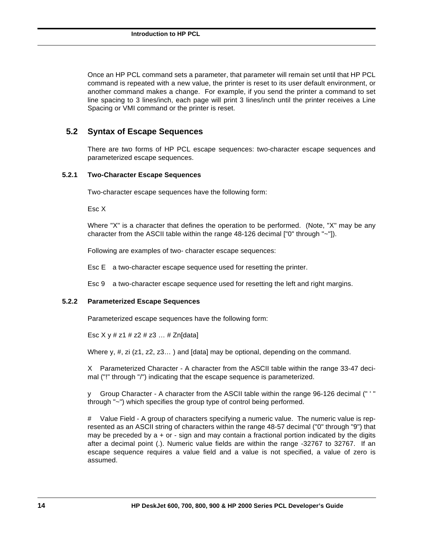Once an HP PCL command sets a parameter, that parameter will remain set until that HP PCL command is repeated with a new value, the printer is reset to its user default environment, or another command makes a change. For example, if you send the printer a command to set line spacing to 3 lines/inch, each page will print 3 lines/inch until the printer receives a Line Spacing or VMI command or the printer is reset.

# **5.2 Syntax of Escape Sequences**

There are two forms of HP PCL escape sequences: two-character escape sequences and parameterized escape sequences.

### **5.2.1 Two-Character Escape Sequences**

Two-character escape sequences have the following form:

Esc X

Where "X" is a character that defines the operation to be performed. (Note, "X" may be any character from the ASCII table within the range  $48-126$  decimal  $[°0"$  through  $"~0"$ ]).

Following are examples of two- character escape sequences:

Esc E a two-character escape sequence used for resetting the printer.

Esc 9 a two-character escape sequence used for resetting the left and right margins.

### **5.2.2 Parameterized Escape Sequences**

Parameterized escape sequences have the following form:

Esc  $X \vee \# z1 \# z2 \# z3 \dots \# Zn$ [data]

Where y,  $\#$ , zi (z1, z2, z3...) and [data] may be optional, depending on the command.

X Parameterized Character - A character from the ASCII table within the range 33-47 decimal ("!" through "/") indicating that the escape sequence is parameterized.

y Group Character - A character from the ASCII table within the range 96-126 decimal (" ' " through "~") which specifies the group type of control being performed.

# Value Field - A group of characters specifying a numeric value. The numeric value is represented as an ASCII string of characters within the range 48-57 decimal ("0" through "9") that may be preceded by  $a + or - sign$  and may contain a fractional portion indicated by the digits after a decimal point (.). Numeric value fields are within the range -32767 to 32767. If an escape sequence requires a value field and a value is not specified, a value of zero is assumed.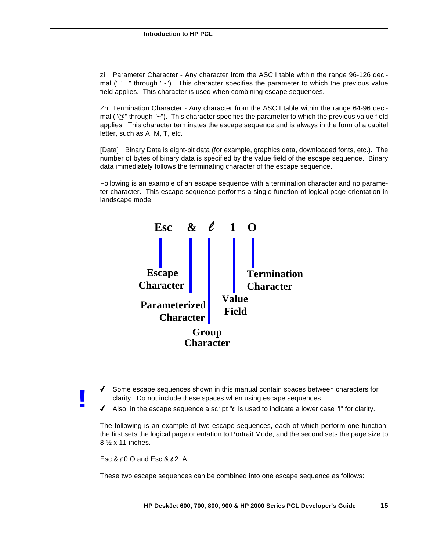zi Parameter Character - Any character from the ASCII table within the range 96-126 decimal (" " " through "~"). This character specifies the parameter to which the previous value field applies. This character is used when combining escape sequences.

Zn Termination Character - Any character from the ASCII table within the range 64-96 decimal ("@" through "~"). This character specifies the parameter to which the previous value field applies. This character terminates the escape sequence and is always in the form of a capital letter, such as A, M, T, etc.

[Data] Binary Data is eight-bit data (for example, graphics data, downloaded fonts, etc.). The number of bytes of binary data is specified by the value field of the escape sequence. Binary data immediately follows the terminating character of the escape sequence.

Following is an example of an escape sequence with a termination character and no parameter character. This escape sequence performs a single function of logical page orientation in landscape mode.



- 4 Some escape sequences shown in this manual contain spaces between characters for clarity. Do not include these spaces when using escape sequences.
- $\blacklozenge$  Also, in the escape sequence a script " $\ell$  is used to indicate a lower case "l" for clarity.

The following is an example of two escape sequences, each of which perform one function: the first sets the logical page orientation to Portrait Mode, and the second sets the page size to 8 ½ x 11 inches.

Esc  $&0$  O and Esc  $&0$  2 A

**!**

These two escape sequences can be combined into one escape sequence as follows: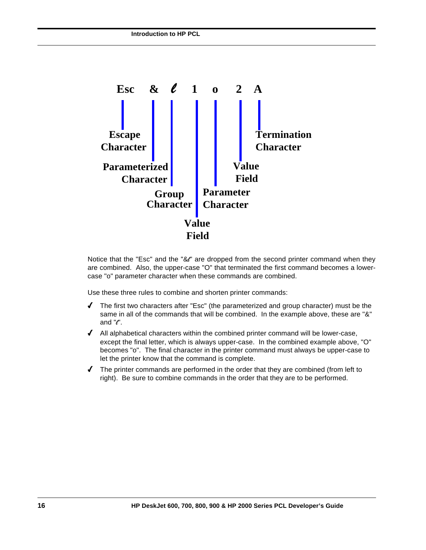

Notice that the "Esc" and the "&e" are dropped from the second printer command when they are combined. Also, the upper-case "O" that terminated the first command becomes a lowercase "o" parameter character when these commands are combined.

Use these three rules to combine and shorten printer commands:

- $\blacklozenge$  The first two characters after "Esc" (the parameterized and group character) must be the same in all of the commands that will be combined. In the example above, these are "&" and  $\mathcal{C}$ .
- $\blacklozenge$  All alphabetical characters within the combined printer command will be lower-case, except the final letter, which is always upper-case. In the combined example above, "O" becomes "o". The final character in the printer command must always be upper-case to let the printer know that the command is complete.
- $\blacklozenge$  The printer commands are performed in the order that they are combined (from left to right). Be sure to combine commands in the order that they are to be performed.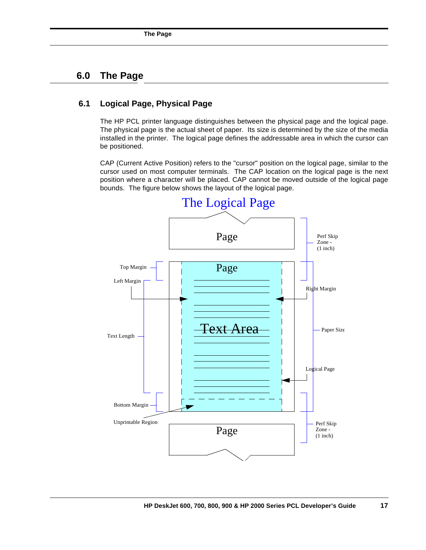# **6.0 The Page**

### **6.1 Logical Page, Physical Page**

The HP PCL printer language distinguishes between the physical page and the logical page. The physical page is the actual sheet of paper. Its size is determined by the size of the media installed in the printer. The logical page defines the addressable area in which the cursor can be positioned.

CAP (Current Active Position) refers to the "cursor" position on the logical page, similar to the cursor used on most computer terminals. The CAP location on the logical page is the next position where a character will be placed. CAP cannot be moved outside of the logical page bounds. The figure below shows the layout of the logical page.

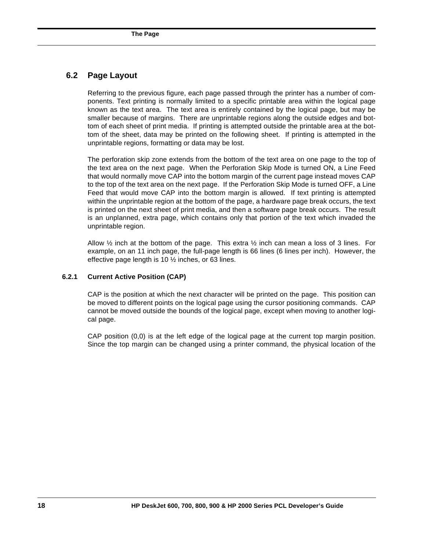### **6.2 Page Layout**

Referring to the previous figure, each page passed through the printer has a number of components. Text printing is normally limited to a specific printable area within the logical page known as the text area. The text area is entirely contained by the logical page, but may be smaller because of margins. There are unprintable regions along the outside edges and bottom of each sheet of print media. If printing is attempted outside the printable area at the bottom of the sheet, data may be printed on the following sheet. If printing is attempted in the unprintable regions, formatting or data may be lost.

The perforation skip zone extends from the bottom of the text area on one page to the top of the text area on the next page. When the Perforation Skip Mode is turned ON, a Line Feed that would normally move CAP into the bottom margin of the current page instead moves CAP to the top of the text area on the next page. If the Perforation Skip Mode is turned OFF, a Line Feed that would move CAP into the bottom margin is allowed. If text printing is attempted within the unprintable region at the bottom of the page, a hardware page break occurs, the text is printed on the next sheet of print media, and then a software page break occurs. The result is an unplanned, extra page, which contains only that portion of the text which invaded the unprintable region.

Allow  $\frac{1}{2}$  inch at the bottom of the page. This extra  $\frac{1}{2}$  inch can mean a loss of 3 lines. For example, on an 11 inch page, the full-page length is 66 lines (6 lines per inch). However, the effective page length is 10 ½ inches, or 63 lines.

### **6.2.1 Current Active Position (CAP)**

CAP is the position at which the next character will be printed on the page. This position can be moved to different points on the logical page using the cursor positioning commands. CAP cannot be moved outside the bounds of the logical page, except when moving to another logical page.

CAP position (0,0) is at the left edge of the logical page at the current top margin position. Since the top margin can be changed using a printer command, the physical location of the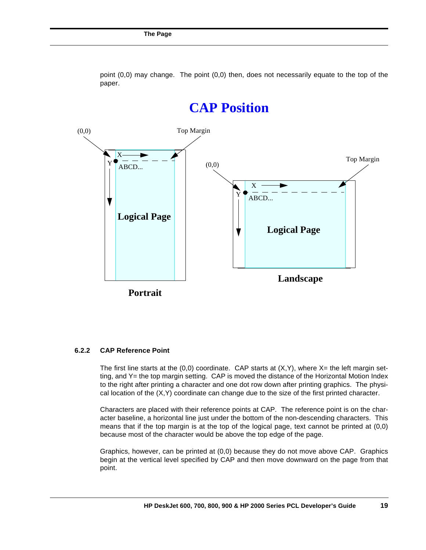

point (0,0) may change. The point (0,0) then, does not necessarily equate to the top of the paper.

#### **6.2.2 CAP Reference Point**

The first line starts at the  $(0,0)$  coordinate. CAP starts at  $(X,Y)$ , where  $X=$  the left margin setting, and Y= the top margin setting. CAP is moved the distance of the Horizontal Motion Index to the right after printing a character and one dot row down after printing graphics. The physical location of the (X,Y) coordinate can change due to the size of the first printed character.

Characters are placed with their reference points at CAP. The reference point is on the character baseline, a horizontal line just under the bottom of the non-descending characters. This means that if the top margin is at the top of the logical page, text cannot be printed at (0,0) because most of the character would be above the top edge of the page.

Graphics, however, can be printed at (0,0) because they do not move above CAP. Graphics begin at the vertical level specified by CAP and then move downward on the page from that point.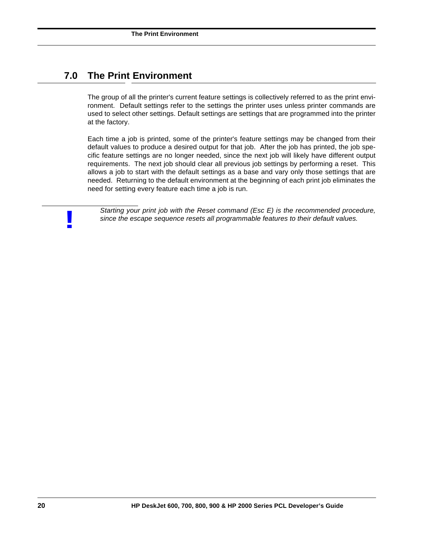# **7.0 The Print Environment**

The group of all the printer's current feature settings is collectively referred to as the print environment. Default settings refer to the settings the printer uses unless printer commands are used to select other settings. Default settings are settings that are programmed into the printer at the factory.

Each time a job is printed, some of the printer's feature settings may be changed from their default values to produce a desired output for that job. After the job has printed, the job specific feature settings are no longer needed, since the next job will likely have different output requirements. The next job should clear all previous job settings by performing a reset. This allows a job to start with the default settings as a base and vary only those settings that are needed. Returning to the default environment at the beginning of each print job eliminates the need for setting every feature each time a job is run.

**Starting your print job with the Reset command (Esc E) is the recommended procedure, since the escape sequence resets all programmable features to their default values.**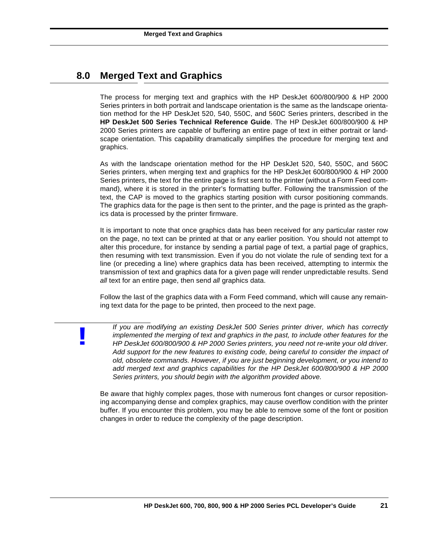# **8.0 Merged Text and Graphics**

**!**

The process for merging text and graphics with the HP DeskJet 600/800/900 & HP 2000 Series printers in both portrait and landscape orientation is the same as the landscape orientation method for the HP DeskJet 520, 540, 550C, and 560C Series printers, described in the **HP DeskJet 500 Series Technical Reference Guide**. The HP DeskJet 600/800/900 & HP 2000 Series printers are capable of buffering an entire page of text in either portrait or landscape orientation. This capability dramatically simplifies the procedure for merging text and graphics.

As with the landscape orientation method for the HP DeskJet 520, 540, 550C, and 560C Series printers, when merging text and graphics for the HP DeskJet 600/800/900 & HP 2000 Series printers, the text for the entire page is first sent to the printer (without a Form Feed command), where it is stored in the printer's formatting buffer. Following the transmission of the text, the CAP is moved to the graphics starting position with cursor positioning commands. The graphics data for the page is then sent to the printer, and the page is printed as the graphics data is processed by the printer firmware.

It is important to note that once graphics data has been received for any particular raster row on the page, no text can be printed at that or any earlier position. You should not attempt to alter this procedure, for instance by sending a partial page of text, a partial page of graphics, then resuming with text transmission. Even if you do not violate the rule of sending text for a line (or preceding a line) where graphics data has been received, attempting to intermix the transmission of text and graphics data for a given page will render unpredictable results. Send *all* text for an entire page, then send *all* graphics data.

Follow the last of the graphics data with a Form Feed command, which will cause any remaining text data for the page to be printed, then proceed to the next page.

*If you are modifying an existing DeskJet 500 Series printer driver, which has correctly implemented the merging of text and graphics in the past, to include other features for the HP DeskJet 600/800/900 & HP 2000 Series printers, you need not re-write your old driver. Add support for the new features to existing code, being careful to consider the impact of old, obsolete commands. However, if you are just beginning development, or you intend to add merged text and graphics capabilities for the HP DeskJet 600/800/900 & HP 2000 Series printers, you should begin with the algorithm provided above.*

Be aware that highly complex pages, those with numerous font changes or cursor repositioning accompanying dense and complex graphics, may cause overflow condition with the printer buffer. If you encounter this problem, you may be able to remove some of the font or position changes in order to reduce the complexity of the page description.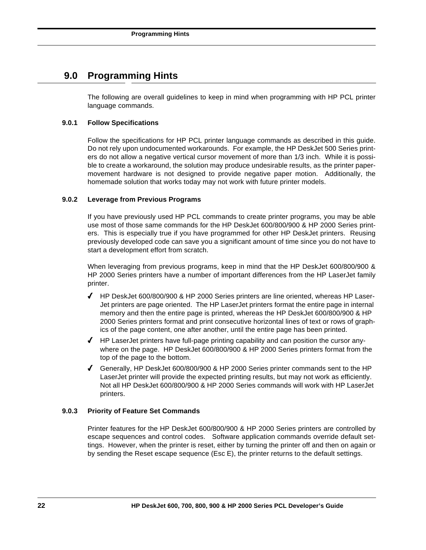# **9.0 Programming Hints**

The following are overall guidelines to keep in mind when programming with HP PCL printer language commands.

### **9.0.1 Follow Specifications**

Follow the specifications for HP PCL printer language commands as described in this guide. Do not rely upon undocumented workarounds. For example, the HP DeskJet 500 Series printers do not allow a negative vertical cursor movement of more than 1/3 inch. While it is possible to create a workaround, the solution may produce undesirable results, as the printer papermovement hardware is not designed to provide negative paper motion. Additionally, the homemade solution that works today may not work with future printer models.

### **9.0.2 Leverage from Previous Programs**

If you have previously used HP PCL commands to create printer programs, you may be able use most of those same commands for the HP DeskJet 600/800/900 & HP 2000 Series printers. This is especially true if you have programmed for other HP DeskJet printers. Reusing previously developed code can save you a significant amount of time since you do not have to start a development effort from scratch.

When leveraging from previous programs, keep in mind that the HP DeskJet 600/800/900 & HP 2000 Series printers have a number of important differences from the HP LaserJet family printer.

- 4 HP DeskJet 600/800/900 & HP 2000 Series printers are line oriented, whereas HP Laser-Jet printers are page oriented. The HP LaserJet printers format the entire page in internal memory and then the entire page is printed, whereas the HP DeskJet 600/800/900 & HP 2000 Series printers format and print consecutive horizontal lines of text or rows of graphics of the page content, one after another, until the entire page has been printed.
- $\blacklozenge$  HP LaserJet printers have full-page printing capability and can position the cursor anywhere on the page. HP DeskJet 600/800/900 & HP 2000 Series printers format from the top of the page to the bottom.
- 4 Generally, HP DeskJet 600/800/900 & HP 2000 Series printer commands sent to the HP LaserJet printer will provide the expected printing results, but may not work as efficiently. Not all HP DeskJet 600/800/900 & HP 2000 Series commands will work with HP LaserJet printers.

### **9.0.3 Priority of Feature Set Commands**

Printer features for the HP DeskJet 600/800/900 & HP 2000 Series printers are controlled by escape sequences and control codes. Software application commands override default settings. However, when the printer is reset, either by turning the printer off and then on again or by sending the Reset escape sequence (Esc E), the printer returns to the default settings.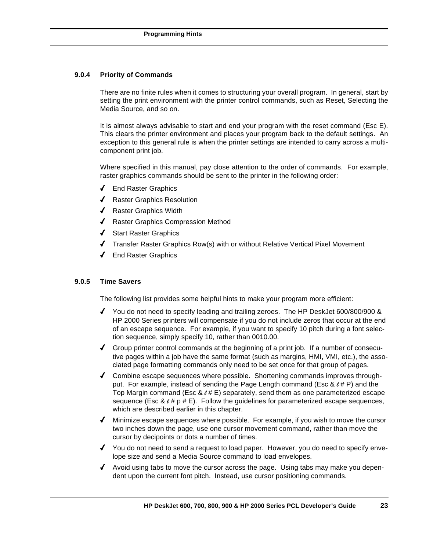### **9.0.4 Priority of Commands**

There are no finite rules when it comes to structuring your overall program. In general, start by setting the print environment with the printer control commands, such as Reset, Selecting the Media Source, and so on.

It is almost always advisable to start and end your program with the reset command (Esc E). This clears the printer environment and places your program back to the default settings. An exception to this general rule is when the printer settings are intended to carry across a multicomponent print job.

Where specified in this manual, pay close attention to the order of commands. For example, raster graphics commands should be sent to the printer in the following order:

- 4 End Raster Graphics
- ◆ Raster Graphics Resolution
- ◆ Raster Graphics Width
- 4 Raster Graphics Compression Method
- 4 Start Raster Graphics
- 4 Transfer Raster Graphics Row(s) with or without Relative Vertical Pixel Movement
- 4 End Raster Graphics

### **9.0.5 Time Savers**

The following list provides some helpful hints to make your program more efficient:

- 4 You do not need to specify leading and trailing zeroes. The HP DeskJet 600/800/900 & HP 2000 Series printers will compensate if you do not include zeros that occur at the end of an escape sequence. For example, if you want to specify 10 pitch during a font selection sequence, simply specify 10, rather than 0010.00.
- $\blacklozenge$  Group printer control commands at the beginning of a print job. If a number of consecutive pages within a job have the same format (such as margins, HMI, VMI, etc.), the associated page formatting commands only need to be set once for that group of pages.
- $\blacklozenge$  Combine escape sequences where possible. Shortening commands improves throughput. For example, instead of sending the Page Length command (Esc  $< H$  P) and the Top Margin command (Esc  $\& \ell \# E$ ) separately, send them as one parameterized escape sequence (Esc  $< t \neq p \neq E$ ). Follow the guidelines for parameterized escape sequences, which are described earlier in this chapter.
- $\blacklozenge$  Minimize escape sequences where possible. For example, if you wish to move the cursor two inches down the page, use one cursor movement command, rather than move the cursor by decipoints or dots a number of times.
- 4 You do not need to send a request to load paper. However, you do need to specify envelope size and send a Media Source command to load envelopes.
- $\blacklozenge$  Avoid using tabs to move the cursor across the page. Using tabs may make you dependent upon the current font pitch. Instead, use cursor positioning commands.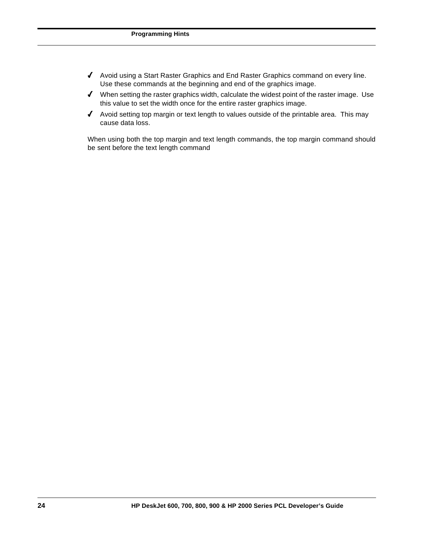- 4 Avoid using a Start Raster Graphics and End Raster Graphics command on every line. Use these commands at the beginning and end of the graphics image.
- $\blacklozenge$  When setting the raster graphics width, calculate the widest point of the raster image. Use this value to set the width once for the entire raster graphics image.
- 4 Avoid setting top margin or text length to values outside of the printable area. This may cause data loss.

When using both the top margin and text length commands, the top margin command should be sent before the text length command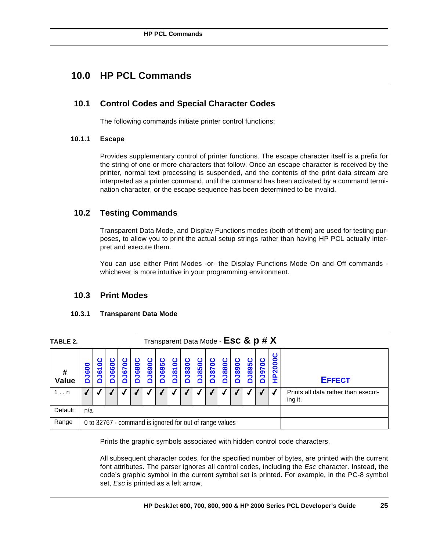# **10.0 HP PCL Commands**

# **10.1 Control Codes and Special Character Codes**

The following commands initiate printer control functions:

### **10.1.1 Escape**

Provides supplementary control of printer functions. The escape character itself is a prefix for the string of one or more characters that follow. Once an escape character is received by the printer, normal text processing is suspended, and the contents of the print data stream are interpreted as a printer command, until the command has been activated by a command termination character, or the escape sequence has been determined to be invalid.

# **10.2 Testing Commands**

Transparent Data Mode, and Display Functions modes (both of them) are used for testing purposes, to allow you to print the actual setup strings rather than having HP PCL actually interpret and execute them.

You can use either Print Modes -or- the Display Functions Mode On and Off commands whichever is more intuitive in your programming environment.

### **10.3 Print Modes**

### **10.3.1 Transparent Data Mode**

| TABLE 2.          |              |                  |                  |     |               |               |                   |              |              | Transparent Data Mode - Esc & p # X                     |                  |              |                   |               |            |                       |                                                |
|-------------------|--------------|------------------|------------------|-----|---------------|---------------|-------------------|--------------|--------------|---------------------------------------------------------|------------------|--------------|-------------------|---------------|------------|-----------------------|------------------------------------------------|
| #<br><b>Value</b> | <b>DJ600</b> | Ō<br><b>DJ61</b> | <b>J660</b><br>Δ | 670 | <b>DJ6800</b> | <b>DJ6900</b> | <b>J6950</b><br>Δ | <b>J8100</b> | <b>DJ830</b> | <b>J8500</b><br>n                                       | <b>J870</b><br>Δ | <b>J880C</b> | <b>DO68r</b><br>n | <b>D3895C</b> | 19700<br>n | 0<br>P <sub>200</sub> | <b>EFFECT</b>                                  |
| $1 \ldots n$      |              |                  |                  |     |               |               |                   |              |              |                                                         |                  |              |                   |               |            |                       | Prints all data rather than execut-<br>ing it. |
| Default           | n/a          |                  |                  |     |               |               |                   |              |              |                                                         |                  |              |                   |               |            |                       |                                                |
| Range             |              |                  |                  |     |               |               |                   |              |              | 0 to 32767 - command is ignored for out of range values |                  |              |                   |               |            |                       |                                                |

Prints the graphic symbols associated with hidden control code characters.

All subsequent character codes, for the specified number of bytes, are printed with the current font attributes. The parser ignores all control codes, including the *Esc* character. Instead, the code's graphic symbol in the current symbol set is printed. For example, in the PC-8 symbol set, *Esc* is printed as a left arrow.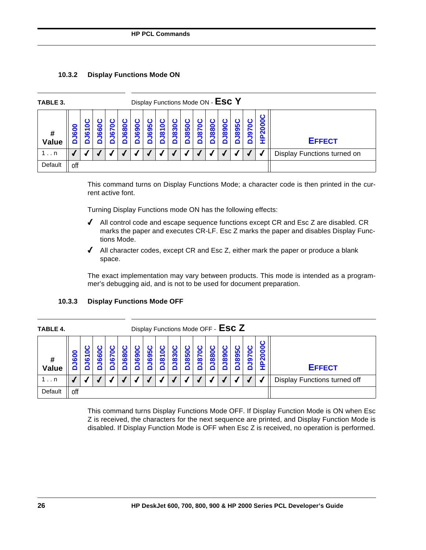### **10.3.2 Display Functions Mode ON**

| TABLE 3.     |          |                                             |     |                      |     |             | Display Functions Mode ON - ESC Y |                               |             |                 |            |                  |             |                     |   |          |                             |
|--------------|----------|---------------------------------------------|-----|----------------------|-----|-------------|-----------------------------------|-------------------------------|-------------|-----------------|------------|------------------|-------------|---------------------|---|----------|-----------------------------|
| #<br>Value   | 600<br>◘ | 0<br>$\blacktriangledown$<br>$\bullet$<br>▭ | 660 | 0<br><b>J67</b><br>◘ | 680 | <b>J690</b> | <u> In</u><br>ဒ္မ                 | $\bullet$<br>$\overline{181}$ | <b>J830</b> | o<br><b>J85</b> | <u>781</u> | <b>J880</b><br>n | <b>0681</b> | 5<br><b>98</b><br>n | ഉ | 0<br>200 | <b>EFFECT</b>               |
| $1 \ldots n$ |          |                                             |     |                      |     |             |                                   |                               |             |                 |            |                  |             |                     |   |          | Display Functions turned on |
| Default      | off      |                                             |     |                      |     |             |                                   |                               |             |                 |            |                  |             |                     |   |          |                             |

This command turns on Display Functions Mode; a character code is then printed in the current active font.

Turning Display Functions mode ON has the following effects:

- $\blacklozenge$  All control code and escape sequence functions except CR and Esc Z are disabled. CR marks the paper and executes CR-LF. Esc Z marks the paper and disables Display Functions Mode.
- $\blacklozenge$  All character codes, except CR and Esc Z, either mark the paper or produce a blank space.

The exact implementation may vary between products. This mode is intended as a programmer's debugging aid, and is not to be used for document preparation.

| <b>TABLE 4.</b>   |             |                     |                          |   |     |     |     |                         |     | Display Functions Mode OFF - ESC Z |                |     |     |          |             |                       |                              |
|-------------------|-------------|---------------------|--------------------------|---|-----|-----|-----|-------------------------|-----|------------------------------------|----------------|-----|-----|----------|-------------|-----------------------|------------------------------|
| #<br><b>Value</b> | 8<br>ဖ<br>◘ | $\blacksquare$<br>ဖ | $\ddot{\mathbf{o}}$<br>ശ | ە | 680 | 690 | 695 | $\overline{\mathbf{0}}$ | 830 | 850                                | $\overline{8}$ | 880 | 890 | ဖြ<br>89 | c<br>r<br>ာ | 0<br>0<br>0<br>$\sim$ | <b>EFFECT</b>                |
| 1n                |             |                     |                          |   |     |     |     |                         |     |                                    |                |     |     |          |             |                       | Display Functions turned off |
| Default           | off         |                     |                          |   |     |     |     |                         |     |                                    |                |     |     |          |             |                       |                              |

### **10.3.3 Display Functions Mode OFF**

This command turns Display Functions Mode OFF. If Display Function Mode is ON when Esc Z is received, the characters for the next sequence are printed, and Display Function Mode is disabled. If Display Function Mode is OFF when Esc Z is received, no operation is performed.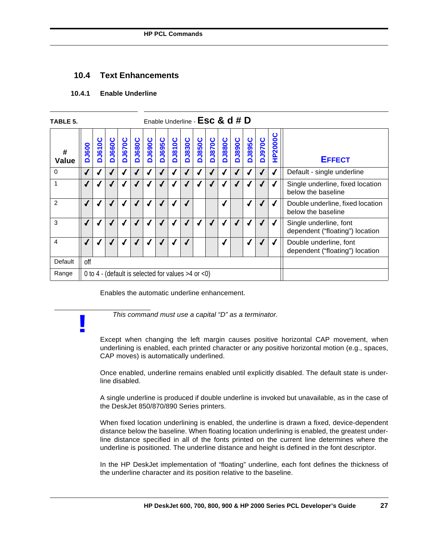### **10.4 Text Enhancements**

### **10.4.1 Enable Underline**

**!**

| TABLE 5.          |                          |                                                          |               |               |               |                            |               | Enable Underline - Esc & d # D                          |        |               |               |               |               |               |               |                |                                                           |
|-------------------|--------------------------|----------------------------------------------------------|---------------|---------------|---------------|----------------------------|---------------|---------------------------------------------------------|--------|---------------|---------------|---------------|---------------|---------------|---------------|----------------|-----------------------------------------------------------|
| #<br><b>Value</b> | <b>DJ600</b>             | <b>DJ610C</b>                                            | <b>DJ660C</b> | <b>DJ670C</b> | <b>DJ680C</b> | $\overline{\text{DUSOCC}}$ | <b>D369LO</b> | <b>DJ810C</b>                                           | DJ830C | <b>DJ850C</b> | <b>DJ870C</b> | <b>DJ880C</b> | <b>DJ890C</b> | <b>DJ895C</b> | <b>DJ970C</b> | <b>HP2000C</b> | <b>EFFECT</b>                                             |
| $\mathbf 0$       | $\sqrt{2}$               |                                                          |               | $\sqrt{ }$    | ✔             |                            | √             | $\sqrt{ }$                                              | √      |               |               | √             |               |               |               | √              | Default - single underline                                |
|                   |                          |                                                          |               |               |               |                            |               |                                                         |        |               |               |               |               |               |               |                | Single underline, fixed location<br>below the baseline    |
| $\overline{2}$    | $\sqrt{2}$               | $\boldsymbol{J}$<br>J<br>√<br>$\boldsymbol{J}$<br>J<br>√ |               |               |               |                            |               |                                                         |        |               |               |               |               |               |               |                | Double underline, fixed location<br>below the baseline    |
| 3                 | $\overline{\mathcal{L}}$ |                                                          |               | √             |               |                            | √             | √                                                       | √      |               |               | √             |               |               |               |                | Single underline, font<br>dependent ("floating") location |
| 4                 |                          |                                                          |               | $\checkmark$  |               |                            |               |                                                         |        |               |               | √             |               | √             |               | √              | Double underline, font<br>dependent ("floating") location |
| Default           | off                      |                                                          |               |               |               |                            |               |                                                         |        |               |               |               |               |               |               |                |                                                           |
| Range             |                          |                                                          |               |               |               |                            |               | 0 to 4 - (default is selected for values $>4$ or $<$ 0) |        |               |               |               |               |               |               |                |                                                           |

Enables the automatic underline enhancement.

*This command must use a capital "D" as a terminator.*

Except when changing the left margin causes positive horizontal CAP movement, when underlining is enabled, each printed character or any positive horizontal motion (e.g., spaces, CAP moves) is automatically underlined.

Once enabled, underline remains enabled until explicitly disabled. The default state is underline disabled.

A single underline is produced if double underline is invoked but unavailable, as in the case of the DeskJet 850/870/890 Series printers.

When fixed location underlining is enabled, the underline is drawn a fixed, device-dependent distance below the baseline. When floating location underlining is enabled, the greatest underline distance specified in all of the fonts printed on the current line determines where the underline is positioned. The underline distance and height is defined in the font descriptor.

In the HP DeskJet implementation of "floating" underline, each font defines the thickness of the underline character and its position relative to the baseline.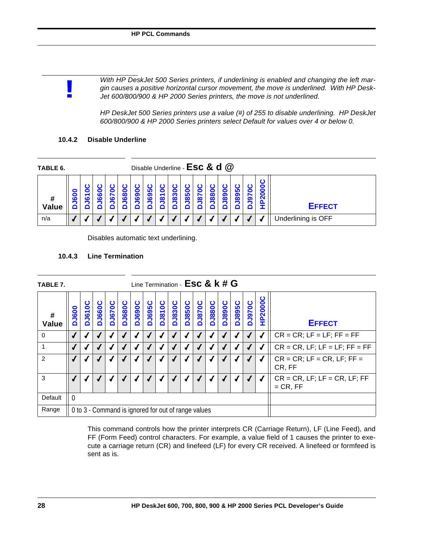*With HP DeskJet 500 Series printers, if underlining is enabled and changing the left margin causes a positive horizontal cursor movement, the move is underlined. With HP Desk-Jet 600/800/900 & HP 2000 Series printers, the move is not underlined.*

*HP DeskJet 500 Series printers use a value (#) of 255 to disable underlining. HP DeskJet 600/800/900 & HP 2000 Series printers select Default for values over 4 or below 0.*

### **10.4.2 Disable Underline**

**!**

| TABLE 6.          |         |                                |                   |                          |                         |                          | Disable Underline - Esc & d @ |               |                    |    |          |                         |    |           |   |                    |
|-------------------|---------|--------------------------------|-------------------|--------------------------|-------------------------|--------------------------|-------------------------------|---------------|--------------------|----|----------|-------------------------|----|-----------|---|--------------------|
| #<br><b>Value</b> | 8<br>ιö | $\blacksquare$<br>$\mathbf{c}$ | $\mathbf{c}$<br>ശ | $\blacksquare$<br>r<br>6 | $\overline{\mathbf{8}}$ | $\blacksquare$<br>ග<br>ة | ഥ<br>တ<br>$\overline{c}$      | c<br>$\infty$ | 0<br>က<br>$\infty$ | 85 | $\infty$ | $\overline{\textbf{8}}$ | 89 | <u> အ</u> | ග | <b>EFFECT</b>      |
| n/a               |         |                                |                   |                          |                         |                          |                               |               |                    |    |          |                         |    |           |   | Underlining is OFF |

Disables automatic text underlining.

### **10.4.3 Line Termination**

| TABLE 7.       |              |               |               |               |               |               |               |               |               | Line Termination - ESC & k # G                      |               |               |               |               |               |                |                                               |
|----------------|--------------|---------------|---------------|---------------|---------------|---------------|---------------|---------------|---------------|-----------------------------------------------------|---------------|---------------|---------------|---------------|---------------|----------------|-----------------------------------------------|
| #<br>Value     | <b>DJ600</b> | <b>DJ610C</b> | <b>DJ660C</b> | <b>DJ670C</b> | <b>DJ680C</b> | <b>DJ690C</b> | <b>DJ695C</b> | <b>DJ810C</b> | <b>DJ830C</b> | <b>DJ850C</b>                                       | <b>DJ870C</b> | <b>DJ880C</b> | <b>DJ890C</b> | <b>DJ895C</b> | <b>DJ970C</b> | <b>HP2000C</b> | <b>EFFECT</b>                                 |
| $\mathbf 0$    |              | √             |               |               |               |               |               |               |               |                                                     |               |               |               |               |               |                | $CR = CR$ ; LF = LF; FF = FF                  |
|                |              | ┙<br>J<br>√   |               |               |               |               |               |               |               |                                                     |               |               |               |               |               |                | $CR = CR$ , LF; LF = LF; FF = FF              |
| $\overline{2}$ |              |               |               | √             |               |               |               |               |               |                                                     |               |               |               |               |               |                | $CR = CR$ ; LF = CR, LF; FF =<br>CR, FF       |
| 3              |              |               |               | √             |               |               |               |               |               |                                                     |               |               |               |               |               |                | $CR = CR$ , LF; LF = CR, LF; FF<br>$=$ CR, FF |
| Default        | $\Omega$     |               |               |               |               |               |               |               |               |                                                     |               |               |               |               |               |                |                                               |
| Range          |              |               |               |               |               |               |               |               |               | 0 to 3 - Command is ignored for out of range values |               |               |               |               |               |                |                                               |

This command controls how the printer interprets CR (Carriage Return), LF (Line Feed), and FF (Form Feed) control characters. For example, a value field of 1 causes the printer to execute a carriage return (CR) and linefeed (LF) for every CR received. A linefeed or formfeed is sent as is.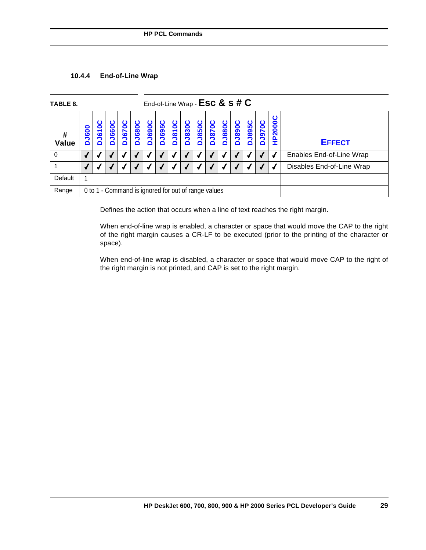### **10.4.4 End-of-Line Wrap**

| TABLE 8.          |              |                                                     |                   |               |               |               |                   |              |               |               |       | End-of-Line Wrap - $Esc & s \# C$ |               |               |               |             |                           |
|-------------------|--------------|-----------------------------------------------------|-------------------|---------------|---------------|---------------|-------------------|--------------|---------------|---------------|-------|-----------------------------------|---------------|---------------|---------------|-------------|---------------------------|
| #<br><b>Value</b> | <b>DJ600</b> | ပ<br><b>DJ6100</b>                                  | <b>J660C</b><br>Δ | <b>DJ670C</b> | <b>DJ680C</b> | <b>DJ690C</b> | <b>J695C</b><br>Δ | <b>J810C</b> | <b>DJ830C</b> | <b>DJ850C</b> | DJ870 | <b>J880C</b>                      | <b>DJ890C</b> | <b>DJ895C</b> | <b>DO78LQ</b> | P2000C<br>Ξ | <b>EFFECT</b>             |
|                   |              |                                                     |                   |               |               |               |                   |              |               |               |       |                                   |               |               |               |             | Enables End-of-Line Wrap  |
|                   |              |                                                     |                   |               |               |               |                   |              |               |               |       |                                   |               |               |               |             | Disables End-of-Line Wrap |
| Default           |              |                                                     |                   |               |               |               |                   |              |               |               |       |                                   |               |               |               |             |                           |
| Range             |              | 0 to 1 - Command is ignored for out of range values |                   |               |               |               |                   |              |               |               |       |                                   |               |               |               |             |                           |

Defines the action that occurs when a line of text reaches the right margin.

When end-of-line wrap is enabled, a character or space that would move the CAP to the right of the right margin causes a CR-LF to be executed (prior to the printing of the character or space).

When end-of-line wrap is disabled, a character or space that would move CAP to the right of the right margin is not printed, and CAP is set to the right margin.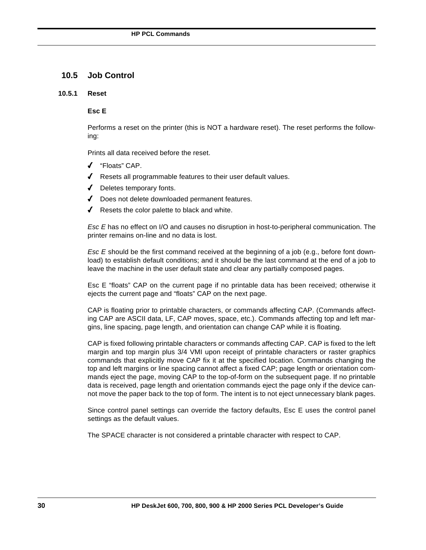### **10.5 Job Control**

#### **10.5.1 Reset**

### **Esc E**

Performs a reset on the printer (this is NOT a hardware reset). The reset performs the following:

Prints all data received before the reset.

- 4 "Floats" CAP.
- $\sqrt{ }$  Resets all programmable features to their user default values.
- 4 Deletes temporary fonts.
- 4 Does not delete downloaded permanent features.
- $\sqrt{\phantom{a}}$  Resets the color palette to black and white.

*Esc E* has no effect on I/O and causes no disruption in host-to-peripheral communication. The printer remains on-line and no data is lost.

*Esc E* should be the first command received at the beginning of a job (e.g., before font download) to establish default conditions; and it should be the last command at the end of a job to leave the machine in the user default state and clear any partially composed pages.

Esc E "floats" CAP on the current page if no printable data has been received; otherwise it ejects the current page and "floats" CAP on the next page.

CAP is floating prior to printable characters, or commands affecting CAP. (Commands affecting CAP are ASCII data, LF, CAP moves, space, etc.). Commands affecting top and left margins, line spacing, page length, and orientation can change CAP while it is floating.

CAP is fixed following printable characters or commands affecting CAP. CAP is fixed to the left margin and top margin plus 3/4 VMI upon receipt of printable characters or raster graphics commands that explicitly move CAP fix it at the specified location. Commands changing the top and left margins or line spacing cannot affect a fixed CAP; page length or orientation commands eject the page, moving CAP to the top-of-form on the subsequent page. If no printable data is received, page length and orientation commands eject the page only if the device cannot move the paper back to the top of form. The intent is to not eject unnecessary blank pages.

Since control panel settings can override the factory defaults, Esc E uses the control panel settings as the default values.

The SPACE character is not considered a printable character with respect to CAP.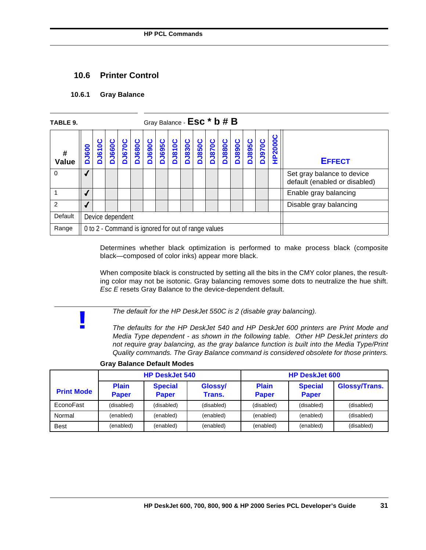### **10.6 Printer Control**

### **10.6.1 Gray Balance**

**!**

| TABLE 9.       |              |                                                     |               |  |  |  |  | Gray Balance - Esc <sup>*</sup> b # B                           |  |  |        |               |               |               |               |         |                                                             |
|----------------|--------------|-----------------------------------------------------|---------------|--|--|--|--|-----------------------------------------------------------------|--|--|--------|---------------|---------------|---------------|---------------|---------|-------------------------------------------------------------|
| #<br>Value     | <b>DJ600</b> | ပ<br><b>DJ6100</b>                                  | <b>DJ660C</b> |  |  |  |  | <b>DJ670C</b><br>DJ680C<br>DJ695C<br>DJ810C<br>DJ830C<br>DJ850C |  |  | DJ870C | <b>DJ880C</b> | <b>DJ890C</b> | <b>DJ895C</b> | <b>DJ970C</b> | HP2000C | <b>EFFECT</b>                                               |
| $\Omega$       |              |                                                     |               |  |  |  |  |                                                                 |  |  |        |               |               |               |               |         | Set gray balance to device<br>default (enabled or disabled) |
|                |              |                                                     |               |  |  |  |  |                                                                 |  |  |        |               |               |               |               |         | Enable gray balancing                                       |
| $\overline{2}$ |              |                                                     |               |  |  |  |  |                                                                 |  |  |        |               |               |               |               |         | Disable gray balancing                                      |
| Default        |              | Device dependent                                    |               |  |  |  |  |                                                                 |  |  |        |               |               |               |               |         |                                                             |
| Range          |              | 0 to 2 - Command is ignored for out of range values |               |  |  |  |  |                                                                 |  |  |        |               |               |               |               |         |                                                             |

Determines whether black optimization is performed to make process black (composite black—composed of color inks) appear more black.

When composite black is constructed by setting all the bits in the CMY color planes, the resulting color may not be isotonic. Gray balancing removes some dots to neutralize the hue shift. *Esc E* resets Gray Balance to the device-dependent default.

*The default for the HP DeskJet 550C is 2 (disable gray balancing).*

*The defaults for the HP DeskJet 540 and HP DeskJet 600 printers are Print Mode and Media Type dependent - as shown in the following table. Other HP DeskJet printers do not require gray balancing, as the gray balance function is built into the Media Type/Print Quality commands. The Gray Balance command is considered obsolete for those printers.*

|                   |                              | <b>HP DeskJet 540</b>          |                   |                              | <b>HP DeskJet 600</b>          |               |
|-------------------|------------------------------|--------------------------------|-------------------|------------------------------|--------------------------------|---------------|
| <b>Print Mode</b> | <b>Plain</b><br><b>Paper</b> | <b>Special</b><br><b>Paper</b> | Glossy/<br>Trans. | <b>Plain</b><br><b>Paper</b> | <b>Special</b><br><b>Paper</b> | Glossy/Trans. |
| EconoFast         | (disabled)                   | (disabled)                     | (disabled)        | (disabled)                   | (disabled)                     | (disabled)    |
| Normal            | (enabled)                    | (enabled)                      | (enabled)         | (enabled)                    | (enabled)                      | (disabled)    |
| <b>Best</b>       | (enabled)                    | (enabled)                      | (enabled)         | (enabled)                    | (enabled)                      | (disabled)    |

#### **Gray Balance Default Modes**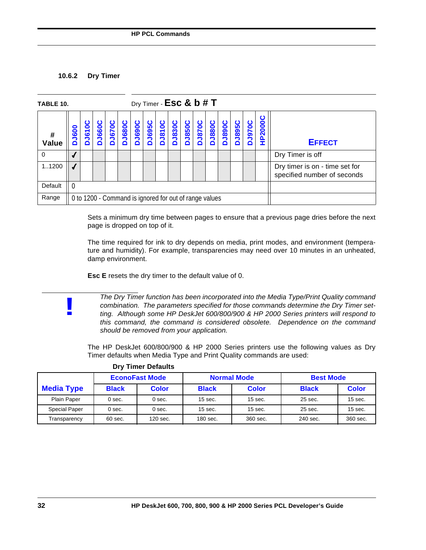### **10.6.2 Dry Timer**

**!**

| TABLE 10.           |                  |                                                        |              |                   |                   |               |              |               | Dry Timer - $Esc & b # T$ |                   |                   |                   |               |               |                   |                |                                                               |
|---------------------|------------------|--------------------------------------------------------|--------------|-------------------|-------------------|---------------|--------------|---------------|---------------------------|-------------------|-------------------|-------------------|---------------|---------------|-------------------|----------------|---------------------------------------------------------------|
| $\pmb{\#}$<br>Value | <b>J600</b><br>Õ | Ō<br>$\overline{5}$<br>Δ                               | <b>J660C</b> | <b>J670C</b><br>ó | <b>J680C</b><br>Õ | <b>DJ690C</b> | <b>J695C</b> | <b>DJ810C</b> | <b>DJ830C</b>             | <b>J850C</b><br>۵ | <b>J870C</b><br>Õ | <b>J880C</b><br>۵ | <b>DJ890C</b> | <b>DJ895C</b> | <b>J970C</b><br>∩ | <b>HP2000C</b> | <b>EFFECT</b>                                                 |
| 0                   |                  |                                                        |              |                   |                   |               |              |               |                           |                   |                   |                   |               |               |                   |                | Dry Timer is off                                              |
| 11200               |                  |                                                        |              |                   |                   |               |              |               |                           |                   |                   |                   |               |               |                   |                | Dry timer is on - time set for<br>specified number of seconds |
| Default             | ∣ 0              |                                                        |              |                   |                   |               |              |               |                           |                   |                   |                   |               |               |                   |                |                                                               |
| Range               |                  | 0 to 1200 - Command is ignored for out of range values |              |                   |                   |               |              |               |                           |                   |                   |                   |               |               |                   |                |                                                               |

Sets a minimum dry time between pages to ensure that a previous page dries before the next page is dropped on top of it.

The time required for ink to dry depends on media, print modes, and environment (temperature and humidity). For example, transparencies may need over 10 minutes in an unheated, damp environment.

**Esc E** resets the dry timer to the default value of 0.

*The Dry Timer function has been incorporated into the Media Type/Print Quality command combination. The parameters specified for those commands determine the Dry Timer setting. Although some HP DeskJet 600/800/900 & HP 2000 Series printers will respond to this command, the command is considered obsolete. Dependence on the command should be removed from your application.*

The HP DeskJet 600/800/900 & HP 2000 Series printers use the following values as Dry Timer defaults when Media Type and Print Quality commands are used:

|                   |              | <b>EconoFast Mode</b> |              | <b>Normal Mode</b> | <b>Best Mode</b> |              |
|-------------------|--------------|-----------------------|--------------|--------------------|------------------|--------------|
| <b>Media Type</b> | <b>Black</b> | <b>Color</b>          | <b>Black</b> | <b>Color</b>       | <b>Black</b>     | <b>Color</b> |
| Plain Paper       | 0 sec.       | $0$ sec.              | $15$ sec.    | $15$ sec.          | 25 sec.          | $15$ sec.    |
| Special Paper     | 0 sec.       | $0$ sec.              | $15$ sec.    | $15$ sec.          | 25 sec.          | $15$ sec.    |
| Transparency      | $60$ sec.    | 120 sec.              | 180 sec.     | 360 sec.           | 240 sec.         | 360 sec.     |

### **Dry Timer Defaults**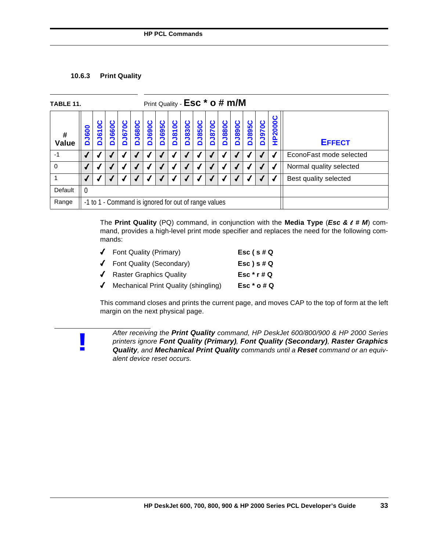### **10.6.3 Print Quality**

**!**

| TABLE 11.  | Print Quality - Esc <sup>*</sup> o # m/M |                                                      |                   |                   |               |               |               |              |               |               |               |              |               |               |               |                |                         |
|------------|------------------------------------------|------------------------------------------------------|-------------------|-------------------|---------------|---------------|---------------|--------------|---------------|---------------|---------------|--------------|---------------|---------------|---------------|----------------|-------------------------|
| #<br>Value | <b>DJ600</b>                             | ပ<br><b>DJ610</b>                                    | <b>J660C</b><br>۵ | <b>J670C</b><br>Õ | <b>DJ680C</b> | <b>DJ690C</b> | <b>DJ695C</b> | <b>J810C</b> | <b>DJ830C</b> | <b>DJ850C</b> | <b>DJ870C</b> | <b>J880C</b> | <b>DJ890C</b> | <b>DJ895C</b> | <b>DO78LQ</b> | <b>HP2000C</b> | <b>EFFECT</b>           |
| $-1$       | $\checkmark$                             |                                                      |                   |                   |               |               |               |              |               |               |               |              |               |               |               |                | EconoFast mode selected |
| $\Omega$   |                                          |                                                      |                   |                   |               |               |               |              |               |               |               |              |               |               |               |                | Normal quality selected |
|            |                                          |                                                      |                   |                   |               |               |               |              |               |               |               |              |               |               |               |                | Best quality selected   |
| Default    | - 0                                      |                                                      |                   |                   |               |               |               |              |               |               |               |              |               |               |               |                |                         |
| Range      |                                          | -1 to 1 - Command is ignored for out of range values |                   |                   |               |               |               |              |               |               |               |              |               |               |               |                |                         |

The **Print Quality** (PQ) command, in conjunction with the **Media Type** (*Esc &* l *# M*) command, provides a high-level print mode specifier and replaces the need for the following commands:

| $\sqrt{\phantom{a}}$ Font Quality (Primary)               | $Esc$ (s#Q      |
|-----------------------------------------------------------|-----------------|
| ✔ Font Quality (Secondary)                                | $Esc$ ) s # $Q$ |
| ↓ Raster Graphics Quality                                 | Esc $*$ r # Q   |
| $\sqrt{\phantom{a}}$ Mechanical Print Quality (shingling) | Esc $*$ o # Q   |

This command closes and prints the current page, and moves CAP to the top of form at the left margin on the next physical page.

*After receiving the Print Quality command, HP DeskJet 600/800/900 & HP 2000 Series printers ignore Font Quality (Primary), Font Quality (Secondary), Raster Graphics Quality, and Mechanical Print Quality commands until a Reset command or an equivalent device reset occurs.*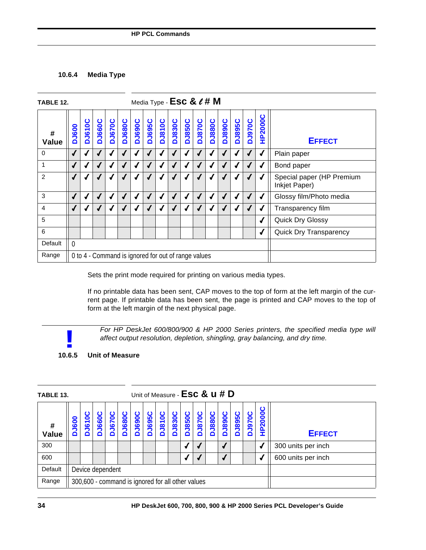### **10.6.4 Media Type**

| TABLE 12.         | Media Type - $\textsf{Esc} \& \textit{ell} \# \mathsf{M}$ |               |               |               |               |                                                     |               |               |               |               |               |               |               |               |               |                |                                            |
|-------------------|-----------------------------------------------------------|---------------|---------------|---------------|---------------|-----------------------------------------------------|---------------|---------------|---------------|---------------|---------------|---------------|---------------|---------------|---------------|----------------|--------------------------------------------|
| #<br><b>Value</b> | <b>DJ600</b>                                              | <b>DJ610C</b> | <b>DJ660C</b> | <b>DJ670C</b> | <b>DJ680C</b> | <b>DJ690C</b>                                       | <b>DJ695C</b> | <b>DJ810C</b> | <b>DJ830C</b> | <b>DJ850C</b> | <b>DJ870C</b> | <b>DJ880C</b> | <b>DJ890C</b> | <b>DJ895C</b> | <b>DJ970C</b> | <b>HP2000C</b> | <b>EFFECT</b>                              |
| 0                 | $\sqrt{2}$                                                |               | J             | √             |               |                                                     | $\sqrt{ }$    |               |               |               | √             | √             |               |               | √             | √              | Plain paper                                |
| 1                 | $\sqrt{2}$                                                |               |               |               |               |                                                     | √             |               |               |               |               | √             |               |               |               | √              | Bond paper                                 |
| 2                 |                                                           |               |               |               |               |                                                     | J             |               |               |               |               |               |               |               |               |                | Special paper (HP Premium<br>Inkjet Paper) |
| 3                 | ✔                                                         |               |               |               |               |                                                     | ✔             |               |               |               |               | ┙             |               |               |               | J              | Glossy film/Photo media                    |
| 4                 | $\sqrt{2}$                                                |               |               |               |               |                                                     | √             |               |               |               |               | J             |               |               |               | ┙              | Transparency film                          |
| 5                 |                                                           |               |               |               |               |                                                     |               |               |               |               |               |               |               |               |               | √              | <b>Quick Dry Glossy</b>                    |
| 6                 |                                                           |               |               |               |               |                                                     |               |               |               |               |               |               |               |               |               | √              | Quick Dry Transparency                     |
| Default           | $\mathbf{0}$                                              |               |               |               |               |                                                     |               |               |               |               |               |               |               |               |               |                |                                            |
| Range             |                                                           |               |               |               |               | 0 to 4 - Command is ignored for out of range values |               |               |               |               |               |               |               |               |               |                |                                            |

Sets the print mode required for printing on various media types.

If no printable data has been sent, CAP moves to the top of form at the left margin of the current page. If printable data has been sent, the page is printed and CAP moves to the top of form at the left margin of the next physical page.



*For HP DeskJet 600/800/900 & HP 2000 Series printers, the specified media type will affect output resolution, depletion, shingling, gray balancing, and dry time.*

**10.6.5 Unit of Measure**

| TABLE 13.         | Unit of Measure - Esc & u # D |                                                   |                   |               |            |            |                        |               |               |                        |                   |               |                   |                   |              |             |                    |
|-------------------|-------------------------------|---------------------------------------------------|-------------------|---------------|------------|------------|------------------------|---------------|---------------|------------------------|-------------------|---------------|-------------------|-------------------|--------------|-------------|--------------------|
| #<br><b>Value</b> | <b>J600</b><br>۵              | <b>J610</b><br>$\Box$                             | <b>Jesoc</b><br>≏ | <b>DJ670C</b> | J680C<br>۵ | J690C<br>Ó | <b>J695C</b><br>$\Box$ | <b>DJ810C</b> | <b>DJ830C</b> | <b>J850C</b><br>$\Box$ | <b>J870C</b><br>۵ | <b>DJ880C</b> | <b>J890C</b><br>Δ | <b>J895C</b><br>۵ | <b>J970C</b> | P2000C<br>I | <b>EFFECT</b>      |
| 300               |                               |                                                   |                   |               |            |            |                        |               |               |                        |                   |               |                   |                   |              |             | 300 units per inch |
| 600               |                               |                                                   |                   |               |            |            |                        |               |               |                        |                   |               |                   |                   |              |             | 600 units per inch |
| Default           | Device dependent              |                                                   |                   |               |            |            |                        |               |               |                        |                   |               |                   |                   |              |             |                    |
| Range             |                               | 300,600 - command is ignored for all other values |                   |               |            |            |                        |               |               |                        |                   |               |                   |                   |              |             |                    |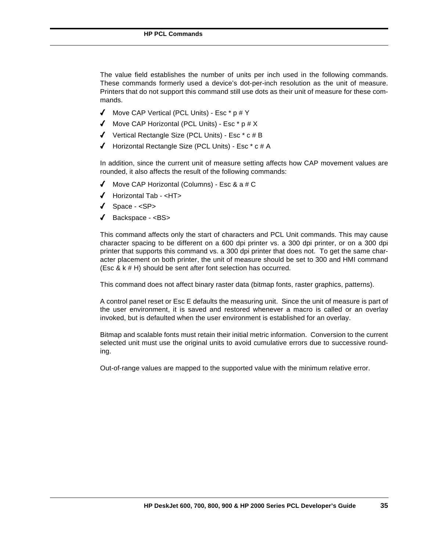The value field establishes the number of units per inch used in the following commands. These commands formerly used a device's dot-per-inch resolution as the unit of measure. Printers that do not support this command still use dots as their unit of measure for these commands.

- $\blacklozenge$  Move CAP Vertical (PCL Units) Esc \* p # Y
- $\blacklozenge$  Move CAP Horizontal (PCL Units) Esc  $*$  p # X
- $\checkmark$  Vertical Rectangle Size (PCL Units) Esc  $*$  c # B
- $\blacklozenge$  Horizontal Rectangle Size (PCL Units) Esc  $*$  c # A

In addition, since the current unit of measure setting affects how CAP movement values are rounded, it also affects the result of the following commands:

- $\blacklozenge$  Move CAP Horizontal (Columns) Esc & a # C
- 4 Horizontal Tab <HT>
- 4 Space <SP>
- $\triangleleft$  Backspace  $\triangleleft$ BS>

This command affects only the start of characters and PCL Unit commands. This may cause character spacing to be different on a 600 dpi printer vs. a 300 dpi printer, or on a 300 dpi printer that supports this command vs. a 300 dpi printer that does not. To get the same character placement on both printer, the unit of measure should be set to 300 and HMI command (Esc & k # H) should be sent after font selection has occurred.

This command does not affect binary raster data (bitmap fonts, raster graphics, patterns).

A control panel reset or Esc E defaults the measuring unit. Since the unit of measure is part of the user environment, it is saved and restored whenever a macro is called or an overlay invoked, but is defaulted when the user environment is established for an overlay.

Bitmap and scalable fonts must retain their initial metric information. Conversion to the current selected unit must use the original units to avoid cumulative errors due to successive rounding.

Out-of-range values are mapped to the supported value with the minimum relative error.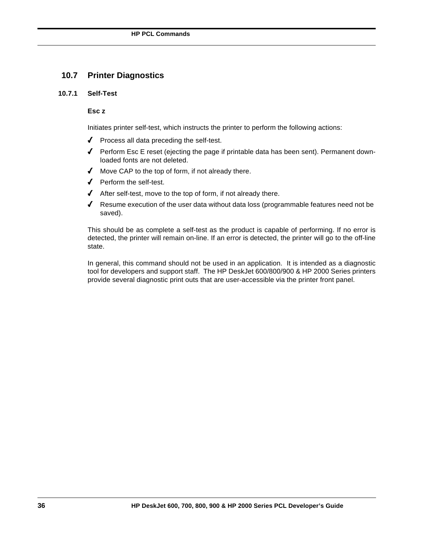### **10.7 Printer Diagnostics**

### **10.7.1 Self-Test**

### **Esc z**

Initiates printer self-test, which instructs the printer to perform the following actions:

- ◆ Process all data preceding the self-test.
- 4 Perform Esc E reset (ejecting the page if printable data has been sent). Permanent downloaded fonts are not deleted.
- 4 Move CAP to the top of form, if not already there.
- ◆ Perform the self-test.
- $\blacklozenge$  After self-test, move to the top of form, if not already there.
- $\blacklozenge$  Resume execution of the user data without data loss (programmable features need not be saved).

This should be as complete a self-test as the product is capable of performing. If no error is detected, the printer will remain on-line. If an error is detected, the printer will go to the off-line state.

In general, this command should not be used in an application. It is intended as a diagnostic tool for developers and support staff. The HP DeskJet 600/800/900 & HP 2000 Series printers provide several diagnostic print outs that are user-accessible via the printer front panel.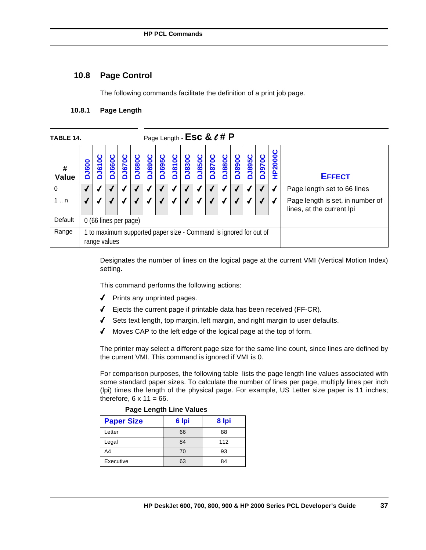## **10.8 Page Control**

The following commands facilitate the definition of a print job page.

## **10.8.1 Page Length**

| TABLE 14.   | Page Length - ESC & $\ell$ # P                                                    |                       |               |               |               |               |                   |               |               |               |               |               |               |               |               |                |                                                               |
|-------------|-----------------------------------------------------------------------------------|-----------------------|---------------|---------------|---------------|---------------|-------------------|---------------|---------------|---------------|---------------|---------------|---------------|---------------|---------------|----------------|---------------------------------------------------------------|
| #<br>Value  | <b>DJ600</b>                                                                      | ت<br>DJ610            | <b>DJ660C</b> | <b>DJ670C</b> | <b>DJ680C</b> | <b>DJ690C</b> | <b>J695C</b><br>۵ | <b>DJ810C</b> | <b>DJ830C</b> | <b>DJ850C</b> | <b>DJ870C</b> | <b>DJ880C</b> | <b>DJ890C</b> | <b>DJ895C</b> | <b>DJ970C</b> | <b>HP2000C</b> | <b>EFFECT</b>                                                 |
| 0           |                                                                                   |                       |               |               |               |               |                   |               |               |               |               |               |               |               |               |                | Page length set to 66 lines                                   |
| $1 \dots n$ |                                                                                   |                       |               |               |               |               |                   |               |               |               |               |               |               |               |               |                | Page length is set, in number of<br>lines, at the current lpi |
| Default     |                                                                                   | 0 (66 lines per page) |               |               |               |               |                   |               |               |               |               |               |               |               |               |                |                                                               |
| Range       | 1 to maximum supported paper size - Command is ignored for out of<br>range values |                       |               |               |               |               |                   |               |               |               |               |               |               |               |               |                |                                                               |

Designates the number of lines on the logical page at the current VMI (Vertical Motion Index) setting.

This command performs the following actions:

- 4 Prints any unprinted pages.
- $\blacklozenge$  Ejects the current page if printable data has been received (FF-CR).
- 4 Sets text length, top margin, left margin, and right margin to user defaults.
- 4 Moves CAP to the left edge of the logical page at the top of form.

The printer may select a different page size for the same line count, since lines are defined by the current VMI. This command is ignored if VMI is 0.

For comparison purposes, the following table lists the page length line values associated with some standard paper sizes. To calculate the number of lines per page, multiply lines per inch (lpi) times the length of the physical page. For example, US Letter size paper is 11 inches; therefore,  $6 \times 11 = 66$ .

#### **Page Length Line Values**

| <b>Paper Size</b> | 6 lpi | 8 Ipi |
|-------------------|-------|-------|
| Letter            | 66    | 88    |
| Legal             | 84    | 112   |
| A4                | 70    | 93    |
| Executive         | 63    | 84    |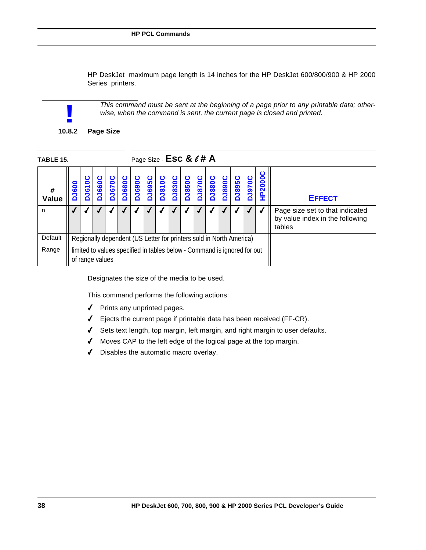HP DeskJet maximum page length is 14 inches for the HP DeskJet 600/800/900 & HP 2000 Series printers.

*This command must be sent at the beginning of a page prior to any printable data; other-*

**!**

**10.8.2 Page Size**

| TABLE 15.  | Page Size - $\textsf{Esc} \& \ell \# A$                                                     |                                                                                                                                                                                                                                                                            |  |  |  |  |  |  |  |  |  |  |  |  |               |  |                                                                              |
|------------|---------------------------------------------------------------------------------------------|----------------------------------------------------------------------------------------------------------------------------------------------------------------------------------------------------------------------------------------------------------------------------|--|--|--|--|--|--|--|--|--|--|--|--|---------------|--|------------------------------------------------------------------------------|
| #<br>Value | <b>J600</b>                                                                                 | <b>HP2000C</b><br><b>DJ690C</b><br><b>DJ830C</b><br><b>J850C</b><br><b>DJ680C</b><br><b>J695C</b><br><b>DJ810C</b><br><b>J880C</b><br><b>DJ895C</b><br><b>J670C</b><br><b>DJ870C</b><br><b>J068rc</b><br><b>J970C</b><br><b>J660</b><br>0<br>$\overline{5}$<br>Õ<br>ó<br>≏ |  |  |  |  |  |  |  |  |  |  |  |  | <b>EFFECT</b> |  |                                                                              |
| n          |                                                                                             |                                                                                                                                                                                                                                                                            |  |  |  |  |  |  |  |  |  |  |  |  |               |  | Page size set to that indicated<br>by value index in the following<br>tables |
| Default    | Regionally dependent (US Letter for printers sold in North America)                         |                                                                                                                                                                                                                                                                            |  |  |  |  |  |  |  |  |  |  |  |  |               |  |                                                                              |
| Range      | limited to values specified in tables below - Command is ignored for out<br>of range values |                                                                                                                                                                                                                                                                            |  |  |  |  |  |  |  |  |  |  |  |  |               |  |                                                                              |

*wise, when the command is sent, the current page is closed and printed.*

Designates the size of the media to be used.

This command performs the following actions:

- ◆ Prints any unprinted pages.
- $\blacklozenge$  Ejects the current page if printable data has been received (FF-CR).
- 4 Sets text length, top margin, left margin, and right margin to user defaults.
- 4 Moves CAP to the left edge of the logical page at the top margin.
- 4 Disables the automatic macro overlay.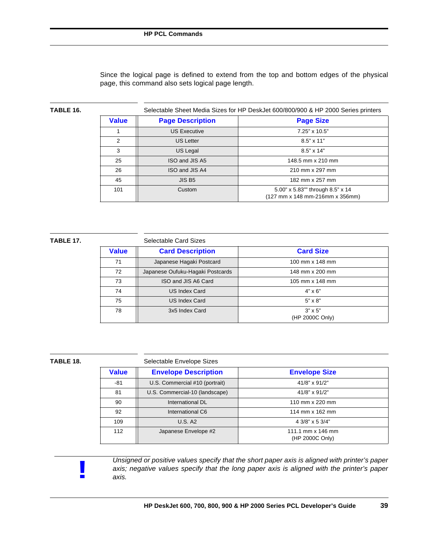Since the logical page is defined to extend from the top and bottom edges of the physical page, this command also sets logical page length.

| TABLE 16. | Selectable Sheet Media Sizes for HP DeskJet 600/800/900 & HP 2000 Series printers |                         |                                                                     |  |  |  |  |  |  |  |  |  |  |  |
|-----------|-----------------------------------------------------------------------------------|-------------------------|---------------------------------------------------------------------|--|--|--|--|--|--|--|--|--|--|--|
|           | <b>Value</b>                                                                      | <b>Page Description</b> | <b>Page Size</b>                                                    |  |  |  |  |  |  |  |  |  |  |  |
|           |                                                                                   | <b>US Executive</b>     | 7.25" x 10.5"                                                       |  |  |  |  |  |  |  |  |  |  |  |
|           | $\mathcal{P}$                                                                     | <b>US Letter</b>        | $8.5" \times 11"$                                                   |  |  |  |  |  |  |  |  |  |  |  |
|           | 3                                                                                 | US Legal                | $8.5" \times 14"$                                                   |  |  |  |  |  |  |  |  |  |  |  |
|           | 25                                                                                | ISO and JIS A5          | 148.5 mm x 210 mm                                                   |  |  |  |  |  |  |  |  |  |  |  |
|           | 26                                                                                | ISO and JIS A4          | 210 mm x 297 mm                                                     |  |  |  |  |  |  |  |  |  |  |  |
|           | 45                                                                                | JIS B <sub>5</sub>      | 182 mm x 257 mm                                                     |  |  |  |  |  |  |  |  |  |  |  |
|           | 101                                                                               | Custom                  | 5.00" x 5.83"" through 8.5" x 14<br>(127 mm x 148 mm-216mm x 356mm) |  |  |  |  |  |  |  |  |  |  |  |

| ABL' |  |
|------|--|
|------|--|

#### **TABLE 17.** Selectable Card Sizes

|              | <u>ociculable Odiu Olzes</u>     |                                   |
|--------------|----------------------------------|-----------------------------------|
| <b>Value</b> | <b>Card Description</b>          | <b>Card Size</b>                  |
| 71           | Japanese Hagaki Postcard         | 100 mm x 148 mm                   |
| 72           | Japanese Oufuku-Hagaki Postcards | 148 mm x 200 mm                   |
| 73           | ISO and JIS A6 Card              | 105 mm x 148 mm                   |
| 74           | US Index Card                    | $4" \times 6"$                    |
| 75           | US Index Card                    | $5" \times 8"$                    |
| 78           | 3x5 Index Card                   | $3" \times 5"$<br>(HP 2000C Only) |

| TABLE 18. |              | Selectable Envelope Sizes      |                                      |  |  |  |  |  |  |  |  |  |  |  |
|-----------|--------------|--------------------------------|--------------------------------------|--|--|--|--|--|--|--|--|--|--|--|
|           | <b>Value</b> | <b>Envelope Description</b>    | <b>Envelope Size</b>                 |  |  |  |  |  |  |  |  |  |  |  |
|           | $-81$        | U.S. Commercial #10 (portrait) | 41/8" x 91/2"                        |  |  |  |  |  |  |  |  |  |  |  |
|           | 81           | U.S. Commercial-10 (landscape) | 41/8" x 91/2"                        |  |  |  |  |  |  |  |  |  |  |  |
|           | 90           | International DL               | 110 mm x 220 mm                      |  |  |  |  |  |  |  |  |  |  |  |
|           | 92           | International C6               | 114 mm x 162 mm                      |  |  |  |  |  |  |  |  |  |  |  |
|           | 109          | <b>U.S. A2</b>                 | 4 3/8" x 5 3/4"                      |  |  |  |  |  |  |  |  |  |  |  |
|           | 112          | Japanese Envelope #2           | 111.1 mm x 146 mm<br>(HP 2000C Only) |  |  |  |  |  |  |  |  |  |  |  |

**!**

*Unsigned or positive values specify that the short paper axis is aligned with printer's paper axis; negative values specify that the long paper axis is aligned with the printer's paper axis.*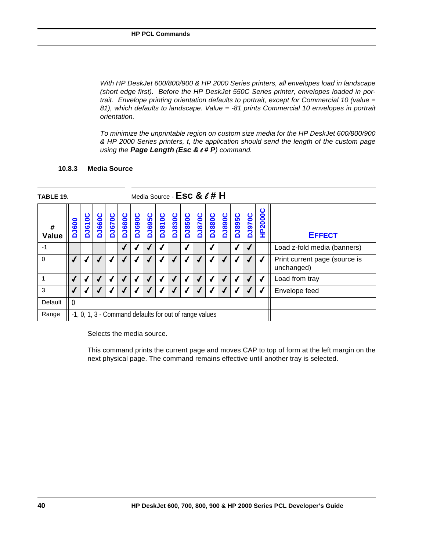*With HP DeskJet 600/800/900 & HP 2000 Series printers, all envelopes load in landscape (short edge first). Before the HP DeskJet 550C Series printer, envelopes loaded in portrait. Envelope printing orientation defaults to portrait, except for Commercial 10 (value = 81), which defaults to landscape. Value = -81 prints Commercial 10 envelopes in portrait orientation.*

*To minimize the unprintable region on custom size media for the HP DeskJet 600/800/900 & HP 2000 Series printers, t, the application should send the length of the custom page using the Page Length (Esc &* l *# P) command.*

## **10.8.3 Media Source**

| TABLE 19.   | Media Source - $\textsf{Esc} \& \ell \texttt{\#} \textsf{H}$ |                                                                                                                                                                                                                                                     |  |  |            |  |            |  |  |  |  |   |  |  |   |               |                                             |
|-------------|--------------------------------------------------------------|-----------------------------------------------------------------------------------------------------------------------------------------------------------------------------------------------------------------------------------------------------|--|--|------------|--|------------|--|--|--|--|---|--|--|---|---------------|---------------------------------------------|
| #<br>Value  | <b>DJ600</b>                                                 | <b>HP2000C</b><br>DJ890C<br><b>DJ695C</b><br><b>DJ810C</b><br><b>DJ830C</b><br><b>DJ880C</b><br><b>DJ895C</b><br><b>DJ970C</b><br><b>DJ850C</b><br>DJ870C<br><b>DJ670C</b><br><b>DJ680C</b><br><b>DJ690C</b><br><b>DJ660C</b><br>ပ<br><b>DJ6100</b> |  |  |            |  |            |  |  |  |  |   |  |  |   | <b>EFFECT</b> |                                             |
| $-1$        |                                                              |                                                                                                                                                                                                                                                     |  |  | $\sqrt{2}$ |  |            |  |  |  |  |   |  |  |   |               | Load z-fold media (banners)                 |
| $\mathbf 0$ |                                                              |                                                                                                                                                                                                                                                     |  |  |            |  |            |  |  |  |  |   |  |  |   |               | Print current page (source is<br>unchanged) |
|             |                                                              | ◢                                                                                                                                                                                                                                                   |  |  | √          |  | $\sqrt{ }$ |  |  |  |  | ◢ |  |  | √ |               | Load from tray                              |
| 3           |                                                              |                                                                                                                                                                                                                                                     |  |  |            |  |            |  |  |  |  |   |  |  |   |               | Envelope feed                               |
| Default     | $\Omega$                                                     |                                                                                                                                                                                                                                                     |  |  |            |  |            |  |  |  |  |   |  |  |   |               |                                             |
| Range       |                                                              | -1, 0, 1, 3 - Command defaults for out of range values                                                                                                                                                                                              |  |  |            |  |            |  |  |  |  |   |  |  |   |               |                                             |

Selects the media source.

This command prints the current page and moves CAP to top of form at the left margin on the next physical page. The command remains effective until another tray is selected.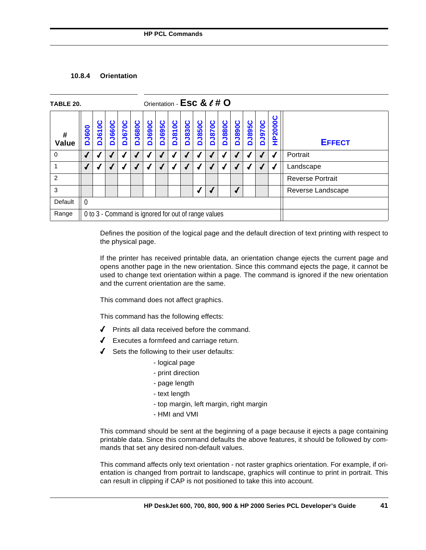## **10.8.4 Orientation**

| TABLE 20.                  | Orientation - Esc & e # O                           |               |               |               |               |               |               |               |               |               |               |               |               |               |               |         |                         |
|----------------------------|-----------------------------------------------------|---------------|---------------|---------------|---------------|---------------|---------------|---------------|---------------|---------------|---------------|---------------|---------------|---------------|---------------|---------|-------------------------|
| $\pmb{\#}$<br><b>Value</b> | <b>DJ600</b>                                        | <b>DJ610C</b> | <b>DJ660C</b> | <b>DJ670C</b> | <b>DJ680C</b> | <b>DJ690C</b> | <b>DJ695C</b> | <b>DJ810C</b> | <b>DJ830C</b> | <b>DJ850C</b> | <b>DJ870C</b> | <b>DJ880C</b> | <b>DJ890C</b> | <b>DJ895C</b> | <b>DJ970C</b> | HP2000C | <b>EFFECT</b>           |
| $\mathbf 0$                | $\sqrt{2}$                                          |               |               |               |               |               |               |               |               |               |               |               |               |               |               |         | Portrait                |
|                            | $\overline{\mathcal{L}}$                            |               |               |               |               |               |               |               |               |               |               |               |               |               |               |         | Landscape               |
| $\overline{2}$             |                                                     |               |               |               |               |               |               |               |               |               |               |               |               |               |               |         | <b>Reverse Portrait</b> |
| 3                          |                                                     |               |               |               |               |               |               |               |               |               |               |               |               |               |               |         | Reverse Landscape       |
| Default                    | $\Omega$                                            |               |               |               |               |               |               |               |               |               |               |               |               |               |               |         |                         |
| Range                      | 0 to 3 - Command is ignored for out of range values |               |               |               |               |               |               |               |               |               |               |               |               |               |               |         |                         |

Defines the position of the logical page and the default direction of text printing with respect to the physical page.

If the printer has received printable data, an orientation change ejects the current page and opens another page in the new orientation. Since this command ejects the page, it cannot be used to change text orientation within a page. The command is ignored if the new orientation and the current orientation are the same.

This command does not affect graphics.

This command has the following effects:

- 4 Prints all data received before the command.
- $\sqrt{\phantom{a}}$  Executes a formfeed and carriage return.
- $\triangleleft$  Sets the following to their user defaults:
	- logical page
	- print direction
	- page length
	- text length
	- top margin, left margin, right margin
	- HMI and VMI

This command should be sent at the beginning of a page because it ejects a page containing printable data. Since this command defaults the above features, it should be followed by commands that set any desired non-default values.

This command affects only text orientation - not raster graphics orientation. For example, if orientation is changed from portrait to landscape, graphics will continue to print in portrait. This can result in clipping if CAP is not positioned to take this into account.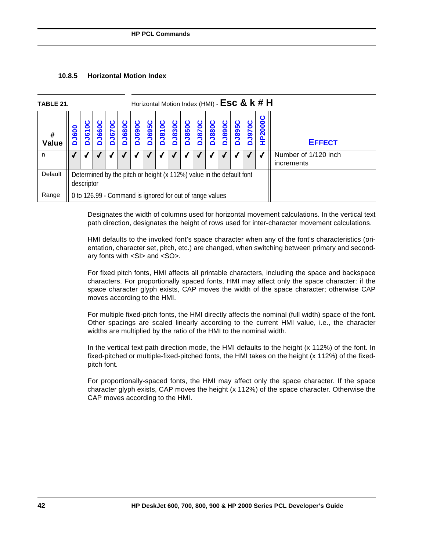## **10.8.5 Horizontal Motion Index**

| TABLE 21.  | Horizontal Motion Index (HMI) - $\textsf{Esc} \& k \# H$ |                                                                                                                                                                                                                                          |  |  |  |  |  |  |  |  |  |  |  |  |                |               |                                    |
|------------|----------------------------------------------------------|------------------------------------------------------------------------------------------------------------------------------------------------------------------------------------------------------------------------------------------|--|--|--|--|--|--|--|--|--|--|--|--|----------------|---------------|------------------------------------|
| #<br>Value | <b>J600</b>                                              | <b>DJ895C</b><br><b>DJ830C</b><br><b>1695C</b><br><b>J810C</b><br><b>DJ850C</b><br><b>1680C</b><br><b>DJ880C</b><br>DJ890C<br><b>J690C</b><br><b>J970C</b><br><b>J670C</b><br><b>J870C</b><br>0<br>660<br>$\overline{\bullet}$<br>Ŏ<br>۵ |  |  |  |  |  |  |  |  |  |  |  |  | <b>HP2000C</b> | <b>EFFECT</b> |                                    |
| n          |                                                          |                                                                                                                                                                                                                                          |  |  |  |  |  |  |  |  |  |  |  |  |                |               | Number of 1/120 inch<br>increments |
| Default    |                                                          | Determined by the pitch or height (x 112%) value in the default font<br>descriptor                                                                                                                                                       |  |  |  |  |  |  |  |  |  |  |  |  |                |               |                                    |
| Range      |                                                          | 0 to 126.99 - Command is ignored for out of range values                                                                                                                                                                                 |  |  |  |  |  |  |  |  |  |  |  |  |                |               |                                    |

Designates the width of columns used for horizontal movement calculations. In the vertical text path direction, designates the height of rows used for inter-character movement calculations.

HMI defaults to the invoked font's space character when any of the font's characteristics (orientation, character set, pitch, etc.) are changed, when switching between primary and secondary fonts with <SI> and <SO>.

For fixed pitch fonts, HMI affects all printable characters, including the space and backspace characters. For proportionally spaced fonts, HMI may affect only the space character: if the space character glyph exists, CAP moves the width of the space character; otherwise CAP moves according to the HMI.

For multiple fixed-pitch fonts, the HMI directly affects the nominal (full width) space of the font. Other spacings are scaled linearly according to the current HMI value, i.e., the character widths are multiplied by the ratio of the HMI to the nominal width.

In the vertical text path direction mode, the HMI defaults to the height (x 112%) of the font. In fixed-pitched or multiple-fixed-pitched fonts, the HMI takes on the height (x 112%) of the fixedpitch font.

For proportionally-spaced fonts, the HMI may affect only the space character. If the space character glyph exists, CAP moves the height (x 112%) of the space character. Otherwise the CAP moves according to the HMI.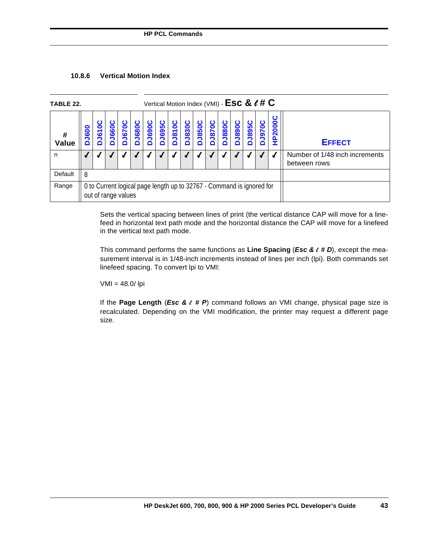| <b>Vertical Motion Index</b><br>10.8.6 |  |
|----------------------------------------|--|
|----------------------------------------|--|

| TABLE 22.         | Vertical Motion Index (VMI) - ESC & $\ell$ # C                                               |                                                                                                                                                                                                                                                              |  |  |  |  |  |  |  |  |  |  |  |  |               |  |                                                |
|-------------------|----------------------------------------------------------------------------------------------|--------------------------------------------------------------------------------------------------------------------------------------------------------------------------------------------------------------------------------------------------------------|--|--|--|--|--|--|--|--|--|--|--|--|---------------|--|------------------------------------------------|
| #<br><b>Value</b> | <b>DJ600</b>                                                                                 | <b>HP2000C</b><br><b>DJ690C</b><br><b>DJ895C</b><br><b>1660C</b><br><b>J670C</b><br><b>DJ680C</b><br><b>1695C</b><br><b>J810C</b><br><b>DJ830C</b><br><b>DJ850C</b><br><b>J880C</b><br><b>DJ890C</b><br><b>J970C</b><br><b>DJ610</b><br>DJ870<br>Õ<br>Δ<br>Õ |  |  |  |  |  |  |  |  |  |  |  |  | <b>EFFECT</b> |  |                                                |
| n                 |                                                                                              |                                                                                                                                                                                                                                                              |  |  |  |  |  |  |  |  |  |  |  |  |               |  | Number of 1/48 inch increments<br>between rows |
| Default           | 8                                                                                            |                                                                                                                                                                                                                                                              |  |  |  |  |  |  |  |  |  |  |  |  |               |  |                                                |
| Range             | 0 to Current logical page length up to 32767 - Command is ignored for<br>out of range values |                                                                                                                                                                                                                                                              |  |  |  |  |  |  |  |  |  |  |  |  |               |  |                                                |

Sets the vertical spacing between lines of print (the vertical distance CAP will move for a linefeed in horizontal text path mode and the horizontal distance the CAP will move for a linefeed in the vertical text path mode.

This command performs the same functions as **Line Spacing** (*Esc &* l *# D*), except the measurement interval is in 1/48-inch increments instead of lines per inch (lpi). Both commands set linefeed spacing. To convert lpi to VMI:

VMI = 48.0/ lpi

If the **Page Length** (*Esc &* l *# P*) command follows an VMI change, physical page size is recalculated. Depending on the VMI modification, the printer may request a different page size.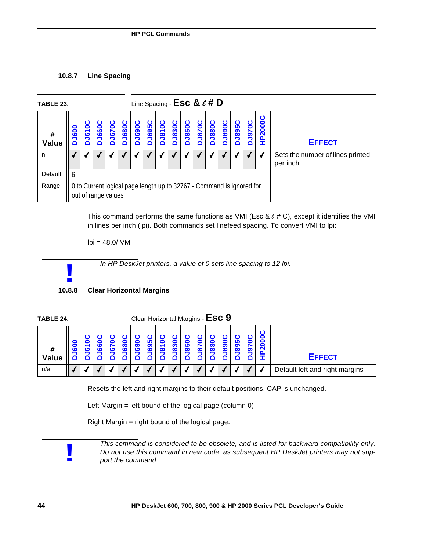## **10.8.7 Line Spacing**

| TABLE 23.  |              |                                                                                              |             |                    |                   | Line Spacing - ESC & $\ell$ # D |              |               |               |                   |                  |                   |                   |               |              |                                              |               |
|------------|--------------|----------------------------------------------------------------------------------------------|-------------|--------------------|-------------------|---------------------------------|--------------|---------------|---------------|-------------------|------------------|-------------------|-------------------|---------------|--------------|----------------------------------------------|---------------|
| #<br>Value | <b>DJ600</b> | $\bullet$<br><b>DJ61</b>                                                                     | <b>J660</b> | ပ<br><b>DJ6700</b> | <b>J680C</b><br>۵ | <b>DJ690C</b>                   | <b>J695C</b> | <b>DJ810C</b> | <b>DJ830C</b> | <b>J850C</b><br>۵ | ပ<br><b>J870</b> | ပ<br><b>DJ880</b> | <b>J890C</b><br>۵ | <b>DJ895C</b> | <b>J970C</b> | HP2000C                                      | <b>EFFECT</b> |
| n          |              |                                                                                              |             |                    |                   |                                 |              |               |               |                   |                  |                   |                   |               |              | Sets the number of lines printed<br>per inch |               |
| Default    | 6            |                                                                                              |             |                    |                   |                                 |              |               |               |                   |                  |                   |                   |               |              |                                              |               |
| Range      |              | 0 to Current logical page length up to 32767 - Command is ignored for<br>out of range values |             |                    |                   |                                 |              |               |               |                   |                  |                   |                   |               |              |                                              |               |

This command performs the same functions as VMI (Esc &  $\ell$  # C), except it identifies the VMI in lines per inch (lpi). Both commands set linefeed spacing. To convert VMI to lpi:

 $lpi = 48.0 / VMI$ 

*In HP DeskJet printers, a value of 0 sets line spacing to 12 lpi.*



| TABLE 24.  |                |         |           |        |        |          |     |                    |                                      |                                      |          |                             | Clear Horizontal Margins - $\textsf{Esc}\ 9$ |         |   |                 |                                |
|------------|----------------|---------|-----------|--------|--------|----------|-----|--------------------|--------------------------------------|--------------------------------------|----------|-----------------------------|----------------------------------------------|---------|---|-----------------|--------------------------------|
| #<br>Value | $\bullet$<br>ō | -<br>LО | $\bar{c}$ | -<br>ശ | o<br>8 | 0<br>ဥ္သ | ဥ္တ | c<br>᠆<br>$\infty$ | $\bullet$<br>$\overline{\mathbf{8}}$ | 0<br><u>ທ</u><br>$\ddot{\mathbf{o}}$ | $\infty$ | $\bullet$<br>$\overline{8}$ | 0<br>89                                      | ഥ<br>89 | တ | 0<br><b>200</b> | <b>EFFECT</b>                  |
| n/a        |                |         |           |        |        |          |     |                    |                                      |                                      |          |                             |                                              |         |   |                 | Default left and right margins |

Resets the left and right margins to their default positions. CAP is unchanged.

Left Margin = left bound of the logical page (column  $0$ )

Right Margin = right bound of the logical page.

**!**

*This command is considered to be obsolete, and is listed for backward compatibility only. Do not use this command in new code, as subsequent HP DeskJet printers may not support the command.*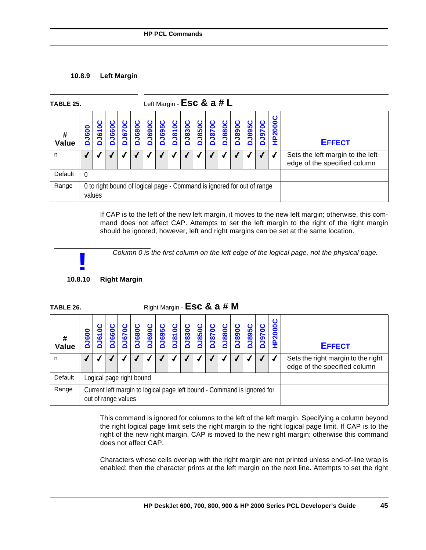## **10.8.9 Left Margin**

| TABLE 25.  |              |                          |     |               |               |               |                  |                   |               | Left Margin - $\textsf{Esc} \& a \# L$                                 |                       |                   |               |               |                   |        |                                                                  |
|------------|--------------|--------------------------|-----|---------------|---------------|---------------|------------------|-------------------|---------------|------------------------------------------------------------------------|-----------------------|-------------------|---------------|---------------|-------------------|--------|------------------------------------------------------------------|
| #<br>Value | <b>DJ600</b> | 0<br>$\bar{\bm{5}}$<br>≏ | 660 | O<br>670<br>◘ | <b>DJ680C</b> | <b>DJ690C</b> | <b>695C</b><br>Δ | <b>J810C</b><br>≏ | <b>DJ830C</b> | <b>J850C</b><br>ó                                                      | ്<br><b>J870</b><br>Õ | <b>1880C</b><br>≏ | <b>D068rd</b> | <b>DJ895C</b> | <b>J970C</b><br>≏ | P2000C | <b>EFFECT</b>                                                    |
| n          |              |                          |     |               |               |               |                  |                   |               |                                                                        |                       |                   |               |               |                   |        | Sets the left margin to the left<br>edge of the specified column |
| Default    | $\Omega$     |                          |     |               |               |               |                  |                   |               |                                                                        |                       |                   |               |               |                   |        |                                                                  |
| Range      | values       |                          |     |               |               |               |                  |                   |               | 0 to right bound of logical page - Command is ignored for out of range |                       |                   |               |               |                   |        |                                                                  |

If CAP is to the left of the new left margin, it moves to the new left margin; otherwise, this command does not affect CAP. Attempts to set the left margin to the right of the right margin should be ignored; however, left and right margins can be set at the same location.

*Column 0 is the first column on the left edge of the logical page, not the physical page.*

# **10.8.10 Right Margin !**

| TABLE 26.  |            |                                                                                                |     |               |          |               | Right Margin - Esc & a # M |            |                    |               |          |                   |                       |                    |          |                                                                    |               |
|------------|------------|------------------------------------------------------------------------------------------------|-----|---------------|----------|---------------|----------------------------|------------|--------------------|---------------|----------|-------------------|-----------------------|--------------------|----------|--------------------------------------------------------------------|---------------|
| #<br>Value | <b>600</b> | 0<br><u>ಕ</u><br>≏                                                                             | 660 | Ο<br>670<br>≏ | ပ<br>680 | ပ<br>690<br>≏ | ပ<br>695                   | 1810C<br>≏ | ပ<br><b>DJ8300</b> | ပ<br>850<br>≏ | ပ<br>870 | <b>1880C</b><br>≏ | ပ<br><b>1890</b><br>∩ | ပ<br><b>DJ8950</b> | ပ<br>070 | HP2000C                                                            | <b>EFFECT</b> |
| n          |            |                                                                                                |     |               |          |               |                            |            |                    |               |          |                   |                       |                    |          | Sets the right margin to the right<br>edge of the specified column |               |
| Default    |            | Logical page right bound                                                                       |     |               |          |               |                            |            |                    |               |          |                   |                       |                    |          |                                                                    |               |
| Range      |            | Current left margin to logical page left bound - Command is ignored for<br>out of range values |     |               |          |               |                            |            |                    |               |          |                   |                       |                    |          |                                                                    |               |

This command is ignored for columns to the left of the left margin. Specifying a column beyond the right logical page limit sets the right margin to the right logical page limit. If CAP is to the right of the new right margin, CAP is moved to the new right margin; otherwise this command does not affect CAP.

Characters whose cells overlap with the right margin are not printed unless end-of-line wrap is enabled: then the character prints at the left margin on the next line. Attempts to set the right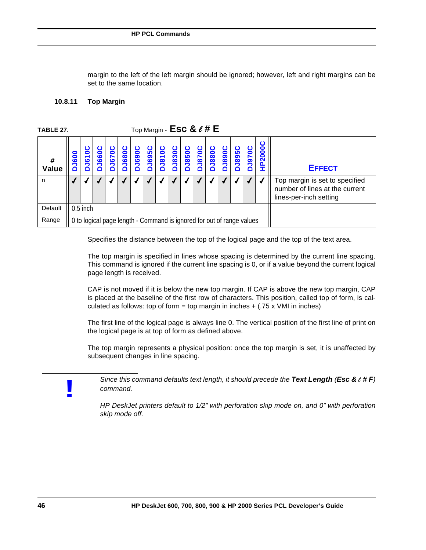margin to the left of the left margin should be ignored; however, left and right margins can be set to the same location.

### **10.8.11 Top Margin**

| TABLE 27.  |     |            |     |          |          |                   |             |                   |               | Top Margin - $\textsf{Esc} \& \ell \text{# E}$ |                   |                   |                   |                                                                       |          |            |                                                                                            |
|------------|-----|------------|-----|----------|----------|-------------------|-------------|-------------------|---------------|------------------------------------------------|-------------------|-------------------|-------------------|-----------------------------------------------------------------------|----------|------------|--------------------------------------------------------------------------------------------|
| #<br>Value | 600 | 8<br>67    | 660 | С<br>670 | ပ<br>680 | <b>J690C</b><br>Δ | <b>1950</b> | <b>J810C</b><br>≏ | <b>DJ830C</b> | <b>J850C</b><br>≏                              | <b>J870C</b><br>Δ | <b>J880C</b><br>≏ | <b>J890C</b><br>n | <b>D3895C</b>                                                         | 070<br>∩ | ပ<br>P2000 | <b>EFFECT</b>                                                                              |
| n          |     |            |     |          |          |                   |             |                   |               |                                                |                   |                   |                   |                                                                       |          |            | Top margin is set to specified<br>number of lines at the current<br>lines-per-inch setting |
| Default    |     | $0.5$ inch |     |          |          |                   |             |                   |               |                                                |                   |                   |                   |                                                                       |          |            |                                                                                            |
| Range      |     |            |     |          |          |                   |             |                   |               |                                                |                   |                   |                   | 0 to logical page length - Command is ignored for out of range values |          |            |                                                                                            |

Specifies the distance between the top of the logical page and the top of the text area.

The top margin is specified in lines whose spacing is determined by the current line spacing. This command is ignored if the current line spacing is 0, or if a value beyond the current logical page length is received.

CAP is not moved if it is below the new top margin. If CAP is above the new top margin, CAP is placed at the baseline of the first row of characters. This position, called top of form, is calculated as follows: top of form = top margin in inches  $+$  (.75 x VMI in inches)

The first line of the logical page is always line 0. The vertical position of the first line of print on the logical page is at top of form as defined above.

The top margin represents a physical position: once the top margin is set, it is unaffected by subsequent changes in line spacing.

**!**

*Since this command defaults text length, it should precede the Text Length (Esc &* l *# F) command.*

*HP DeskJet printers default to 1/2" with perforation skip mode on, and 0" with perforation skip mode off.*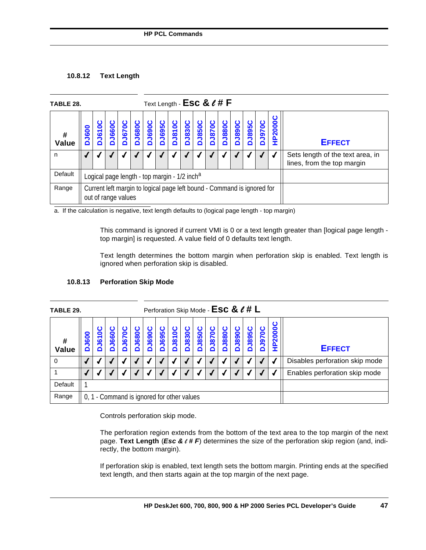## **10.8.12 Text Length**

| TABLE 28.  |                  |                        |              |               |               |        |  | Text Length - $\textsf{Esc} \& \ell \text{#} \textsf{F}$                |               |                   |              |              |               |               |                   |                |                                                                |
|------------|------------------|------------------------|--------------|---------------|---------------|--------|--|-------------------------------------------------------------------------|---------------|-------------------|--------------|--------------|---------------|---------------|-------------------|----------------|----------------------------------------------------------------|
| #<br>Value | <b>J600</b><br>n | O<br><b>J6100</b><br>≏ | <b>J660C</b> | <b>DJ670C</b> | <b>DJ680C</b> | DJ690C |  | DJ695C<br>DJ810C                                                        | <b>DJ830C</b> | <b>J850C</b><br>≏ | <b>J870C</b> | <b>J880C</b> | <b>DJ890C</b> | <b>DJ895C</b> | <b>J970C</b><br>≏ | <b>HP2000C</b> | <b>EFFECT</b>                                                  |
| n          |                  |                        |              |               |               |        |  |                                                                         |               |                   |              |              |               |               |                   |                | Sets length of the text area, in<br>lines, from the top margin |
| Default    |                  |                        |              |               |               |        |  | Logical page length - top margin - 1/2 inch <sup>a</sup>                |               |                   |              |              |               |               |                   |                |                                                                |
| Range      |                  | out of range values    |              |               |               |        |  | Current left margin to logical page left bound - Command is ignored for |               |                   |              |              |               |               |                   |                |                                                                |

a. If the calculation is negative, text length defaults to (logical page length - top margin)

This command is ignored if current VMI is 0 or a text length greater than [logical page length top margin] is requested. A value field of 0 defaults text length.

Text length determines the bottom margin when perforation skip is enabled. Text length is ignored when perforation skip is disabled.

| TABLE 29.  |                  |                                            |                  |              |               |                   |             |              |               | Perforation Skip Mode - ESC & $\ell \# L$ |                  |              |                    |                    |                                |       |                               |
|------------|------------------|--------------------------------------------|------------------|--------------|---------------|-------------------|-------------|--------------|---------------|-------------------------------------------|------------------|--------------|--------------------|--------------------|--------------------------------|-------|-------------------------------|
| #<br>Value | <b>J600</b><br>۵ | ပ<br><b>J610</b><br>≏                      | ပ<br><b>J660</b> | <b>J670C</b> | <b>DJ680C</b> | <b>J690C</b><br>≏ | <b>J695</b> | <b>J810C</b> | <b>DJ830C</b> | <b>J850C</b><br>≏                         | <b>J870</b><br>≏ | <b>J880C</b> | Ω<br><b>DJ8900</b> | ပ<br><b>DJ8950</b> | <b>19700</b><br>۵              | P2000 | <b>EFFECT</b>                 |
| 0          |                  |                                            |                  |              |               |                   |             |              |               |                                           |                  |              |                    |                    | Disables perforation skip mode |       |                               |
|            |                  |                                            |                  |              |               |                   |             |              |               |                                           |                  |              |                    |                    |                                |       | Enables perforation skip mode |
| Default    |                  |                                            |                  |              |               |                   |             |              |               |                                           |                  |              |                    |                    |                                |       |                               |
| Range      |                  | 0, 1 - Command is ignored for other values |                  |              |               |                   |             |              |               |                                           |                  |              |                    |                    |                                |       |                               |

## **10.8.13 Perforation Skip Mode**

Controls perforation skip mode.

The perforation region extends from the bottom of the text area to the top margin of the next page. **Text Length** (*Esc &* l *# F*) determines the size of the perforation skip region (and, indirectly, the bottom margin).

If perforation skip is enabled, text length sets the bottom margin. Printing ends at the specified text length, and then starts again at the top margin of the next page.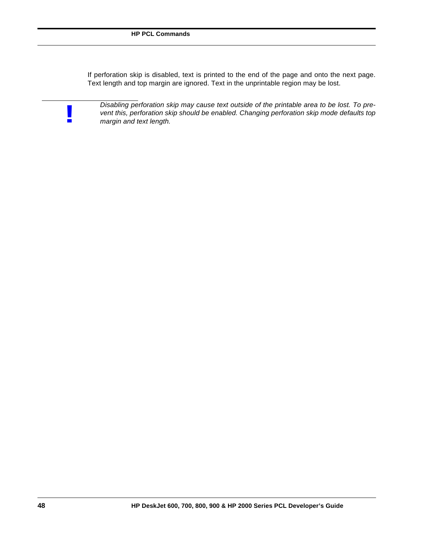If perforation skip is disabled, text is printed to the end of the page and onto the next page. Text length and top margin are ignored. Text in the unprintable region may be lost.



*Disabling perforation skip may cause text outside of the printable area to be lost. To prevent this, perforation skip should be enabled. Changing perforation skip mode defaults top* **!** *margin and text length.*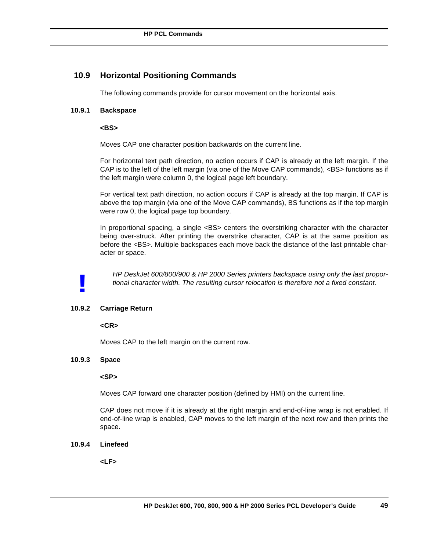## **10.9 Horizontal Positioning Commands**

The following commands provide for cursor movement on the horizontal axis.

## **10.9.1 Backspace**

#### **<BS>**

Moves CAP one character position backwards on the current line.

For horizontal text path direction, no action occurs if CAP is already at the left margin. If the CAP is to the left of the left margin (via one of the Move CAP commands), <BS> functions as if the left margin were column 0, the logical page left boundary.

For vertical text path direction, no action occurs if CAP is already at the top margin. If CAP is above the top margin (via one of the Move CAP commands), BS functions as if the top margin were row 0, the logical page top boundary.

In proportional spacing, a single <BS> centers the overstriking character with the character being over-struck. After printing the overstrike character, CAP is at the same position as before the <BS>. Multiple backspaces each move back the distance of the last printable character or space.

**!**

*HP DeskJet 600/800/900 & HP 2000 Series printers backspace using only the last proportional character width. The resulting cursor relocation is therefore not a fixed constant.*

## **10.9.2 Carriage Return**

**<CR>**

Moves CAP to the left margin on the current row.

## **10.9.3 Space**

**<SP>**

Moves CAP forward one character position (defined by HMI) on the current line.

CAP does not move if it is already at the right margin and end-of-line wrap is not enabled. If end-of-line wrap is enabled, CAP moves to the left margin of the next row and then prints the space.

#### **10.9.4 Linefeed**

**<LF>**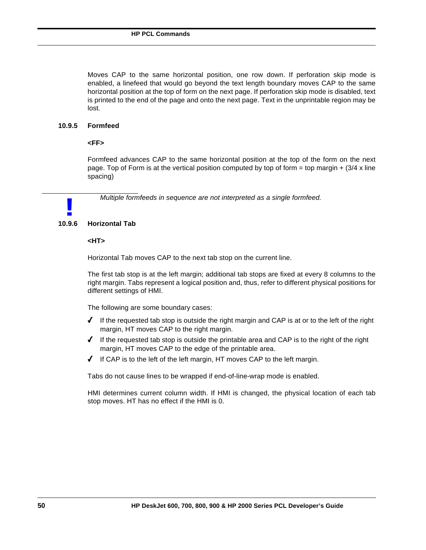Moves CAP to the same horizontal position, one row down. If perforation skip mode is enabled, a linefeed that would go beyond the text length boundary moves CAP to the same horizontal position at the top of form on the next page. If perforation skip mode is disabled, text is printed to the end of the page and onto the next page. Text in the unprintable region may be lost.

## **10.9.5 Formfeed**

## **<FF>**

Formfeed advances CAP to the same horizontal position at the top of the form on the next page. Top of Form is at the vertical position computed by top of form = top margin  $+$  (3/4 x line spacing)

*Multiple formfeeds in sequence are not interpreted as a single formfeed.*

# **10.9.6 Horizontal Tab !**

#### **<HT>**

Horizontal Tab moves CAP to the next tab stop on the current line.

The first tab stop is at the left margin; additional tab stops are fixed at every 8 columns to the right margin. Tabs represent a logical position and, thus, refer to different physical positions for different settings of HMI.

The following are some boundary cases:

- $\blacklozenge$  If the requested tab stop is outside the right margin and CAP is at or to the left of the right margin, HT moves CAP to the right margin.
- $\checkmark$  If the requested tab stop is outside the printable area and CAP is to the right of the right margin, HT moves CAP to the edge of the printable area.
- $\blacklozenge$  If CAP is to the left of the left margin, HT moves CAP to the left margin.

Tabs do not cause lines to be wrapped if end-of-line-wrap mode is enabled.

HMI determines current column width. If HMI is changed, the physical location of each tab stop moves. HT has no effect if the HMI is 0.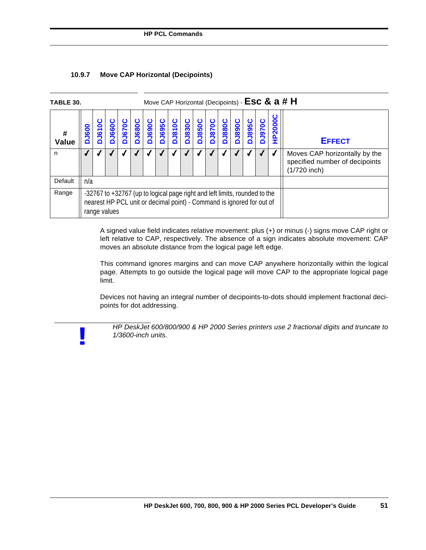| <b>TABLE 30.</b> |              |               |               |              |        |        |                        |                 |               |               |               |                                                                                                                                                     |        |               |               |                     | Move CAP Horizontal (Decipoints) - ESC & a # H                                  |
|------------------|--------------|---------------|---------------|--------------|--------|--------|------------------------|-----------------|---------------|---------------|---------------|-----------------------------------------------------------------------------------------------------------------------------------------------------|--------|---------------|---------------|---------------------|---------------------------------------------------------------------------------|
| #<br>Value       | <b>DJ600</b> | <b>DJ6100</b> | <b>DJ660C</b> | <b>J670C</b> | DJ680C | DJ690C | <b>J695C</b><br>$\Box$ | J810C<br>$\Box$ | <b>DJ830C</b> | <b>DJ850C</b> | <b>DJ870C</b> | <b>J880C</b>                                                                                                                                        | DJ890C | <b>DJ895C</b> | <b>DJ970C</b> | <b>P2000C</b><br>Ŧ. | <b>EFFECT</b>                                                                   |
| n                |              |               |               |              |        |        |                        |                 |               |               |               |                                                                                                                                                     |        |               |               |                     | Moves CAP horizontally by the<br>specified number of decipoints<br>(1/720 inch) |
| Default          | n/a          |               |               |              |        |        |                        |                 |               |               |               |                                                                                                                                                     |        |               |               |                     |                                                                                 |
| Range            |              | range values  |               |              |        |        |                        |                 |               |               |               | -32767 to +32767 (up to logical page right and left limits, rounded to the<br>nearest HP PCL unit or decimal point) - Command is ignored for out of |        |               |               |                     |                                                                                 |

## **10.9.7 Move CAP Horizontal (Decipoints)**

**!**

A signed value field indicates relative movement: plus (+) or minus (-) signs move CAP right or left relative to CAP, respectively. The absence of a sign indicates absolute movement: CAP moves an absolute distance from the logical page left edge.

This command ignores margins and can move CAP anywhere horizontally within the logical page. Attempts to go outside the logical page will move CAP to the appropriate logical page limit.

Devices not having an integral number of decipoints-to-dots should implement fractional decipoints for dot addressing.

*HP DeskJet 600/800/900 & HP 2000 Series printers use 2 fractional digits and truncate to 1/3600-inch units.*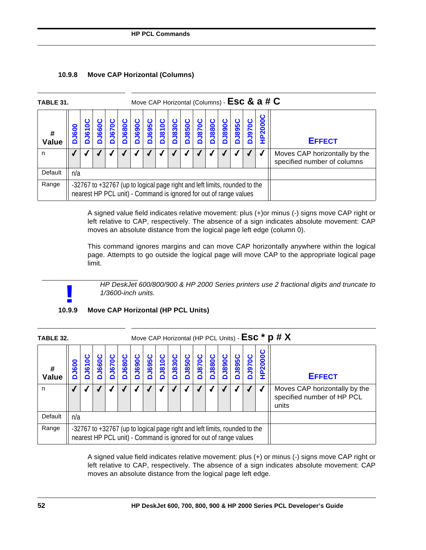| <b>TABLE 31.</b> |                  |  |             |               |                   |                   |                                                                                                                                                 |               |               |              |              |                   |              |                   |     | Move CAP Horizontal (Columns) - ESC & a # C |                                                              |
|------------------|------------------|--|-------------|---------------|-------------------|-------------------|-------------------------------------------------------------------------------------------------------------------------------------------------|---------------|---------------|--------------|--------------|-------------------|--------------|-------------------|-----|---------------------------------------------|--------------------------------------------------------------|
| Value            | <b>J600</b><br>∩ |  | <b>J660</b> | <b>DJ6700</b> | <b>J680C</b><br>ó | <b>J690C</b><br>ó | <b>J695C</b>                                                                                                                                    | <b>DJ810C</b> | <b>DJ830C</b> | <b>J850C</b> | <b>J870C</b> | <b>J880C</b><br>ń | <b>J890C</b> | <b>J895C</b><br>∩ | 970 | ల<br>P2000                                  | <b>EFFECT</b>                                                |
| n                |                  |  |             |               |                   |                   |                                                                                                                                                 |               |               |              |              |                   |              |                   |     |                                             | Moves CAP horizontally by the<br>specified number of columns |
| Default          | n/a              |  |             |               |                   |                   |                                                                                                                                                 |               |               |              |              |                   |              |                   |     |                                             |                                                              |
| Range            |                  |  |             |               |                   |                   | -32767 to +32767 (up to logical page right and left limits, rounded to the<br>nearest HP PCL unit) - Command is ignored for out of range values |               |               |              |              |                   |              |                   |     |                                             |                                                              |

A signed value field indicates relative movement: plus (+)or minus (-) signs move CAP right or left relative to CAP, respectively. The absence of a sign indicates absolute movement: CAP moves an absolute distance from the logical page left edge (column 0).

This command ignores margins and can move CAP horizontally anywhere within the logical page. Attempts to go outside the logical page will move CAP to the appropriate logical page limit.

*HP DeskJet 600/800/900 & HP 2000 Series printers use 2 fractional digits and truncate to 1/3600-inch units.*

# **10.9.9 Move CAP Horizontal (HP PCL Units) !**

| <b>TABLE 32.</b> |             |                                                                                                                                                 |     |              |               |               |              |              |               |              |               |              |               |               |              |                        | Move CAP Horizontal (HP PCL Units) - ESC * p # X                     |
|------------------|-------------|-------------------------------------------------------------------------------------------------------------------------------------------------|-----|--------------|---------------|---------------|--------------|--------------|---------------|--------------|---------------|--------------|---------------|---------------|--------------|------------------------|----------------------------------------------------------------------|
| #<br>Value       | <b>J600</b> | 0<br>$\overline{5}$<br>∩                                                                                                                        | 660 | <b>J670C</b> | <b>DJ680C</b> | <b>DJ690C</b> | <b>J695C</b> | <b>J810C</b> | <b>DJ830C</b> | <b>J850C</b> | <b>DU870C</b> | <b>J880C</b> | <b>DJ890C</b> | <b>DJ895C</b> | <b>J970C</b> | ပ<br><b>P2000</b><br>Ξ | <b>EFFECT</b>                                                        |
| n                |             |                                                                                                                                                 |     |              |               |               |              |              |               |              |               |              |               |               |              |                        | Moves CAP horizontally by the<br>specified number of HP PCL<br>units |
| Default          | n/a         |                                                                                                                                                 |     |              |               |               |              |              |               |              |               |              |               |               |              |                        |                                                                      |
| Range            |             | -32767 to +32767 (up to logical page right and left limits, rounded to the<br>nearest HP PCL unit) - Command is ignored for out of range values |     |              |               |               |              |              |               |              |               |              |               |               |              |                        |                                                                      |

A signed value field indicates relative movement: plus (+) or minus (-) signs move CAP right or left relative to CAP, respectively. The absence of a sign indicates absolute movement: CAP moves an absolute distance from the logical page left edge.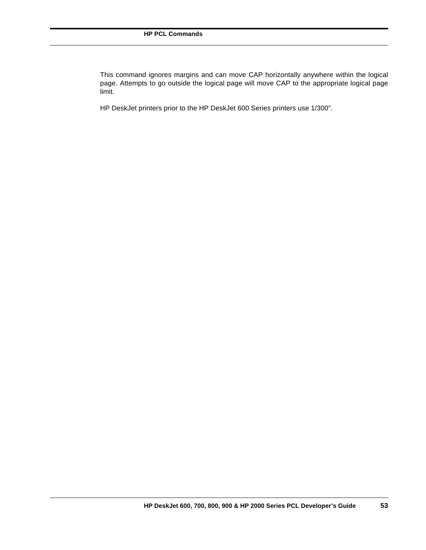This command ignores margins and can move CAP horizontally anywhere within the logical page. Attempts to go outside the logical page will move CAP to the appropriate logical page limit.

HP DeskJet printers prior to the HP DeskJet 600 Series printers use 1/300".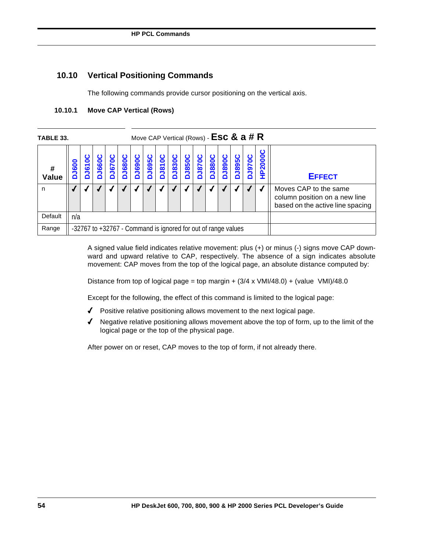# **10.10 Vertical Positioning Commands**

The following commands provide cursor positioning on the vertical axis.

| TABLE 33.  |     |                     |     |          |          |                   |              |              |                    | Move CAP Vertical (Rows) - $\textsf{Esc} \& a \# R$           |                   |              |              |                   |             |            |                                                                                            |
|------------|-----|---------------------|-----|----------|----------|-------------------|--------------|--------------|--------------------|---------------------------------------------------------------|-------------------|--------------|--------------|-------------------|-------------|------------|--------------------------------------------------------------------------------------------|
| #<br>Value | 600 | 0<br>$\overline{6}$ | 660 | O<br>070 | ပ<br>680 | <b>J690C</b><br>≏ | <b>J695C</b> | <b>J810C</b> | ပ<br><b>DJ8300</b> | <b>J850C</b><br>≏                                             | <b>J870C</b><br>Δ | <b>J880C</b> | <b>J890C</b> | <b>J895C</b><br>≏ | <b>1970</b> | ပ<br>P2000 | <b>EFFECT</b>                                                                              |
| n          |     |                     |     |          |          |                   |              |              |                    |                                                               |                   |              |              |                   |             |            | Moves CAP to the same<br>column position on a new line<br>based on the active line spacing |
| Default    | n/a |                     |     |          |          |                   |              |              |                    |                                                               |                   |              |              |                   |             |            |                                                                                            |
| Range      |     |                     |     |          |          |                   |              |              |                    | -32767 to +32767 - Command is ignored for out of range values |                   |              |              |                   |             |            |                                                                                            |

## **10.10.1 Move CAP Vertical (Rows)**

A signed value field indicates relative movement: plus (+) or minus (-) signs move CAP downward and upward relative to CAP, respectively. The absence of a sign indicates absolute movement: CAP moves from the top of the logical page, an absolute distance computed by:

Distance from top of logical page = top margin +  $(3/4 \times \text{VMI}/48.0)$  +  $(\text{value} \ \text{VMI})/48.0$ 

Except for the following, the effect of this command is limited to the logical page:

- 4 Positive relative positioning allows movement to the next logical page.
- $\blacklozenge$  Negative relative positioning allows movement above the top of form, up to the limit of the logical page or the top of the physical page.

After power on or reset, CAP moves to the top of form, if not already there.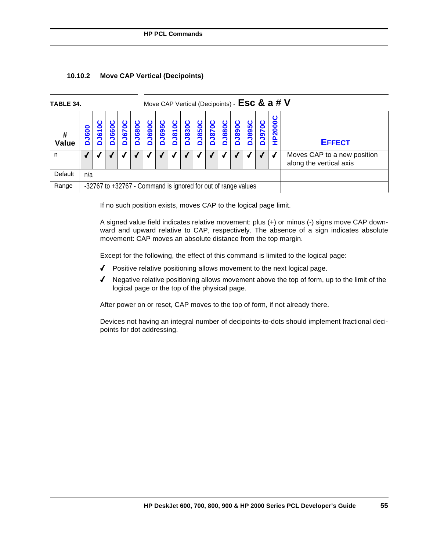| TABLE 34.  |          |                                                               |     |      |       |               |              |              |               |                  |                                                        |              |                   |               |              | Move CAP Vertical (Decipoints) - ESC & $a \# V$ |               |
|------------|----------|---------------------------------------------------------------|-----|------|-------|---------------|--------------|--------------|---------------|------------------|--------------------------------------------------------|--------------|-------------------|---------------|--------------|-------------------------------------------------|---------------|
| #<br>Value | 009<br>2 | $\frac{161}{16}$                                              | 660 | 1670 | J680C | <b>DJ690C</b> | <b>J695C</b> | <b>J810C</b> | <b>DJ830C</b> | ပ<br><b>J850</b> | ပ<br><b>J870</b><br>∩                                  | <b>J880C</b> | ပ<br><b>DO68r</b> | <b>DJ895C</b> | <b>J970C</b> | P2000                                           | <b>EFFECT</b> |
| n          |          |                                                               |     |      |       |               |              |              |               |                  | Moves CAP to a new position<br>along the vertical axis |              |                   |               |              |                                                 |               |
| Default    | n/a      |                                                               |     |      |       |               |              |              |               |                  |                                                        |              |                   |               |              |                                                 |               |
| Range      |          | -32767 to +32767 - Command is ignored for out of range values |     |      |       |               |              |              |               |                  |                                                        |              |                   |               |              |                                                 |               |

## **10.10.2 Move CAP Vertical (Decipoints)**

If no such position exists, moves CAP to the logical page limit.

A signed value field indicates relative movement: plus (+) or minus (-) signs move CAP downward and upward relative to CAP, respectively. The absence of a sign indicates absolute movement: CAP moves an absolute distance from the top margin.

Except for the following, the effect of this command is limited to the logical page:

- 4 Positive relative positioning allows movement to the next logical page.
- 4 Negative relative positioning allows movement above the top of form, up to the limit of the logical page or the top of the physical page.

After power on or reset, CAP moves to the top of form, if not already there.

Devices not having an integral number of decipoints-to-dots should implement fractional decipoints for dot addressing.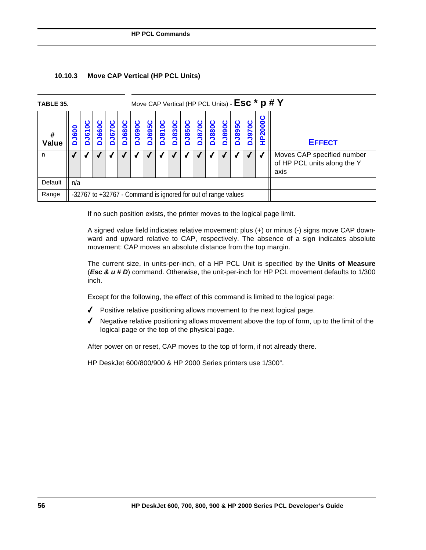## **10.10.3 Move CAP Vertical (HP PCL Units)**

| <b>TABLE 35.</b> |              |             |                                                               |              |              |                   |              |              |               |                   |                                                                   |              |               |               |              |        | Move CAP Vertical (HP PCL Units) - ESC * p # Y |
|------------------|--------------|-------------|---------------------------------------------------------------|--------------|--------------|-------------------|--------------|--------------|---------------|-------------------|-------------------------------------------------------------------|--------------|---------------|---------------|--------------|--------|------------------------------------------------|
| #<br>Value       | <b>DJ600</b> | <b>J610</b> | <b>J660C</b>                                                  | <b>J070C</b> | <b>J680C</b> | <b>J690C</b><br>Δ | <b>J695C</b> | <b>J810C</b> | <b>DJ830C</b> | <b>J850C</b><br>ó | <b>J870C</b>                                                      | <b>J880C</b> | <b>DJ890C</b> | <b>D3895C</b> | <b>J970C</b> | P2000C | <b>EFFECT</b>                                  |
| n                |              |             |                                                               |              |              |                   |              |              |               |                   | Moves CAP specified number<br>of HP PCL units along the Y<br>axis |              |               |               |              |        |                                                |
| Default          | n/a          |             |                                                               |              |              |                   |              |              |               |                   |                                                                   |              |               |               |              |        |                                                |
| Range            |              |             | -32767 to +32767 - Command is ignored for out of range values |              |              |                   |              |              |               |                   |                                                                   |              |               |               |              |        |                                                |

If no such position exists, the printer moves to the logical page limit.

A signed value field indicates relative movement: plus (+) or minus (-) signs move CAP downward and upward relative to CAP, respectively. The absence of a sign indicates absolute movement: CAP moves an absolute distance from the top margin.

The current size, in units-per-inch, of a HP PCL Unit is specified by the **Units of Measure** (*Esc & u # D*) command. Otherwise, the unit-per-inch for HP PCL movement defaults to 1/300 inch.

Except for the following, the effect of this command is limited to the logical page:

- $\blacklozenge$  Positive relative positioning allows movement to the next logical page.
- $\blacklozenge$  Negative relative positioning allows movement above the top of form, up to the limit of the logical page or the top of the physical page.

After power on or reset, CAP moves to the top of form, if not already there.

HP DeskJet 600/800/900 & HP 2000 Series printers use 1/300".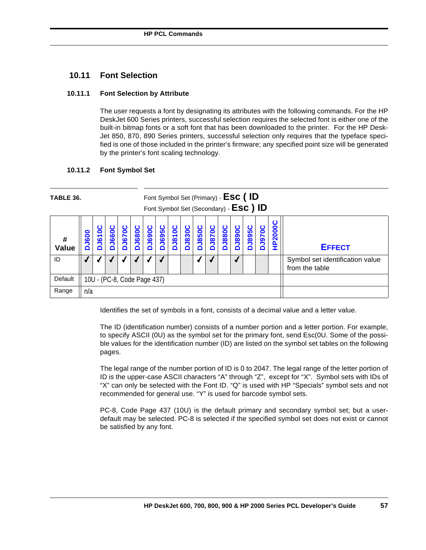## **10.11 Font Selection**

## **10.11.1 Font Selection by Attribute**

The user requests a font by designating its attributes with the following commands. For the HP DeskJet 600 Series printers, successful selection requires the selected font is either one of the built-in bitmap fonts or a soft font that has been downloaded to the printer. For the HP Desk-Jet 850, 870, 890 Series printers, successful selection only requires that the typeface specified is one of those included in the printer's firmware; any specified point size will be generated by the printer's font scaling technology.

## **10.11.2 Font Symbol Set**

| TABLE 36.         |              |                             |             |                   |              |               |                  |                   | Font Symbol Set (Primary) - ESC (ID<br>Font Symbol Set (Secondary) - ESC ) ID |               |                   |                                                   |               |               |                   |                |               |
|-------------------|--------------|-----------------------------|-------------|-------------------|--------------|---------------|------------------|-------------------|-------------------------------------------------------------------------------|---------------|-------------------|---------------------------------------------------|---------------|---------------|-------------------|----------------|---------------|
| #<br><b>Value</b> | <b>DJ600</b> | DJ610                       | <b>J660</b> | <b>J670C</b><br>n | <b>J680C</b> | <b>DJ690C</b> | ပ<br><b>J695</b> | <b>J810C</b><br>n | <b>DJ830C</b>                                                                 | <b>DJ850C</b> | <b>J870C</b><br>ó | <b>DJ880C</b>                                     | <b>JO68rc</b> | <b>DJ895C</b> | <b>J970C</b><br>Õ | <b>HP2000C</b> | <b>EFFECT</b> |
| ID                |              |                             |             |                   |              |               |                  |                   |                                                                               |               |                   | Symbol set identification value<br>from the table |               |               |                   |                |               |
| Default           |              | 10U - (PC-8, Code Page 437) |             |                   |              |               |                  |                   |                                                                               |               |                   |                                                   |               |               |                   |                |               |
| Range             | n/a          |                             |             |                   |              |               |                  |                   |                                                                               |               |                   |                                                   |               |               |                   |                |               |

Identifies the set of symbols in a font, consists of a decimal value and a letter value.

The ID (identification number) consists of a number portion and a letter portion. For example, to specify ASCII (0U) as the symbol set for the primary font, send Esc(0U. Some of the possible values for the identification number (ID) are listed on the symbol set tables on the following pages.

The legal range of the number portion of ID is 0 to 2047. The legal range of the letter portion of ID is the upper-case ASCII characters "A" through "Z", except for "X". Symbol sets with IDs of "X" can only be selected with the Font ID. "Q" is used with HP "Specials" symbol sets and not recommended for general use. "Y" is used for barcode symbol sets.

PC-8, Code Page 437 (10U) is the default primary and secondary symbol set; but a userdefault may be selected. PC-8 is selected if the specified symbol set does not exist or cannot be satisfied by any font.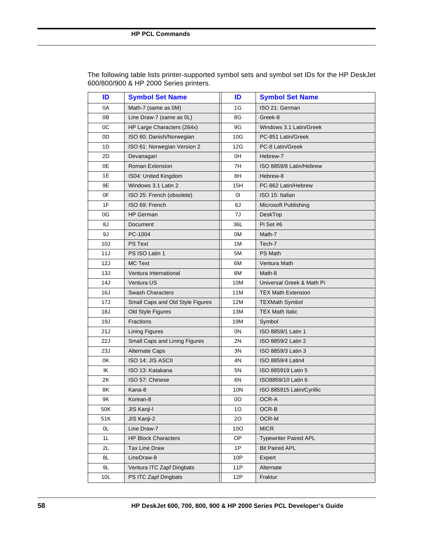| ID              | <b>Symbol Set Name</b>           | ID  | <b>Symbol Set Name</b>       |
|-----------------|----------------------------------|-----|------------------------------|
| 0A              | Math-7 (same as 0M)              | 1G  | ISO 21: German               |
| 0В              | Line Draw-7 (same as 0L)         | 8G  | Greek-8                      |
| 0C              | HP Large Characters (264x)       | 9G  | Windows 3.1 Latin/Greek      |
| 0D              | ISO 60: Danish/Norwegian         | 10G | PC-851 Latin/Greek           |
| 1D              | ISO 61: Norwegian Version 2      | 12G | PC-8 Latin/Greek             |
| 2D              | Devanagari                       | 0H  | Hebrew-7                     |
| 0E              | <b>Roman Extension</b>           | 7H  | ISO 8859/8 Latin/Hebrew      |
| 1E              | IS04: United Kingdom             | 8H  | Hebrew-8                     |
| 9Ε              | Windows 3.1 Latin 2              | 15H | PC-862 Latin/Hebrew          |
| 0F              | ISO 25: French (obsolete)        | 01  | ISO 15: Italian              |
| 1F              | ISO 69: French                   | 6J  | Microsoft Publishing         |
| 0G              | <b>HP German</b>                 | 7J  | DeskTop                      |
| 8J              | Document                         | 36L | Pi Set #6                    |
| 9J              | PC-1004                          | 0M  | Math-7                       |
| 10J             | <b>PS Text</b>                   | 1 M | Tech-7                       |
| 11J             | PS ISO Latin 1                   | 5M  | <b>PS Math</b>               |
| 12J             | <b>MC Text</b>                   | 6M  | Ventura Math                 |
| 13J             | Ventura International            | 8M  | Math-8                       |
| 14J             | Ventura US                       | 10M | Universal Greek & Math Pi    |
| 16J             | <b>Swash Characters</b>          | 11M | <b>TEX Math Extension</b>    |
| 17J             | Small Caps and Old Style Figures | 12M | <b>TEXMath Symbol</b>        |
| 18J             | Old Style Figures                | 13M | <b>TEX Math Italic</b>       |
| 19J             | Fractions                        | 19M | Symbol                       |
| 21J             | <b>Lining Figures</b>            | 0N  | ISO 8859/1 Latin 1           |
| 22J             | Small Caps and Lining Figures    | 2N  | ISO 8859/2 Latin 2           |
| 23J             | Alternate Caps                   | ЗN  | ISO 8859/3 Latin 3           |
| 0K              | <b>ISO 14: JIS ASCII</b>         | 4N  | ISO 8859/4 Latin4            |
| ΙK              | ISO 13: Katakana                 | 5N  | ISO 885919 Latin 5           |
| 2K              | ISO 57: Chinese                  | 6N  | ISO8859/10 Latin 6           |
| 8Κ              | Kana-8                           | 10N | ISO 885915 Latin/Cyrillic    |
| 9Κ              | Korean-8                         | 00  | OCR-A                        |
| 50K             | JIS Kanji-I                      | 10  | OCR-B                        |
| 51K             | JIS Kanji-2                      | 20  | OCR-M                        |
| 0L              | Line Draw-7                      | 100 | <b>MICR</b>                  |
| 1L              | <b>HP Block Characters</b>       | OP  | <b>Typewriter Paired APL</b> |
| 2L              | Tax Line Draw                    | 1P  | <b>Bit Paired APL</b>        |
| 8L              | LineDraw-8                       | 10P | Expert                       |
| 9L              | Ventura ITC Zapf Dingbats        | 11P | Alternate                    |
| 10 <sub>L</sub> | PS ITC Zapf Dingbats             | 12P | Fraktur                      |

The following table lists printer-supported symbol sets and symbol set IDs for the HP DeskJet 600/800/900 & HP 2000 Series printers.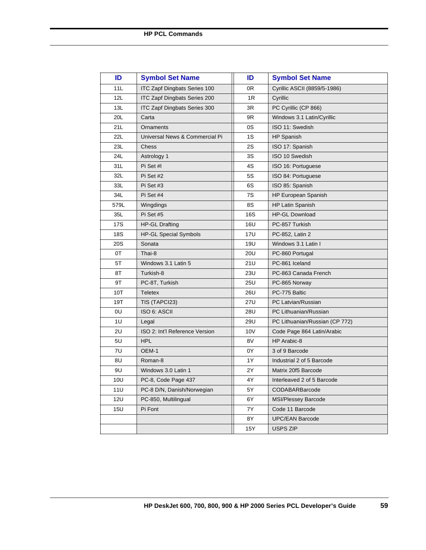| ID         | <b>Symbol Set Name</b>              | ID         | <b>Symbol Set Name</b>         |
|------------|-------------------------------------|------------|--------------------------------|
| 11L        | <b>ITC Zapf Dingbats Series 100</b> | 0R         | Cyrillic ASCII (8859/5-1986)   |
| 12L        | <b>ITC Zapf Dingbats Series 200</b> | 1R         | Cyrillic                       |
| 13L        | <b>ITC Zapf Dingbats Series 300</b> | 3R         | PC Cyrillic (CP 866)           |
| 20L        | Carta                               | 9R         | Windows 3.1 Latin/Cyrillic     |
| 21L        | Ornaments                           | 0S         | ISO 11: Swedish                |
| 22L        | Universal News & Commercial Pi      | 1S         | <b>HP Spanish</b>              |
| 23L        | Chess                               | 2S         | ISO 17: Spanish                |
| 24L        | Astrology 1                         | 3S         | ISO 10 Swedish                 |
| 31L        | Pi Set #I                           | 4S         | ISO 16: Portuguese             |
| 32L        | Pi Set #2                           | 5S         | ISO 84: Portuguese             |
| 33L        | Pi Set #3                           | 6S         | ISO 85: Spanish                |
| 34L        | Pi Set #4                           | 7S         | <b>HP European Spanish</b>     |
| 579L       | Wingdings                           | 8S         | <b>HP Latin Spanish</b>        |
| 35L        | Pi Set #5                           | <b>16S</b> | <b>HP-GL Download</b>          |
| 17S        | <b>HP-GL Drafting</b>               | 16U        | PC-857 Turkish                 |
| 18S        | <b>HP-GL Special Symbols</b>        | <b>17U</b> | PC-852, Latin 2                |
| 20S        | Sonata                              | 19U        | Windows 3.1 Latin I            |
| 0T         | Thai-8                              | 20U        | PC-860 Portugal                |
| 5T         | Windows 3.1 Latin 5                 | 21U        | PC-861 Iceland                 |
| 8T         | Turkish-8                           | 23U        | PC-863 Canada French           |
| 9T         | PC-8T, Turkish                      | 25U        | PC-865 Norway                  |
| 10T        | <b>Teletex</b>                      | 26U        | PC-775 Baltic                  |
| 19T        | TIS (TAPCI23)                       | 27U        | PC Latvian/Russian             |
| 0U         | ISO 6: ASCII                        | 28U        | PC Lithuanian/Russian          |
| 1U         | Legal                               | 29U        | PC Lithuanian/Russian (CP 772) |
| 2U         | ISO 2: Int'l Reference Version      | 10V        | Code Page 864 Latin/Arabic     |
| 5U         | <b>HPL</b>                          | 8V         | HP Arabic-8                    |
| 7U         | OEM-1                               | 0Y         | 3 of 9 Barcode                 |
| 8U         | Roman-8                             | 1Y         | Industrial 2 of 5 Barcode      |
| 9U         | Windows 3.0 Latin 1                 | 2Y         | Matrix 20f5 Barcode            |
| 10U        | PC-8, Code Page 437                 | 4Υ         | Interleaved 2 of 5 Barcode     |
| 11U        | PC-8 D/N, Danish/Norwegian          | 5Υ         | <b>CODABARBarcode</b>          |
| <b>12U</b> | PC-850, Multilingual                | 6Y         | <b>MSI/Plessey Barcode</b>     |
| 15U        | Pi Font                             | 7Y         | Code 11 Barcode                |
|            |                                     | 8Y         | <b>UPC/EAN Barcode</b>         |
|            |                                     | 15Y        | <b>USPS ZIP</b>                |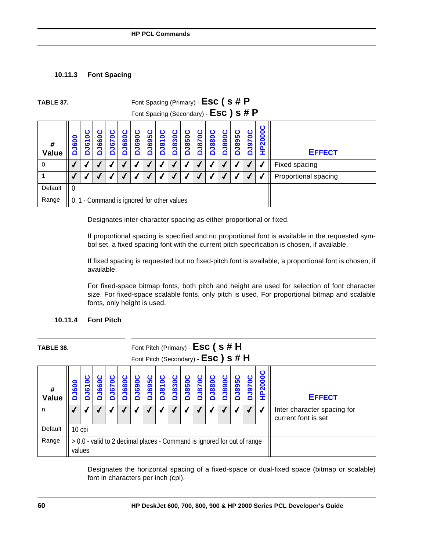## **10.11.3 Font Spacing**

| TABLE 37.         |                  | Font Spacing (Primary) - Esc (s#P<br>Font Spacing (Secondary) - ESC ) S # P                                                                                                                                                                                                          |  |  |  |  |  |  |  |  |  |  |  |  |  |  |               |
|-------------------|------------------|--------------------------------------------------------------------------------------------------------------------------------------------------------------------------------------------------------------------------------------------------------------------------------------|--|--|--|--|--|--|--|--|--|--|--|--|--|--|---------------|
| #<br><b>Value</b> | <b>J600</b><br>Õ | HP2000C<br><b>DJ895C</b><br><b>J680C</b><br>ບ<br><b>DJ670C</b><br><b>DJ690C</b><br><b>DJ830C</b><br><b>DJ850C</b><br><b>DJ890C</b><br><b>J970C</b><br><b>J695C</b><br><b>DJ810C</b><br><b>DJ880C</b><br><b>I660C</b><br><b>J870C</b><br>Ō<br>50<br><b>EFFECT</b><br>Õ<br>۵<br>∩<br>Δ |  |  |  |  |  |  |  |  |  |  |  |  |  |  |               |
| 0                 |                  |                                                                                                                                                                                                                                                                                      |  |  |  |  |  |  |  |  |  |  |  |  |  |  | Fixed spacing |
|                   |                  | Proportional spacing                                                                                                                                                                                                                                                                 |  |  |  |  |  |  |  |  |  |  |  |  |  |  |               |
| Default           | - 0              |                                                                                                                                                                                                                                                                                      |  |  |  |  |  |  |  |  |  |  |  |  |  |  |               |
| Range             |                  | 0, 1 - Command is ignored for other values                                                                                                                                                                                                                                           |  |  |  |  |  |  |  |  |  |  |  |  |  |  |               |

Designates inter-character spacing as either proportional or fixed.

If proportional spacing is specified and no proportional font is available in the requested symbol set, a fixed spacing font with the current pitch specification is chosen, if available.

If fixed spacing is requested but no fixed-pitch font is available, a proportional font is chosen, if available.

For fixed-space bitmap fonts, both pitch and height are used for selection of font character size. For fixed-space scalable fonts, only pitch is used. For proportional bitmap and scalable fonts, only height is used.

## **10.11.4 Font Pitch**

| TABLE 38.         |              |                                                                                   |       |               |               |               |              |               |               |                                                    | Font Pitch (Primary) - $\textsf{Esc}$ ( s # H<br>Font Pitch (Secondary) - ESC) S # H |              |               |               |                   |               |               |
|-------------------|--------------|-----------------------------------------------------------------------------------|-------|---------------|---------------|---------------|--------------|---------------|---------------|----------------------------------------------------|--------------------------------------------------------------------------------------|--------------|---------------|---------------|-------------------|---------------|---------------|
| #<br><b>Value</b> | <b>DJ600</b> | <b>J610</b>                                                                       | J660C | <b>DJ670C</b> | <b>DJ680C</b> | <b>DJ690C</b> | <b>J695C</b> | <b>DJ810C</b> | <b>DJ830C</b> | <b>J850C</b><br>Ó                                  | <b>J870C</b>                                                                         | <b>J880C</b> | <b>DJ890C</b> | <b>DJ895C</b> | <b>J970C</b><br>Δ | <b>HP2000</b> | <b>EFFECT</b> |
| n                 |              |                                                                                   |       |               |               |               |              |               |               | Inter character spacing for<br>current font is set |                                                                                      |              |               |               |                   |               |               |
| Default           | 10 cpi       |                                                                                   |       |               |               |               |              |               |               |                                                    |                                                                                      |              |               |               |                   |               |               |
| Range             |              | > 0.0 - valid to 2 decimal places - Command is ignored for out of range<br>values |       |               |               |               |              |               |               |                                                    |                                                                                      |              |               |               |                   |               |               |

Designates the horizontal spacing of a fixed-space or dual-fixed space (bitmap or scalable) font in characters per inch (cpi).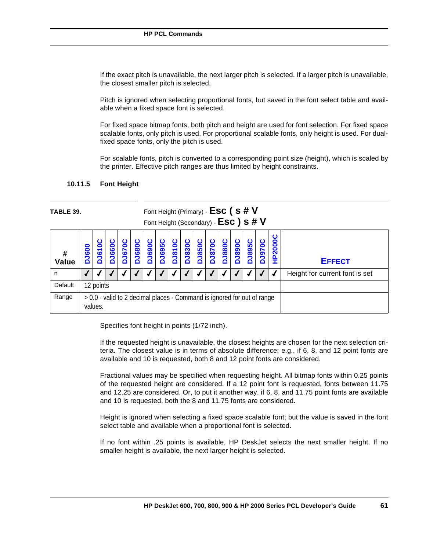If the exact pitch is unavailable, the next larger pitch is selected. If a larger pitch is unavailable, the closest smaller pitch is selected.

Pitch is ignored when selecting proportional fonts, but saved in the font select table and available when a fixed space font is selected.

For fixed space bitmap fonts, both pitch and height are used for font selection. For fixed space scalable fonts, only pitch is used. For proportional scalable fonts, only height is used. For dualfixed space fonts, only the pitch is used.

For scalable fonts, pitch is converted to a corresponding point size (height), which is scaled by the printer. Effective pitch ranges are thus limited by height constraints.

| <b>TABLE 39.</b> |              |                                                                                    |           |                       |               |               |                   |                   |               |                   |               |                       |                       | Font Height (Primary) - $\textsf{Esc}$ ( s # V<br>Font Height (Secondary) - ESC) S # V |                   |                |                                |
|------------------|--------------|------------------------------------------------------------------------------------|-----------|-----------------------|---------------|---------------|-------------------|-------------------|---------------|-------------------|---------------|-----------------------|-----------------------|----------------------------------------------------------------------------------------|-------------------|----------------|--------------------------------|
| #<br>Value       | <b>DJ600</b> | DJ610                                                                              | 1660<br>Ó | ပ<br><b>J670</b><br>Δ | <b>DJ680C</b> | <b>DJ690C</b> | <b>J695C</b><br>Δ | <b>J810C</b><br>Δ | <b>DJ830C</b> | <b>J850C</b><br>۵ | <b>DJ870C</b> | ပ<br><b>J880</b><br>Δ | ပ<br><b>J890</b><br>Ó | ပ<br>DJ895                                                                             | <b>J970C</b><br>۵ | <b>HP2000C</b> | <b>EFFECT</b>                  |
| n                |              |                                                                                    |           |                       |               |               |                   |                   |               |                   |               |                       |                       |                                                                                        |                   |                | Height for current font is set |
| Default          |              | 12 points                                                                          |           |                       |               |               |                   |                   |               |                   |               |                       |                       |                                                                                        |                   |                |                                |
| Range            |              | > 0.0 - valid to 2 decimal places - Command is ignored for out of range<br>values. |           |                       |               |               |                   |                   |               |                   |               |                       |                       |                                                                                        |                   |                |                                |

## **10.11.5 Font Height**

Specifies font height in points (1/72 inch).

If the requested height is unavailable, the closest heights are chosen for the next selection criteria. The closest value is in terms of absolute difference: e.g., if 6, 8, and 12 point fonts are available and 10 is requested, both 8 and 12 point fonts are considered.

Fractional values may be specified when requesting height. All bitmap fonts within 0.25 points of the requested height are considered. If a 12 point font is requested, fonts between 11.75 and 12.25 are considered. Or, to put it another way, if 6, 8, and 11.75 point fonts are available and 10 is requested, both the 8 and 11.75 fonts are considered.

Height is ignored when selecting a fixed space scalable font; but the value is saved in the font select table and available when a proportional font is selected.

If no font within .25 points is available, HP DeskJet selects the next smaller height. If no smaller height is available, the next larger height is selected.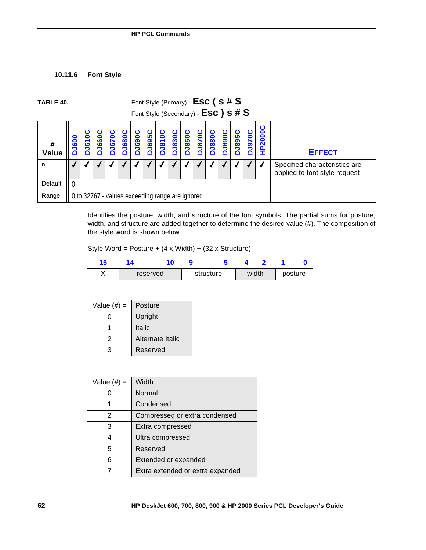## **10.11.6 Font Style**

| TABLE 40.  |              |                                                                                                                                                                                                                                                                                             |  |  |  |  |  |  | Font Style (Primary) - $Esc$ ( s # $S$<br>Font Style (Secondary) - ESC) S # S |  |  |                                                                |  |  |  |  |
|------------|--------------|---------------------------------------------------------------------------------------------------------------------------------------------------------------------------------------------------------------------------------------------------------------------------------------------|--|--|--|--|--|--|-------------------------------------------------------------------------------|--|--|----------------------------------------------------------------|--|--|--|--|
| #<br>Value | <b>DJ600</b> | O<br><b>-P2000</b><br><b>J695C</b><br><b>DJ810C</b><br><b>DJ830C</b><br><b>J670C</b><br><b>J890C</b><br><b>DJ895C</b><br><b>DU880C</b><br><b>J680C</b><br><b>J870C</b><br><b>1690</b><br><b>J8500</b><br>$\bullet$<br><b>J660</b><br><b>J970</b><br>50<br><b>EFFECT</b><br>≏<br>≏<br>∩<br>Δ |  |  |  |  |  |  |                                                                               |  |  |                                                                |  |  |  |  |
| n          |              |                                                                                                                                                                                                                                                                                             |  |  |  |  |  |  |                                                                               |  |  | Specified characteristics are<br>applied to font style request |  |  |  |  |
| Default    |              |                                                                                                                                                                                                                                                                                             |  |  |  |  |  |  |                                                                               |  |  |                                                                |  |  |  |  |
| Range      |              | 0 to 32767 - values exceeding range are ignored                                                                                                                                                                                                                                             |  |  |  |  |  |  |                                                                               |  |  |                                                                |  |  |  |  |

Identifies the posture, width, and structure of the font symbols. The partial sums for posture, width, and structure are added together to determine the desired value (#). The composition of the style word is shown below.

Style Word = Posture +  $(4 \times \text{Width}) + (32 \times \text{Structure})$ 

|  | reserved | structure | width |  | posture |
|--|----------|-----------|-------|--|---------|

| Value $(\#)=$ | Posture          |
|---------------|------------------|
| 0             | Upright          |
|               | <b>Italic</b>    |
| 2             | Alternate Italic |
| з             | Reserved         |

| Value $(\#)=$ | Width                            |
|---------------|----------------------------------|
|               | Normal                           |
|               | Condensed                        |
| 2             | Compressed or extra condensed    |
| 3             | Extra compressed                 |
|               | Ultra compressed                 |
| 5             | Reserved                         |
| 6             | Extended or expanded             |
|               | Extra extended or extra expanded |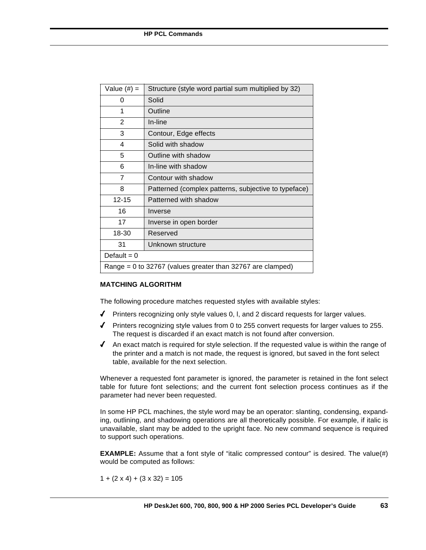| Value (#) =    | Structure (style word partial sum multiplied by 32)        |
|----------------|------------------------------------------------------------|
| 0              | Solid                                                      |
| 1              | Outline                                                    |
| $\overline{2}$ | In-line                                                    |
| 3              | Contour, Edge effects                                      |
| 4              | Solid with shadow                                          |
| 5              | Outline with shadow                                        |
| 6              | In-line with shadow                                        |
| 7              | Contour with shadow                                        |
| 8              | Patterned (complex patterns, subjective to typeface)       |
| $12 - 15$      | Patterned with shadow                                      |
| 16             | Inverse                                                    |
| 17             | Inverse in open border                                     |
| 18-30          | Reserved                                                   |
| 31             | Unknown structure                                          |
| Default = $0$  |                                                            |
|                | Range = 0 to 32767 (values greater than 32767 are clamped) |

## **MATCHING ALGORITHM**

The following procedure matches requested styles with available styles:

- $\blacklozenge$  Printers recognizing only style values 0, I, and 2 discard requests for larger values.
- $\blacklozenge$  Printers recognizing style values from 0 to 255 convert requests for larger values to 255. The request is discarded if an exact match is not found after conversion.
- $\blacklozenge$  An exact match is required for style selection. If the requested value is within the range of the printer and a match is not made, the request is ignored, but saved in the font select table, available for the next selection.

Whenever a requested font parameter is ignored, the parameter is retained in the font select table for future font selections; and the current font selection process continues as if the parameter had never been requested.

In some HP PCL machines, the style word may be an operator: slanting, condensing, expanding, outlining, and shadowing operations are all theoretically possible. For example, if italic is unavailable, slant may be added to the upright face. No new command sequence is required to support such operations.

**EXAMPLE:** Assume that a font style of "italic compressed contour" is desired. The value(#) would be computed as follows:

 $1 + (2 \times 4) + (3 \times 32) = 105$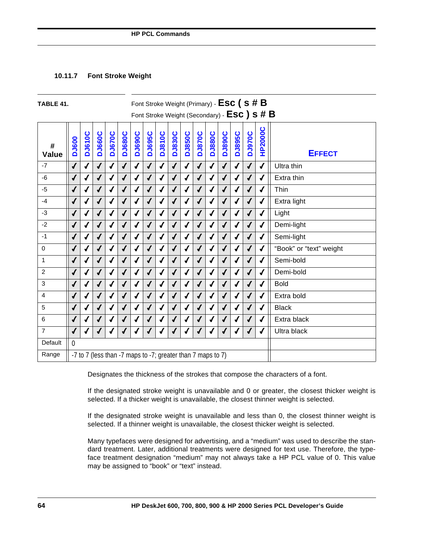## **10.11.7 Font Stroke Weight**

| TABLE 41.         |                                                                                               |                                                        |               |                  |               |                                                             |               |               |               |               | Font Stroke Weight (Primary) - $\textsf{Esc}$ ( s # $\textsf{B}$ |               |               |                  |               | Font Stroke Weight (Secondary) - ESC) S # B |                         |
|-------------------|-----------------------------------------------------------------------------------------------|--------------------------------------------------------|---------------|------------------|---------------|-------------------------------------------------------------|---------------|---------------|---------------|---------------|------------------------------------------------------------------|---------------|---------------|------------------|---------------|---------------------------------------------|-------------------------|
| #<br><b>Value</b> | <b>DJ600</b>                                                                                  | <b>DJ610C</b>                                          | <b>DJ660C</b> | <b>DJ670C</b>    | <b>DJ680C</b> | <b>DJ690C</b>                                               | <b>DJ695C</b> | <b>DJ810C</b> | <b>DJ830C</b> | <b>DJ850C</b> | <b>DJ870C</b>                                                    | <b>DJ880C</b> | <b>DJ890C</b> | <b>DJ895C</b>    | <b>DJ970C</b> | <b>HP2000C</b>                              | <b>EFFECT</b>           |
| $-7$              | $\sqrt{2}$                                                                                    | ✔                                                      | ✔             | √                | ✔             | ✔                                                           | ✔             | √             | $\sqrt{2}$    | ✔             | ✔                                                                | $\sqrt{2}$    | $\sqrt{2}$    | $\sqrt{2}$       |               | $\sqrt{2}$                                  | Ultra thin              |
| $-6$              | $\sqrt{2}$                                                                                    |                                                        |               | $\checkmark$     |               | $\sqrt{2}$                                                  |               | √             | $\sqrt{2}$    | $\sqrt{2}$    | ✔                                                                | ✔             | $\sqrt{2}$    | $\boldsymbol{J}$ |               | √                                           | Extra thin              |
| $-5$              | $\checkmark$                                                                                  |                                                        |               |                  |               |                                                             |               |               | $\sqrt{2}$    |               |                                                                  | √             |               | √                |               | $\sqrt{2}$                                  | Thin                    |
| $-4$              | $\sqrt{ }$<br>✔<br>√<br>✔<br>$\sqrt{ }$<br>√<br>√<br>✔<br>J<br>✔<br>J<br>$\sqrt{ }$<br>✔<br>J |                                                        |               |                  |               |                                                             |               |               |               |               |                                                                  |               |               |                  | √             | Extra light                                 |                         |
| -3                | $\sqrt{2}$                                                                                    | √<br>√<br>√<br>J<br>√                                  |               |                  |               |                                                             |               |               |               |               |                                                                  |               |               |                  |               | √                                           | Light                   |
| $-2$              | $\checkmark$                                                                                  | $\sqrt{2}$<br>$\sqrt{2}$<br>√<br>√<br>J<br>✔<br>J<br>J |               |                  |               |                                                             |               |               |               |               |                                                                  |               |               |                  |               | √                                           | Demi-light              |
| $-1$              | $\sqrt{2}$                                                                                    | $\checkmark$<br>√<br>√<br>√                            |               |                  |               |                                                             |               |               |               |               |                                                                  |               |               |                  |               | √                                           | Semi-light              |
| $\Omega$          | $\sqrt{2}$                                                                                    | √<br>$\sqrt{2}$<br>√<br>√                              |               |                  |               |                                                             |               |               |               |               |                                                                  |               |               |                  |               |                                             | "Book" or "text" weight |
| $\mathbf{1}$      | $\checkmark$                                                                                  | ✔                                                      |               | ✔                | J             | √                                                           | J             | ✔             | $\sqrt{2}$    | J             | $\sqrt{2}$                                                       | √             | √             | $\boldsymbol{J}$ |               | ✔                                           | Semi-bold               |
| 2                 | $\sqrt{2}$                                                                                    |                                                        |               |                  |               |                                                             |               |               |               |               |                                                                  |               |               | √                |               | √                                           | Demi-bold               |
| 3                 | √                                                                                             |                                                        |               |                  |               |                                                             |               |               | ✔             |               |                                                                  | J             |               | √                |               | √                                           | <b>Bold</b>             |
| 4                 | $\sqrt{2}$                                                                                    | $\boldsymbol{J}$                                       | $\sqrt{ }$    | $\boldsymbol{J}$ | $\checkmark$  | $\sqrt{2}$                                                  | $\sqrt{2}$    | √             | $\sqrt{2}$    | √             | $\sqrt{2}$                                                       | √             | $\checkmark$  | $\sqrt{2}$       | $\sqrt{2}$    | $\sqrt{2}$                                  | Extra bold              |
| 5                 | $\checkmark$                                                                                  |                                                        |               |                  |               |                                                             |               |               | $\checkmark$  |               |                                                                  |               |               |                  |               |                                             | <b>Black</b>            |
| 6                 | $\sqrt{2}$                                                                                    |                                                        |               | ✔                |               |                                                             |               |               | ✔             |               |                                                                  |               |               |                  |               | √                                           | Extra black             |
| $\overline{7}$    | $\sqrt{2}$                                                                                    | ◢                                                      |               | $\sqrt{2}$       |               |                                                             | $\sqrt{2}$    |               | $\sqrt{2}$    |               |                                                                  | $\sqrt{2}$    |               | $\sqrt{2}$       |               | $\sqrt{2}$                                  | Ultra black             |
| Default           | $\mathbf{0}$                                                                                  |                                                        |               |                  |               |                                                             |               |               |               |               |                                                                  |               |               |                  |               |                                             |                         |
| Range             |                                                                                               |                                                        |               |                  |               | -7 to 7 (less than -7 maps to -7; greater than 7 maps to 7) |               |               |               |               |                                                                  |               |               |                  |               |                                             |                         |

Designates the thickness of the strokes that compose the characters of a font.

If the designated stroke weight is unavailable and 0 or greater, the closest thicker weight is selected. If a thicker weight is unavailable, the closest thinner weight is selected.

If the designated stroke weight is unavailable and less than 0, the closest thinner weight is selected. If a thinner weight is unavailable, the closest thicker weight is selected.

Many typefaces were designed for advertising, and a "medium" was used to describe the standard treatment. Later, additional treatments were designed for text use. Therefore, the typeface treatment designation "medium" may not always take a HP PCL value of 0. This value may be assigned to "book" or "text" instead.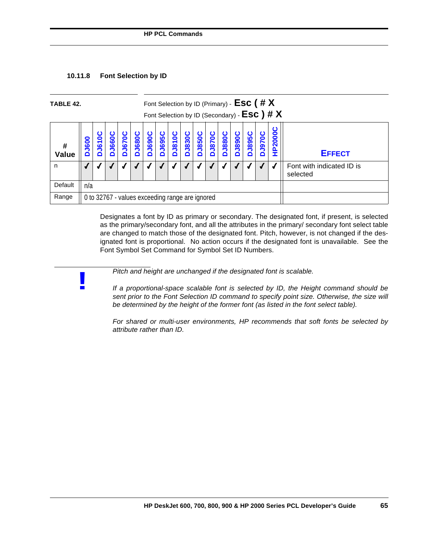

**!**

| TABLE 42.  |                  |                       |                        |                   |               |        |          |                       | Font Selection by ID (Primary) - $\textsf{Esc}$ (# $\textsf{X}$ |                   |                        |                   |               |               |              | Font Selection by ID (Secondary) - $\textsf{Esc }$ ) # $\textsf{X}$ |                                       |
|------------|------------------|-----------------------|------------------------|-------------------|---------------|--------|----------|-----------------------|-----------------------------------------------------------------|-------------------|------------------------|-------------------|---------------|---------------|--------------|---------------------------------------------------------------------|---------------------------------------|
| #<br>Value | <b>J600</b><br>ó | ပ<br><b>J610</b><br>Δ | <b>J6600</b><br>$\Box$ | <b>J670C</b><br>≏ | <b>DJ680C</b> | DJ690C | $\Omega$ | <b>Jessc</b><br>1910C | <b>DJ830C</b>                                                   | <b>J850C</b><br>≏ | <b>J870C</b><br>$\Box$ | <b>J880C</b><br>c | <b>DJ890C</b> | <b>DJ895C</b> | <b>J9700</b> | P2000C<br>Ξ                                                         | <b>EFFECT</b>                         |
| n          |                  |                       |                        |                   |               |        |          |                       |                                                                 |                   |                        |                   |               |               |              |                                                                     | Font with indicated ID is<br>selected |
| Default    | n/a              |                       |                        |                   |               |        |          |                       |                                                                 |                   |                        |                   |               |               |              |                                                                     |                                       |
| Range      |                  |                       |                        |                   |               |        |          |                       | 0 to 32767 - values exceeding range are ignored                 |                   |                        |                   |               |               |              |                                                                     |                                       |

Designates a font by ID as primary or secondary. The designated font, if present, is selected as the primary/secondary font, and all the attributes in the primary/ secondary font select table are changed to match those of the designated font. Pitch, however, is not changed if the designated font is proportional. No action occurs if the designated font is unavailable. See the Font Symbol Set Command for Symbol Set ID Numbers.

*Pitch and height are unchanged if the designated font is scalable.*

*If a proportional-space scalable font is selected by ID, the Height command should be sent prior to the Font Selection ID command to specify point size. Otherwise, the size will be determined by the height of the former font (as listed in the font select table).*

*For shared or multi-user environments, HP recommends that soft fonts be selected by attribute rather than ID.*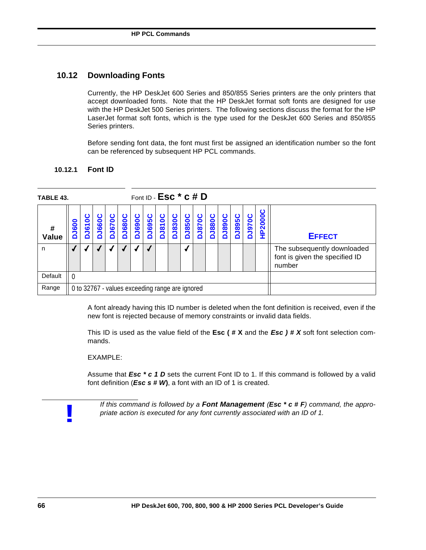## **10.12 Downloading Fonts**

Currently, the HP DeskJet 600 Series and 850/855 Series printers are the only printers that accept downloaded fonts. Note that the HP DeskJet format soft fonts are designed for use with the HP DeskJet 500 Series printers. The following sections discuss the format for the HP LaserJet format soft fonts, which is the type used for the DeskJet 600 Series and 850/855 Series printers.

Before sending font data, the font must first be assigned an identification number so the font can be referenced by subsequent HP PCL commands.

| TABLE 43.  |              |                                                 |      |                       |               |               |                       | Font ID - $Esc * c # D$ |               |                       |               |       |               |               |                   |        |                                                                         |
|------------|--------------|-------------------------------------------------|------|-----------------------|---------------|---------------|-----------------------|-------------------------|---------------|-----------------------|---------------|-------|---------------|---------------|-------------------|--------|-------------------------------------------------------------------------|
| #<br>Value | <b>DJ600</b> | <b>J610</b><br>ó                                | 1660 | ပ<br><b>J670</b><br>≏ | <b>DJ680C</b> | <b>DJ690C</b> | ပ<br><b>J695</b><br>Õ | <b>J810C</b>            | <b>DJ830C</b> | ပ<br><b>J850</b><br>≏ | <b>DJ870C</b> | J880C | <b>JO68rc</b> | <b>DJ895C</b> | <b>J970C</b><br>∩ | P2000C | <b>EFFECT</b>                                                           |
| n          |              |                                                 |      |                       |               |               |                       |                         |               |                       |               |       |               |               |                   |        | The subsequently downloaded<br>font is given the specified ID<br>number |
| Default    | $\Omega$     |                                                 |      |                       |               |               |                       |                         |               |                       |               |       |               |               |                   |        |                                                                         |
| Range      |              | 0 to 32767 - values exceeding range are ignored |      |                       |               |               |                       |                         |               |                       |               |       |               |               |                   |        |                                                                         |

## **10.12.1 Font ID**

A font already having this ID number is deleted when the font definition is received, even if the new font is rejected because of memory constraints or invalid data fields.

This ID is used as the value field of the **Esc ( # X** and the *Esc ) # X* soft font selection commands.

## EXAMPLE:

Assume that *Esc* \* *c* 1 *D* sets the current Font ID to 1. If this command is followed by a valid font definition (*Esc s # W***)**, a font with an ID of 1 is created.



*If this command is followed by a Font Management (Esc \* c # F) command, the appropriate action is executed for any font currently associated with an ID of 1.*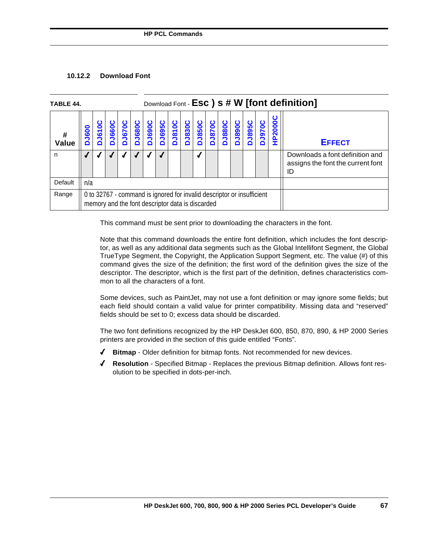## **10.12.2 Download Font**

| TABLE 44.  |              |                                                                                                                            | Download Font - Esc ) s # W [font definition]<br><b>DJ895C</b><br><b>DJ690C</b><br><b>DJ890C</b><br><b>DJ850C</b><br><b>J970C</b><br><b>J670C</b><br><b>DJ695C</b><br>DUS10C<br><b>DJ830C</b><br><b>DJ680C</b><br><b>DJ870C</b><br><b>J880C</b><br><b>DJ660C</b><br>DJ610 |  |  |  |  |  |  |  |  |  |  |  |  |         |                                                                            |
|------------|--------------|----------------------------------------------------------------------------------------------------------------------------|---------------------------------------------------------------------------------------------------------------------------------------------------------------------------------------------------------------------------------------------------------------------------|--|--|--|--|--|--|--|--|--|--|--|--|---------|----------------------------------------------------------------------------|
| #<br>Value | <b>DJ600</b> |                                                                                                                            |                                                                                                                                                                                                                                                                           |  |  |  |  |  |  |  |  |  |  |  |  | HP2000C | <b>EFFECT</b>                                                              |
| n          |              |                                                                                                                            |                                                                                                                                                                                                                                                                           |  |  |  |  |  |  |  |  |  |  |  |  |         | Downloads a font definition and<br>assigns the font the current font<br>ID |
| Default    | n/a          |                                                                                                                            |                                                                                                                                                                                                                                                                           |  |  |  |  |  |  |  |  |  |  |  |  |         |                                                                            |
| Range      |              | 0 to 32767 - command is ignored for invalid descriptor or insufficient<br>memory and the font descriptor data is discarded |                                                                                                                                                                                                                                                                           |  |  |  |  |  |  |  |  |  |  |  |  |         |                                                                            |

This command must be sent prior to downloading the characters in the font.

Note that this command downloads the entire font definition, which includes the font descriptor, as well as any additional data segments such as the Global Intellifont Segment, the Global TrueType Segment, the Copyright, the Application Support Segment, etc. The value (#) of this command gives the size of the definition; the first word of the definition gives the size of the descriptor. The descriptor, which is the first part of the definition, defines characteristics common to all the characters of a font.

Some devices, such as PaintJet, may not use a font definition or may ignore some fields; but each field should contain a valid value for printer compatibility. Missing data and "reserved" fields should be set to 0; excess data should be discarded.

The two font definitions recognized by the HP DeskJet 600, 850, 870, 890, & HP 2000 Series printers are provided in the section of this guide entitled "Fonts".

- 4 **Bitmap** Older definition for bitmap fonts. Not recommended for new devices.
- 4 **Resolution**  Specified Bitmap Replaces the previous Bitmap definition. Allows font resolution to be specified in dots-per-inch.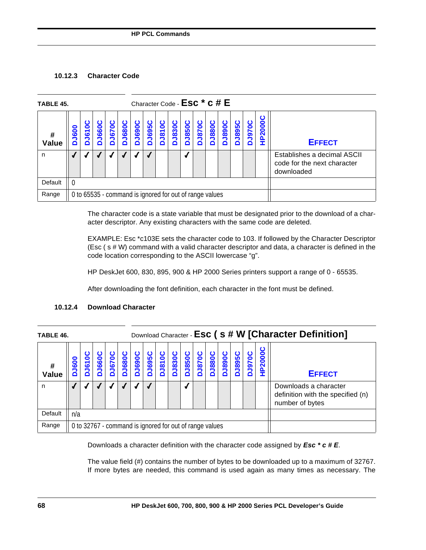## **10.12.3 Character Code**

| TABLE 45.  |                  |                          |       |                   |              |               |                                                         |               |               |                                   |                   |                   | Character Code - $Esc * c # E$ |               |              |        |                                                                          |
|------------|------------------|--------------------------|-------|-------------------|--------------|---------------|---------------------------------------------------------|---------------|---------------|-----------------------------------|-------------------|-------------------|--------------------------------|---------------|--------------|--------|--------------------------------------------------------------------------|
| #<br>Value | <b>J600</b><br>Δ | 0<br>$\overline{6}$<br>≏ | 10991 | <b>J670C</b><br>ó | <b>J680C</b> | <b>DJ690C</b> | <b>J695C</b>                                            | <b>DJ810C</b> | <b>DJ830C</b> | <b>J850C</b><br>$\mathbf{\Omega}$ | <b>J870C</b><br>Δ | <b>J880C</b><br>Ŏ | <b>J890C</b><br>∩              | <b>DJ895C</b> | <b>J970C</b> | P2000C | <b>EFFECT</b>                                                            |
| n          |                  |                          |       |                   |              |               |                                                         |               |               |                                   |                   |                   |                                |               |              |        | Establishes a decimal ASCII<br>code for the next character<br>downloaded |
| Default    | - 0              |                          |       |                   |              |               |                                                         |               |               |                                   |                   |                   |                                |               |              |        |                                                                          |
| Range      |                  |                          |       |                   |              |               | 0 to 65535 - command is ignored for out of range values |               |               |                                   |                   |                   |                                |               |              |        |                                                                          |

The character code is a state variable that must be designated prior to the download of a character descriptor. Any existing characters with the same code are deleted.

EXAMPLE: Esc \*c103E sets the character code to 103. If followed by the Character Descriptor (Esc ( s # W) command with a valid character descriptor and data, a character is defined in the code location corresponding to the ASCII lowercase "g".

HP DeskJet 600, 830, 895, 900 & HP 2000 Series printers support a range of 0 - 65535.

After downloading the font definition, each character in the font must be defined.

| TABLE 46.  |     |                                                         |     |                  |                  |                       |                  |              |                   |                   |                  |              |                  |                       |              |                | Download Character - Esc (s # W [Character Definition]                        |
|------------|-----|---------------------------------------------------------|-----|------------------|------------------|-----------------------|------------------|--------------|-------------------|-------------------|------------------|--------------|------------------|-----------------------|--------------|----------------|-------------------------------------------------------------------------------|
| #<br>Value | 800 | 610<br>≏                                                | 660 | ပ<br><b>J670</b> | Ω<br><b>J680</b> | ပ<br><b>J690</b><br>≏ | ပ<br><b>J695</b> | <b>J810C</b> | ပ<br><b>DJ830</b> | <b>J850C</b><br>≏ | ပ<br><b>J870</b> | <b>J880C</b> | Ω<br><b>1890</b> | ပ<br><b>J895</b><br>۵ | <b>J970C</b> | <b>HP2000C</b> | <b>EFFECT</b>                                                                 |
| n          |     |                                                         |     |                  |                  |                       |                  |              |                   |                   |                  |              |                  |                       |              |                | Downloads a character<br>definition with the specified (n)<br>number of bytes |
| Default    | n/a |                                                         |     |                  |                  |                       |                  |              |                   |                   |                  |              |                  |                       |              |                |                                                                               |
| Range      |     | 0 to 32767 - command is ignored for out of range values |     |                  |                  |                       |                  |              |                   |                   |                  |              |                  |                       |              |                |                                                                               |

## **10.12.4 Download Character**

Downloads a character definition with the character code assigned by *Esc \* c # E*.

The value field (#) contains the number of bytes to be downloaded up to a maximum of 32767. If more bytes are needed, this command is used again as many times as necessary. The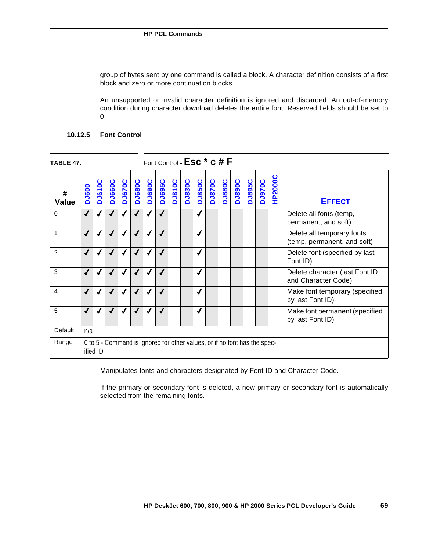group of bytes sent by one command is called a block. A character definition consists of a first block and zero or more continuation blocks.

An unsupported or invalid character definition is ignored and discarded. An out-of-memory condition during character download deletes the entire font. Reserved fields should be set to 0.

## **10.12.5 Font Control**

| TABLE 47.   |              |               |               |               |                          |                                                                           |               | Font Control - Esc <sup>*</sup> c # F |               |               |               |               |               |               |        |         |                                                           |
|-------------|--------------|---------------|---------------|---------------|--------------------------|---------------------------------------------------------------------------|---------------|---------------------------------------|---------------|---------------|---------------|---------------|---------------|---------------|--------|---------|-----------------------------------------------------------|
| #<br>Value  | <b>DJ600</b> | <b>DJ610C</b> | <b>DJ660C</b> | <b>DJ670C</b> | <b>DJ680C</b>            | <b>DJ690C</b>                                                             | <b>DJ695C</b> | <b>DJ810C</b>                         | <b>DJ830C</b> | <b>DJ850C</b> | <b>DJ870C</b> | <b>DJ880C</b> | <b>DJ890C</b> | <b>DJ895C</b> | DJ970C | HP2000C | <b>EFFECT</b>                                             |
| $\mathbf 0$ | $\sqrt{2}$   |               |               |               |                          |                                                                           |               |                                       |               |               |               |               |               |               |        |         | Delete all fonts (temp,<br>permanent, and soft)           |
| 1           | $\checkmark$ |               |               |               |                          |                                                                           |               |                                       |               |               |               |               |               |               |        |         | Delete all temporary fonts<br>(temp, permanent, and soft) |
| 2           | $\sqrt{2}$   |               | $\sqrt{2}$    | √             |                          |                                                                           |               |                                       |               |               |               |               |               |               |        |         | Delete font (specified by last<br>Font ID)                |
| 3           | √            |               |               |               |                          |                                                                           |               |                                       |               |               |               |               |               |               |        |         | Delete character (last Font ID<br>and Character Code)     |
| 4           | ✔            |               |               |               | $\overline{\mathcal{L}}$ |                                                                           |               |                                       |               |               |               |               |               |               |        |         | Make font temporary (specified<br>by last Font ID)        |
| 5           | $\checkmark$ |               |               |               |                          |                                                                           |               |                                       |               |               |               |               |               |               |        |         | Make font permanent (specified<br>by last Font ID)        |
| Default     | n/a          |               |               |               |                          |                                                                           |               |                                       |               |               |               |               |               |               |        |         |                                                           |
| Range       |              | ified ID      |               |               |                          | 0 to 5 - Command is ignored for other values, or if no font has the spec- |               |                                       |               |               |               |               |               |               |        |         |                                                           |

Manipulates fonts and characters designated by Font ID and Character Code.

If the primary or secondary font is deleted, a new primary or secondary font is automatically selected from the remaining fonts.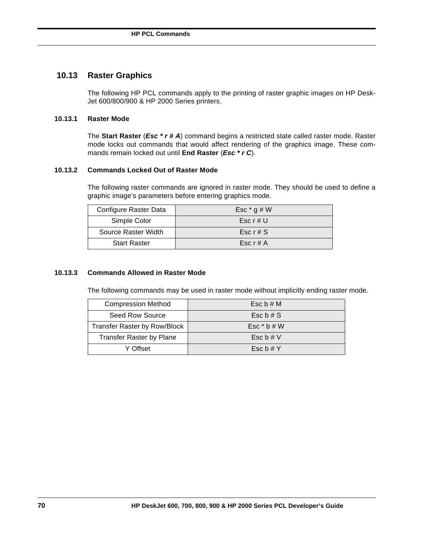## **10.13 Raster Graphics**

The following HP PCL commands apply to the printing of raster graphic images on HP Desk-Jet 600/800/900 & HP 2000 Series printers.

## **10.13.1 Raster Mode**

The **Start Raster** (*Esc \* r # A*) command begins a restricted state called raster mode. Raster mode locks out commands that would affect rendering of the graphics image. These commands remain locked out until **End Raster** (*Esc \* r C*).

## **10.13.2 Commands Locked Out of Raster Mode**

The following raster commands are ignored in raster mode. They should be used to define a graphic image's parameters before entering graphics mode.

| Configure Raster Data | Esc $*$ g # W |
|-----------------------|---------------|
| Simple Color          | Esc $r \# U$  |
| Source Raster Width   | Esc $r \# S$  |
| <b>Start Raster</b>   | Esc $r \# A$  |

## **10.13.3 Commands Allowed in Raster Mode**

The following commands may be used in raster mode without implicitly ending raster mode.

| <b>Compression Method</b>           | Esc $b \# M$          |
|-------------------------------------|-----------------------|
| Seed Row Source                     | Esc $\mathfrak b$ # S |
| <b>Transfer Raster by Row/Block</b> | Esc $*$ b # W         |
| <b>Transfer Raster by Plane</b>     | Esc $b \# V$          |
| Y Offset                            | Esc $b \# Y$          |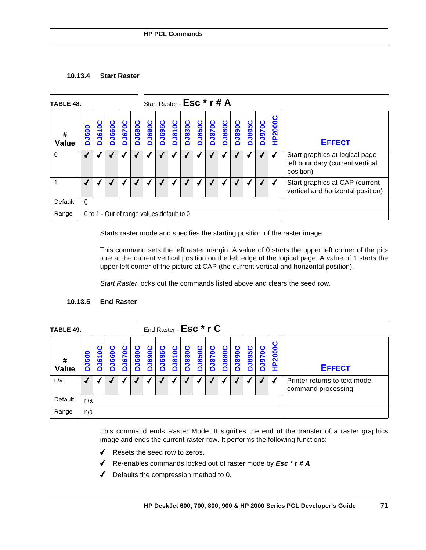## **10.13.4 Start Raster**

| TABLE 48.  |                  |                                           |               |                   |               |               |               | Start Raster - ESC * r # A |               |               |               |                         |               |               |         |                                                                                |
|------------|------------------|-------------------------------------------|---------------|-------------------|---------------|---------------|---------------|----------------------------|---------------|---------------|---------------|-------------------------|---------------|---------------|---------|--------------------------------------------------------------------------------|
| #<br>Value | <b>J600</b><br>ń | <b>J610C</b><br>ó                         | <b>DJ660C</b> | <b>J670C</b><br>ó | <b>DJ680C</b> | <b>DJ690C</b> | <b>DJ695C</b> | DJ810C                     | <b>DJ830C</b> | <b>DJ850C</b> | <b>DJ870C</b> | <b>DJ880C</b><br>DJ890C | <b>DJ895C</b> | <b>DJ970C</b> | HP2000C | <b>EFFECT</b>                                                                  |
| $\Omega$   |                  |                                           |               |                   |               |               |               |                            |               |               |               |                         |               |               |         | Start graphics at logical page<br>left boundary (current vertical<br>position) |
|            |                  |                                           |               |                   |               |               |               |                            |               |               |               |                         |               |               |         | Start graphics at CAP (current<br>vertical and horizontal position)            |
| Default    | 0                |                                           |               |                   |               |               |               |                            |               |               |               |                         |               |               |         |                                                                                |
| Range      |                  | 0 to 1 - Out of range values default to 0 |               |                   |               |               |               |                            |               |               |               |                         |               |               |         |                                                                                |

Starts raster mode and specifies the starting position of the raster image.

This command sets the left raster margin. A value of 0 starts the upper left corner of the picture at the current vertical position on the left edge of the logical page. A value of 1 starts the upper left corner of the picture at CAP (the current vertical and horizontal position).

*Start Raster* locks out the commands listed above and clears the seed row.

| TABLE 49.           |              |            |               |               |                |               |                   |               |               | End Raster - Esc <sup>*</sup> r C |               |               |               |                |          |                                |                                                    |
|---------------------|--------------|------------|---------------|---------------|----------------|---------------|-------------------|---------------|---------------|-----------------------------------|---------------|---------------|---------------|----------------|----------|--------------------------------|----------------------------------------------------|
| $\pmb{\#}$<br>Value | <b>DJ600</b> | ပ<br>DJ610 | ပ<br>660<br>n | <b>DJ670C</b> | ပ<br>1089<br>2 | <b>DJ690C</b> | <b>1695C</b><br>Δ | <b>DJ810C</b> | <b>DJ830C</b> | <b>J850C</b><br>۵                 | ပ<br>870<br>Δ | <b>DJ880C</b> | Ω<br>890<br>n | ပ<br>J895<br>۵ | ပ<br>970 | ပ<br>2000<br>$\mathbf{a}$<br>I | <b>EFFECT</b>                                      |
| n/a                 |              |            |               |               |                |               |                   |               |               |                                   |               |               |               |                |          |                                | Printer returns to text mode<br>command processing |
| Default             | n/a          |            |               |               |                |               |                   |               |               |                                   |               |               |               |                |          |                                |                                                    |
| Range               | n/a          |            |               |               |                |               |                   |               |               |                                   |               |               |               |                |          |                                |                                                    |

## **10.13.5 End Raster**

This command ends Raster Mode. It signifies the end of the transfer of a raster graphics image and ends the current raster row. It performs the following functions:

- ◆ Resets the seed row to zeros.
- 4 Re-enables commands locked out of raster mode by *Esc \* r # A*.
- 4 Defaults the compression method to 0.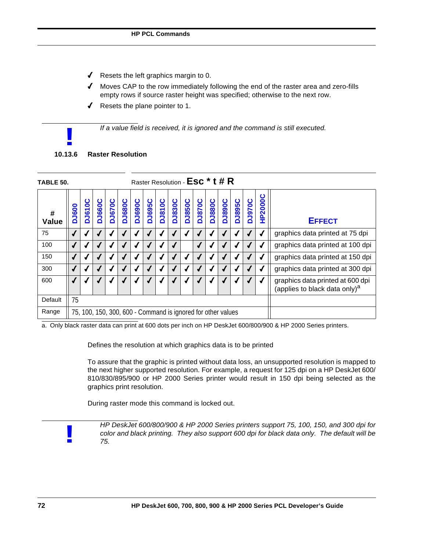- $\triangleleft$  Resets the left graphics margin to 0.
- $\blacklozenge$  Moves CAP to the row immediately following the end of the raster area and zero-fills empty rows if source raster height was specified; otherwise to the next row.
- $\sqrt{ }$  Resets the plane pointer to 1.

*If a value field is received, it is ignored and the command is still executed.*

# **10.13.6 Raster Resolution !**

| Raster Resolution - ESC <sup>*</sup> t # R<br>TABLE 50. |                                                              |                   |               |               |               |               |               |               |               |               |               |               |               |               |               |                |                                                                               |
|---------------------------------------------------------|--------------------------------------------------------------|-------------------|---------------|---------------|---------------|---------------|---------------|---------------|---------------|---------------|---------------|---------------|---------------|---------------|---------------|----------------|-------------------------------------------------------------------------------|
| #<br><b>Value</b>                                       | <b>DJ600</b>                                                 | ပ<br><b>DJ610</b> | <b>DJ660C</b> | <b>DJ670C</b> | <b>DJ680C</b> | <b>DJ690C</b> | <b>DJ695C</b> | <b>DJ810C</b> | <b>DJ830C</b> | <b>DJ850C</b> | <b>DJ870C</b> | <b>DJ880C</b> | <b>DJ890C</b> | <b>DJ895C</b> | <b>DU970C</b> | <b>HP2000C</b> | <b>EFFECT</b>                                                                 |
| 75                                                      |                                                              |                   |               |               |               |               |               |               |               |               |               |               |               |               |               |                | graphics data printed at 75 dpi                                               |
| 100                                                     |                                                              |                   |               |               |               |               |               |               |               |               |               | √             |               |               |               |                | graphics data printed at 100 dpi                                              |
| 150                                                     |                                                              |                   |               |               |               |               |               |               |               |               |               |               |               |               |               |                | graphics data printed at 150 dpi                                              |
| 300                                                     |                                                              |                   |               |               |               |               |               |               |               |               |               |               |               |               |               |                | graphics data printed at 300 dpi                                              |
| 600                                                     |                                                              |                   |               |               |               |               |               |               |               |               |               |               |               |               |               |                | graphics data printed at 600 dpi<br>(applies to black data only) <sup>a</sup> |
| Default                                                 | 75                                                           |                   |               |               |               |               |               |               |               |               |               |               |               |               |               |                |                                                                               |
| Range                                                   | 75, 100, 150, 300, 600 - Command is ignored for other values |                   |               |               |               |               |               |               |               |               |               |               |               |               |               |                |                                                                               |

a. Only black raster data can print at 600 dots per inch on HP DeskJet 600/800/900 & HP 2000 Series printers.

Defines the resolution at which graphics data is to be printed

To assure that the graphic is printed without data loss, an unsupported resolution is mapped to the next higher supported resolution. For example, a request for 125 dpi on a HP DeskJet 600/ 810/830/895/900 or HP 2000 Series printer would result in 150 dpi being selected as the graphics print resolution.

During raster mode this command is locked out.

**!**

*HP DeskJet 600/800/900 & HP 2000 Series printers support 75, 100, 150, and 300 dpi for color and black printing. They also support 600 dpi for black data only. The default will be 75.*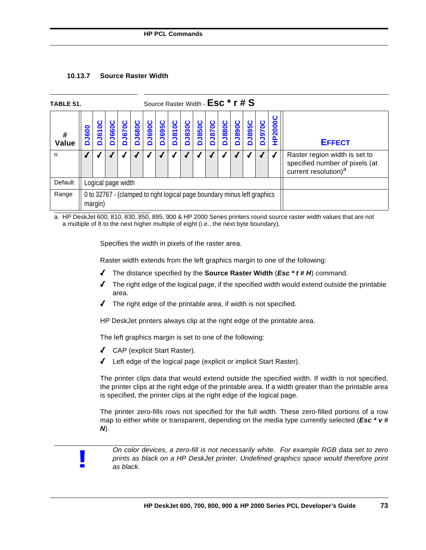# **10.13.7 Source Raster Width**

| TABLE 51.                                                                                                                                                                                                                                                             | Source Raster Width - ESC * r # S                                                   |  |  |  |  |  |  |  |                |                                                                                                     |  |  |  |  |  |
|-----------------------------------------------------------------------------------------------------------------------------------------------------------------------------------------------------------------------------------------------------------------------|-------------------------------------------------------------------------------------|--|--|--|--|--|--|--|----------------|-----------------------------------------------------------------------------------------------------|--|--|--|--|--|
| <b>DJ690C</b><br><b>DJ680C</b><br>DJ695C<br>DJ810C<br><b>DJ830C</b><br><b>DJ895C</b><br><b>DJ670C</b><br><b>DJ850C</b><br><b>DJ890C</b><br><b>J970C</b><br>ပ<br><b>J880C</b><br><b>DJ870C</b><br><b>J660C</b><br><b>DJ610</b><br><b>DJ600</b><br>#<br>Value<br>≏<br>≏ |                                                                                     |  |  |  |  |  |  |  | <b>HP2000C</b> | <b>EFFECT</b>                                                                                       |  |  |  |  |  |
| n                                                                                                                                                                                                                                                                     |                                                                                     |  |  |  |  |  |  |  |                | Raster region width is set to<br>specified number of pixels (at<br>current resolution) <sup>a</sup> |  |  |  |  |  |
| Default                                                                                                                                                                                                                                                               | Logical page width                                                                  |  |  |  |  |  |  |  |                |                                                                                                     |  |  |  |  |  |
| Range                                                                                                                                                                                                                                                                 | 0 to 32767 - (clamped to right logical page boundary minus left graphics<br>margin) |  |  |  |  |  |  |  |                |                                                                                                     |  |  |  |  |  |

a. HP DeskJet 600, 810, 830, 850, 895, 900 & HP 2000 Series printers round source raster width values that are not a multiple of 8 to the next higher multiple of eight (i.e., the next byte boundary).

Specifies the width in pixels of the raster area.

Raster width extends from the left graphics margin to one of the following:

- 4 The distance specified by the **Source Raster Width** (*Esc \* t # H*) command.
- $\blacklozenge$  The right edge of the logical page, if the specified width would extend outside the printable area.
- $\blacklozenge$  The right edge of the printable area, if width is not specified.

HP DeskJet printers always clip at the right edge of the printable area.

The left graphics margin is set to one of the following:

- 4 CAP (explicit Start Raster).
- 4 Left edge of the logical page (explicit or implicit Start Raster).

The printer clips data that would extend outside the specified width. If width is not specified, the printer clips at the right edge of the printable area. If a width greater than the printable area is specified, the printer clips at the right edge of the logical page.

The printer zero-fills rows not specified for the full width. These zero-filled portions of a row map to either white or transparent, depending on the media type currently selected (*Esc \* v # N*).



*On color devices, a zero-fill is not necessarily white. For example RGB data set to zero prints as black on a HP DeskJet printer. Undefined graphics space would therefore print as black.*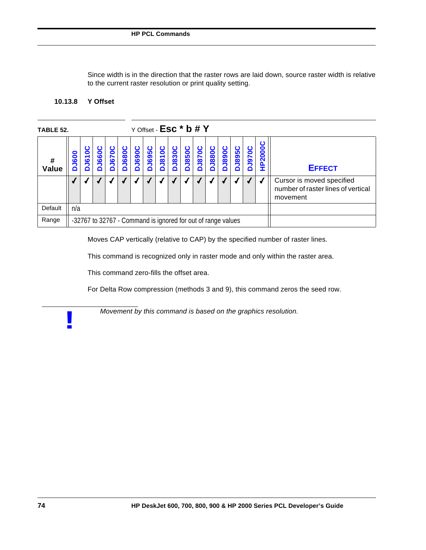Since width is in the direction that the raster rows are laid down, source raster width is relative to the current raster resolution or print quality setting.

# **10.13.8 Y Offset**

**!**

| TABLE 52.                                                                  | Y Offset - Esc <sup>*</sup> b # Y                            |  |     |                   |              |                   |               |                   |                   |              |               |                                                                             |                   |            |               |
|----------------------------------------------------------------------------|--------------------------------------------------------------|--|-----|-------------------|--------------|-------------------|---------------|-------------------|-------------------|--------------|---------------|-----------------------------------------------------------------------------|-------------------|------------|---------------|
| ပ<br><b>1670C</b><br>0<br>660<br>600<br>$\overline{\bullet}$<br>#<br>Value |                                                              |  | 680 | <b>J690C</b><br>۵ | <b>1695C</b> | <b>J810C</b><br>≏ | <b>DJ830C</b> | <b>J850C</b><br>ó | <b>J870C</b><br>۵ | <b>J880C</b> | <b>DJ890C</b> | <b>D3895C</b>                                                               | <b>J970C</b><br>Δ | ပ<br>P2000 | <b>EFFECT</b> |
|                                                                            |                                                              |  |     |                   |              |                   |               |                   |                   |              |               | Cursor is moved specified<br>number of raster lines of vertical<br>movement |                   |            |               |
| Default                                                                    | n/a                                                          |  |     |                   |              |                   |               |                   |                   |              |               |                                                                             |                   |            |               |
| Range                                                                      | -32767 to 32767 - Command is ignored for out of range values |  |     |                   |              |                   |               |                   |                   |              |               |                                                                             |                   |            |               |

Moves CAP vertically (relative to CAP) by the specified number of raster lines.

This command is recognized only in raster mode and only within the raster area.

This command zero-fills the offset area.

For Delta Row compression (methods 3 and 9), this command zeros the seed row.

*Movement by this command is based on the graphics resolution.*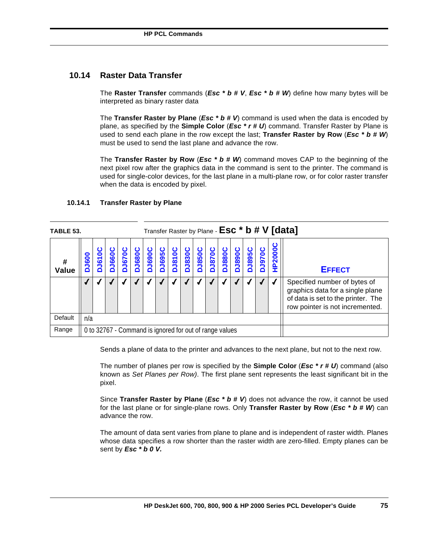# **10.14 Raster Data Transfer**

The **Raster Transfer** commands (*Esc \* b # V*, *Esc \* b # W*) define how many bytes will be interpreted as binary raster data

The **Transfer Raster by Plane** (*Esc \* b # V*) command is used when the data is encoded by plane, as specified by the **Simple Color** (*Esc \* r # U*) command. Transfer Raster by Plane is used to send each plane in the row except the last; **Transfer Raster by Row** (*Esc \* b # W*) must be used to send the last plane and advance the row.

The **Transfer Raster by Row** (*Esc \* b # W*) command moves CAP to the beginning of the next pixel row after the graphics data in the command is sent to the printer. The command is used for single-color devices, for the last plane in a multi-plane row, or for color raster transfer when the data is encoded by pixel.

| TABLE 53.                                               | Transfer Raster by Plane - $\textsf{Esc} \cdot \textsf{b} \# V$ [data] |  |  |  |       |               |                   |              |               |               |               |              |                                                                                                                                           |               |               |                           |               |
|---------------------------------------------------------|------------------------------------------------------------------------|--|--|--|-------|---------------|-------------------|--------------|---------------|---------------|---------------|--------------|-------------------------------------------------------------------------------------------------------------------------------------------|---------------|---------------|---------------------------|---------------|
| <b>660C</b><br><b>J670</b><br>610<br>ဓိဝိ<br>#<br>Value |                                                                        |  |  |  | J680C | <b>DJ690C</b> | <b>J695C</b><br>۵ | <b>J810C</b> | <b>DJ830C</b> | <b>DJ850C</b> | <b>DJ870C</b> | <b>J880C</b> | <b>DJ890C</b>                                                                                                                             | <b>DJ895C</b> | <b>Duscrd</b> | <u>ပ</u><br><b>HP2000</b> | <b>EFFECT</b> |
|                                                         |                                                                        |  |  |  |       |               |                   |              |               |               |               |              | Specified number of bytes of<br>graphics data for a single plane<br>of data is set to the printer. The<br>row pointer is not incremented. |               |               |                           |               |
| Default                                                 | n/a                                                                    |  |  |  |       |               |                   |              |               |               |               |              |                                                                                                                                           |               |               |                           |               |
| Range                                                   | 0 to 32767 - Command is ignored for out of range values                |  |  |  |       |               |                   |              |               |               |               |              |                                                                                                                                           |               |               |                           |               |

## **10.14.1 Transfer Raster by Plane**

Sends a plane of data to the printer and advances to the next plane, but not to the next row.

The number of planes per row is specified by the **Simple Color** (*Esc \* r # U*) command (also known as *Set Planes per Row)*. The first plane sent represents the least significant bit in the pixel.

Since **Transfer Raster by Plane** (*Esc \* b # V*) does not advance the row, it cannot be used for the last plane or for single-plane rows. Only **Transfer Raster by Row** (*Esc \* b # W*) can advance the row.

The amount of data sent varies from plane to plane and is independent of raster width. Planes whose data specifies a row shorter than the raster width are zero-filled. Empty planes can be sent by *Esc \* b 0 V.*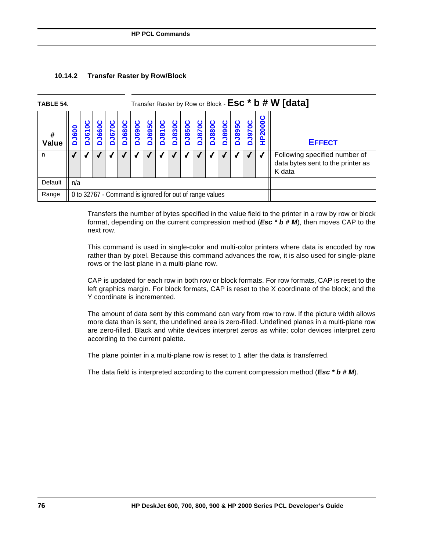# **10.14.2 Transfer Raster by Row/Block**

| TABLE 54.                                                                                      |                                                         | Transfer Raster by Row or Block - Esc * b # W [data] |  |  |  |  |                                                   |  |  |                   |              |                                   |                                                                              |               |                   |        |               |
|------------------------------------------------------------------------------------------------|---------------------------------------------------------|------------------------------------------------------|--|--|--|--|---------------------------------------------------|--|--|-------------------|--------------|-----------------------------------|------------------------------------------------------------------------------|---------------|-------------------|--------|---------------|
| <b>J680C</b><br><b>J670C</b><br>J660C<br><b>J6100</b><br><b>J600</b><br>#<br><b>Value</b><br>o |                                                         |                                                      |  |  |  |  | <b>J690C</b><br><b>J810C</b><br><b>J695C</b><br>≏ |  |  | <b>J850C</b><br>◘ | <b>J870C</b> | <b>J880C</b><br><b>J890C</b><br>≏ |                                                                              | <b>DJ895C</b> | <b>J970C</b><br>≏ | P2000C | <b>EFFECT</b> |
| n                                                                                              |                                                         |                                                      |  |  |  |  |                                                   |  |  |                   |              |                                   | Following specified number of<br>data bytes sent to the printer as<br>K data |               |                   |        |               |
| Default                                                                                        | n/a                                                     |                                                      |  |  |  |  |                                                   |  |  |                   |              |                                   |                                                                              |               |                   |        |               |
| Range                                                                                          | 0 to 32767 - Command is ignored for out of range values |                                                      |  |  |  |  |                                                   |  |  |                   |              |                                   |                                                                              |               |                   |        |               |

Transfers the number of bytes specified in the value field to the printer in a row by row or block format, depending on the current compression method (*Esc \* b # M*), then moves CAP to the next row.

This command is used in single-color and multi-color printers where data is encoded by row rather than by pixel. Because this command advances the row, it is also used for single-plane rows or the last plane in a multi-plane row.

CAP is updated for each row in both row or block formats. For row formats, CAP is reset to the left graphics margin. For block formats, CAP is reset to the X coordinate of the block; and the Y coordinate is incremented.

The amount of data sent by this command can vary from row to row. If the picture width allows more data than is sent, the undefined area is zero-filled. Undefined planes in a multi-plane row are zero-filled. Black and white devices interpret zeros as white; color devices interpret zero according to the current palette.

The plane pointer in a multi-plane row is reset to 1 after the data is transferred.

The data field is interpreted according to the current compression method (*Esc \* b # M*).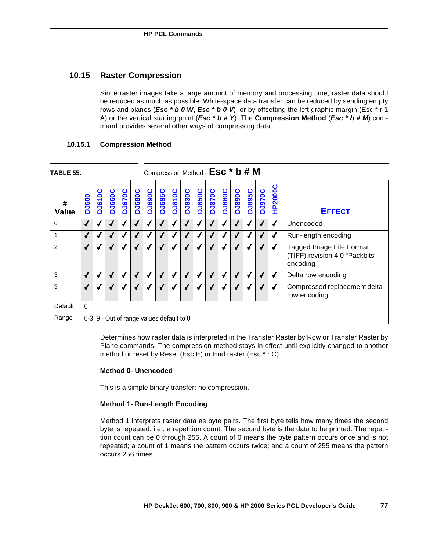# **10.15 Raster Compression**

Since raster images take a large amount of memory and processing time, raster data should be reduced as much as possible. White-space data transfer can be reduced by sending empty rows and planes (*Esc \* b 0 W*, *Esc \* b 0 V*), or by offsetting the left graphic margin (Esc \* r 1 A) or the vertical starting point (*Esc \* b # Y*). The **Compression Method** (*Esc \* b # M*) command provides several other ways of compressing data.

| TABLE 55.         |              |               |                                                                                                                                                                                                                               |            |  |                                           | Compression Method - ESC * b # M |            |               |  |                                              |            |   |            |  |   |                                                                        |  |
|-------------------|--------------|---------------|-------------------------------------------------------------------------------------------------------------------------------------------------------------------------------------------------------------------------------|------------|--|-------------------------------------------|----------------------------------|------------|---------------|--|----------------------------------------------|------------|---|------------|--|---|------------------------------------------------------------------------|--|
| #<br><b>Value</b> | <b>DJ600</b> | <b>DJ610C</b> | <b>HP2000C</b><br><b>DJ970C</b><br>DJ830C<br><b>DJ850C</b><br>DJ670C<br><b>DJ690C</b><br><b>DJ695C</b><br><b>DJ810C</b><br><b>DJ880C</b><br><b>DJ895C</b><br><b>DJ680C</b><br><b>DJ870C</b><br><b>DJ890C</b><br><b>DJ660C</b> |            |  |                                           |                                  |            | <b>EFFECT</b> |  |                                              |            |   |            |  |   |                                                                        |  |
| $\mathbf 0$       | $\checkmark$ |               |                                                                                                                                                                                                                               | √          |  |                                           | $\boldsymbol{J}$<br>√            |            |               |  |                                              |            |   | Unencoded  |  |   |                                                                        |  |
| 1                 | $\sqrt{2}$   |               |                                                                                                                                                                                                                               | $\sqrt{ }$ |  | $\sqrt{ }$                                |                                  | $\sqrt{2}$ | ✔             |  | J                                            | $\sqrt{2}$ | ✔ | $\sqrt{ }$ |  | √ | Run-length encoding                                                    |  |
| $\overline{2}$    |              |               |                                                                                                                                                                                                                               | √          |  |                                           |                                  | √          | J             |  | √                                            |            |   |            |  |   | Tagged Image File Format<br>(TIFF) revision 4.0 "Packbits"<br>encoding |  |
| 3                 | $\sqrt{2}$   |               |                                                                                                                                                                                                                               | √          |  |                                           |                                  | √          | ✔             |  |                                              |            |   |            |  | √ | Delta row encoding                                                     |  |
| 9                 | √            |               |                                                                                                                                                                                                                               |            |  |                                           |                                  |            |               |  | Compressed replacement delta<br>row encoding |            |   |            |  |   |                                                                        |  |
| Default           | $\Omega$     |               |                                                                                                                                                                                                                               |            |  |                                           |                                  |            |               |  |                                              |            |   |            |  |   |                                                                        |  |
| Range             |              |               |                                                                                                                                                                                                                               |            |  | 0-3, 9 - Out of range values default to 0 |                                  |            |               |  |                                              |            |   |            |  |   |                                                                        |  |

## **10.15.1 Compression Method**

Determines how raster data is interpreted in the Transfer Raster by Row or Transfer Raster by Plane commands. The compression method stays in effect until explicitly changed to another method or reset by Reset (Esc E) or End raster (Esc \* r C).

## **Method 0- Unencoded**

This is a simple binary transfer: no compression.

## **Method 1- Run-Length Encoding**

Method 1 interprets raster data as byte pairs. The first byte tells how many times the second byte is repeated, i.e., a repetition count. The second byte is the data to be printed. The repetition count can be 0 through 255. A count of 0 means the byte pattern occurs once and is not repeated; a count of 1 means the pattern occurs twice; and a count of 255 means the pattern occurs 256 times.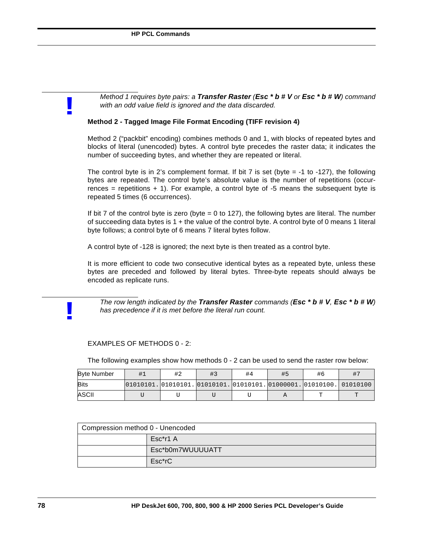**!**

**!**

*Method 1 requires byte pairs: a Transfer Raster (Esc \* b # V or Esc \* b # W) command with an odd value field is ignored and the data discarded.*

#### **Method 2 - Tagged Image File Format Encoding (TIFF revision 4)**

Method 2 ("packbit" encoding) combines methods 0 and 1, with blocks of repeated bytes and blocks of literal (unencoded) bytes. A control byte precedes the raster data; it indicates the number of succeeding bytes, and whether they are repeated or literal.

The control byte is in 2's complement format. If bit  $7$  is set (byte  $= -1$  to  $-127$ ), the following bytes are repeated. The control byte's absolute value is the number of repetitions (occurrences = repetitions  $+ 1$ ). For example, a control byte of  $-5$  means the subsequent byte is repeated 5 times (6 occurrences).

If bit 7 of the control byte is zero (byte  $= 0$  to 127), the following bytes are literal. The number of succeeding data bytes is 1 + the value of the control byte. A control byte of 0 means 1 literal byte follows; a control byte of 6 means 7 literal bytes follow.

A control byte of -128 is ignored; the next byte is then treated as a control byte.

It is more efficient to code two consecutive identical bytes as a repeated byte, unless these bytes are preceded and followed by literal bytes. Three-byte repeats should always be encoded as replicate runs.

*The row length indicated by the Transfer Raster commands (Esc \* b # V, Esc \* b # W) has precedence if it is met before the literal run count.*

# EXAMPLES OF METHODS 0 - 2:

The following examples show how methods 0 - 2 can be used to send the raster row below:

| <b>Byte Number</b> |                                                                          | #2 | #3 | #4 | #5 | #6 | $#^-$ |
|--------------------|--------------------------------------------------------------------------|----|----|----|----|----|-------|
| <b>Bits</b>        | $ 01010101. 01010101. 01010101. 01010101. 01000001. 01010100. 01010100.$ |    |    |    |    |    |       |
| ASCII              |                                                                          |    |    |    |    |    | m     |

| Compression method 0 - Unencoded |                  |  |  |  |  |  |  |  |  |  |
|----------------------------------|------------------|--|--|--|--|--|--|--|--|--|
|                                  | Esc*r1 A         |  |  |  |  |  |  |  |  |  |
|                                  | Esc*b0m7WUUUUATT |  |  |  |  |  |  |  |  |  |
|                                  | Esc*rC           |  |  |  |  |  |  |  |  |  |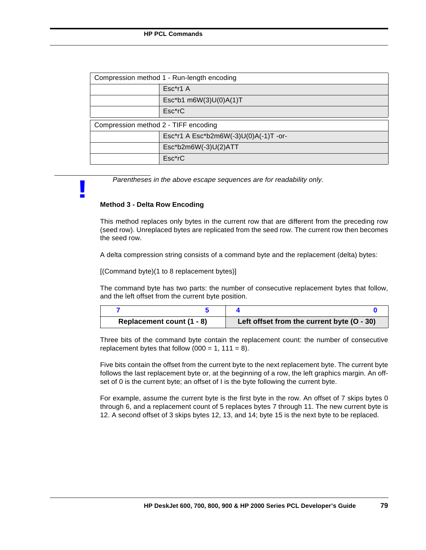| Compression method 1 - Run-length encoding |                                       |  |  |  |  |  |  |  |  |  |
|--------------------------------------------|---------------------------------------|--|--|--|--|--|--|--|--|--|
|                                            | $Esc* r1 A$                           |  |  |  |  |  |  |  |  |  |
|                                            | Esc*b1 m6W(3)U(0)A(1)T                |  |  |  |  |  |  |  |  |  |
|                                            | $Esc*rC$                              |  |  |  |  |  |  |  |  |  |
| Compression method 2 - TIFF encoding       |                                       |  |  |  |  |  |  |  |  |  |
|                                            | Esc*r1 A Esc*b2m6W(-3)U(0)A(-1)T -or- |  |  |  |  |  |  |  |  |  |
|                                            | $Esc*b2m6W(-3)U(2)ATT$                |  |  |  |  |  |  |  |  |  |
|                                            | $Esc*rC$                              |  |  |  |  |  |  |  |  |  |

*Parentheses in the above escape sequences are for readability only.* 

#### **Method 3 - Delta Row Encoding**

**!**

This method replaces only bytes in the current row that are different from the preceding row (seed row). Unreplaced bytes are replicated from the seed row. The current row then becomes the seed row.

A delta compression string consists of a command byte and the replacement (delta) bytes:

[(Command byte)(1 to 8 replacement bytes)]

The command byte has two parts: the number of consecutive replacement bytes that follow, and the left offset from the current byte position.

| Replacement count (1 - 8) | Left offset from the current byte (O - 30) |
|---------------------------|--------------------------------------------|

Three bits of the command byte contain the replacement count: the number of consecutive replacement bytes that follow  $(000 = 1, 111 = 8)$ .

Five bits contain the offset from the current byte to the next replacement byte. The current byte follows the last replacement byte or, at the beginning of a row, the left graphics margin. An offset of 0 is the current byte; an offset of I is the byte following the current byte.

For example, assume the current byte is the first byte in the row. An offset of 7 skips bytes 0 through 6, and a replacement count of 5 replaces bytes 7 through 11. The new current byte is 12. A second offset of 3 skips bytes 12, 13, and 14; byte 15 is the next byte to be replaced.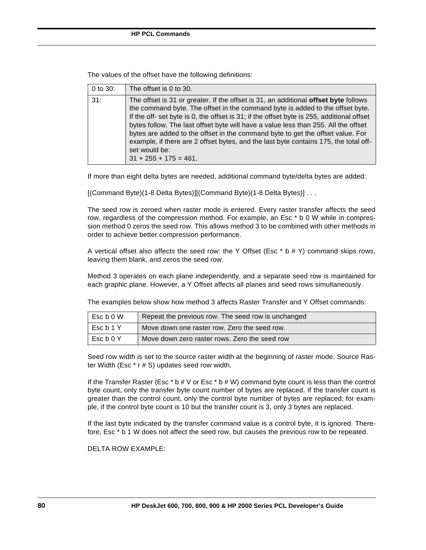The values of the offset have the following definitions:

| 0 to $30:$ | The offset is 0 to 30.                                                                                                                                                                                                                                                                                                                                                                                                                                                                                                                                                                |
|------------|---------------------------------------------------------------------------------------------------------------------------------------------------------------------------------------------------------------------------------------------------------------------------------------------------------------------------------------------------------------------------------------------------------------------------------------------------------------------------------------------------------------------------------------------------------------------------------------|
| 31:        | The offset is 31 or greater. If the offset is 31, an additional <b>offset byte</b> follows<br>the command byte. The offset in the command byte is added to the offset byte.<br>If the off- set byte is 0, the offset is 31; if the offset byte is 255, additional offset<br>bytes follow. The last offset byte will have a value less than 255. All the offset<br>bytes are added to the offset in the command byte to get the offset value. For<br>example, if there are 2 offset bytes, and the last byte contains 175, the total off-<br>set would be:<br>$31 + 255 + 175 = 461$ . |

If more than eight delta bytes are needed, additional command byte/delta bytes are added:

[(Command Byte)(1-8 Delta Bytes)][(Command Byte)(1-8 Delta Bytes)] . . .

The seed row is zeroed when raster mode is entered. Every raster transfer affects the seed row, regardless of the compression method. For example, an Esc \* b 0 W while in compression method 0 zeros the seed row. This allows method 3 to be combined with other methods in order to achieve better compression performance.

A vertical offset also affects the seed row: the Y Offset (Esc  $*$  b  $#$  Y) command skips rows, leaving them blank, and zeros the seed row.

Method 3 operates on each plane independently, and a separate seed row is maintained for each graphic plane. However, a Y Offset affects all planes and seed rows simultaneously.

The examples below show how method 3 affects Raster Transfer and Y Offset commands:

| Esc b 0 W | Repeat the previous row. The seed row is unchanged |
|-----------|----------------------------------------------------|
| Esc b 1 Y | Move down one raster row. Zero the seed row.       |
| EscbOY    | Move down zero raster rows. Zero the seed row      |

Seed row width is set to the source raster width at the beginning of raster mode. Source Raster Width (Esc \* r # S) updates seed row width.

If the Transfer Raster (Esc  $*$  b  $#V$  or Esc  $*$  b  $#W$ ) command byte count is less than the control byte count, only the transfer byte count number of bytes are replaced. If the transfer count is greater than the control count, only the control byte number of bytes are replaced; for example, if the control byte count is 10 but the transfer count is 3, only 3 bytes are replaced.

If the last byte indicated by the transfer command value is a control byte, it is ignored. Therefore, Esc \* b 1 W does not affect the seed row, but causes the previous row to be repeated.

DELTA ROW EXAMPLE: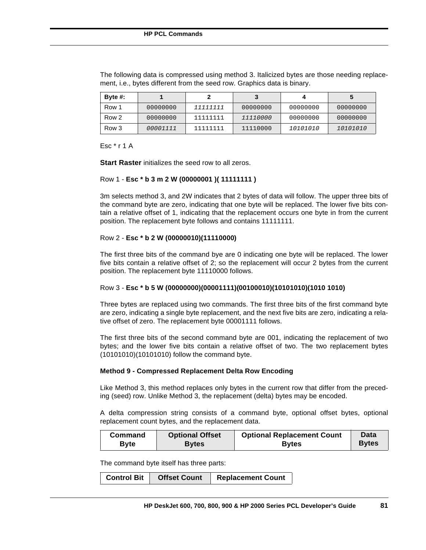| Byte $#$ : |          |          |          |          |          |
|------------|----------|----------|----------|----------|----------|
| Row 1      | 00000000 | 11111111 | 00000000 | 00000000 | 00000000 |
| Row 2      | 00000000 | 11111111 | 11110000 | 00000000 | 00000000 |
| Row 3      | 00001111 | 11111111 | 11110000 | 10101010 | 10101010 |

The following data is compressed using method 3. Italicized bytes are those needing replacement, i.e., bytes different from the seed row. Graphics data is binary.

Esc \* r 1 A

**Start Raster** initializes the seed row to all zeros.

# Row 1 - **Esc \* b 3 m 2 W (00000001 )( 11111111 )**

3m selects method 3, and 2W indicates that 2 bytes of data will follow. The upper three bits of the command byte are zero, indicating that one byte will be replaced. The lower five bits contain a relative offset of 1, indicating that the replacement occurs one byte in from the current position. The replacement byte follows and contains 11111111.

## Row 2 - **Esc \* b 2 W (00000010)(11110000)**

The first three bits of the command bye are 0 indicating one byte will be replaced. The lower five bits contain a relative offset of 2; so the replacement will occur 2 bytes from the current position. The replacement byte 11110000 follows.

## Row 3 - **Esc \* b 5 W (00000000)(00001111)(00100010)(10101010)(1010 1010)**

Three bytes are replaced using two commands. The first three bits of the first command byte are zero, indicating a single byte replacement, and the next five bits are zero, indicating a relative offset of zero. The replacement byte 00001111 follows.

The first three bits of the second command byte are 001, indicating the replacement of two bytes; and the lower five bits contain a relative offset of two. The two replacement bytes (10101010)(10101010) follow the command byte.

#### **Method 9 - Compressed Replacement Delta Row Encoding**

Like Method 3, this method replaces only bytes in the current row that differ from the preceding (seed) row. Unlike Method 3, the replacement (delta) bytes may be encoded.

A delta compression string consists of a command byte, optional offset bytes, optional replacement count bytes, and the replacement data.

| Command      | <b>Optional Offset</b> | <b>Optional Replacement Count</b> | <b>Data</b>  |
|--------------|------------------------|-----------------------------------|--------------|
| <b>B</b> vte | <b>Bytes</b>           | <b>Bytes</b>                      | <b>Bytes</b> |

The command byte itself has three parts:

|  | <b>Control Bit</b> | <b>Offset Count</b> | <b>Replacement Count</b> |
|--|--------------------|---------------------|--------------------------|
|--|--------------------|---------------------|--------------------------|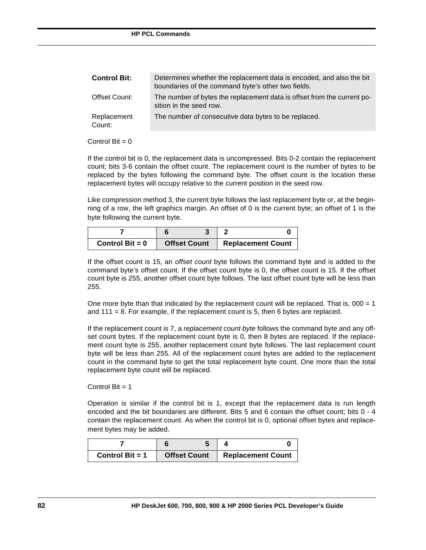| <b>Control Bit:</b>   | Determines whether the replacement data is encoded, and also the bit<br>boundaries of the command byte's other two fields. |
|-----------------------|----------------------------------------------------------------------------------------------------------------------------|
| Offset Count:         | The number of bytes the replacement data is offset from the current po-<br>sition in the seed row.                         |
| Replacement<br>Count: | The number of consecutive data bytes to be replaced.                                                                       |

#### Control Bit  $= 0$

If the control bit is 0, the replacement data is uncompressed. Bits 0-2 contain the replacement count; bits 3-6 contain the offset count. The replacement count is the number of bytes to be replaced by the bytes following the command byte. The offset count is the location these replacement bytes will occupy relative to the current position in the seed row.

Like compression method 3, the current byte follows the last replacement byte or, at the beginning of a row, the left graphics margin. An offset of 0 is the current byte; an offset of 1 is the byte following the current byte.

| Control Bit = $0$ | <b>Offset Count</b> | <b>Replacement Count</b> |
|-------------------|---------------------|--------------------------|

If the offset count is 15, an *offset count* byte follows the command byte and is added to the command byte's offset count. If the offset count byte is 0, the offset count is 15. If the offset count byte is 255, another offset count byte follows. The last offset count byte will be less than 255.

One more byte than that indicated by the replacement count will be replaced. That is,  $000 = 1$ and  $111 = 8$ . For example, if the replacement count is 5, then 6 bytes are replaced.

If the replacement count is 7, a *replacement count byte* follows the command byte and any offset count bytes. If the replacement count byte is 0, then 8 bytes are replaced. If the replacement count byte is 255, another replacement count byte follows. The last replacement count byte will be less than 255. All of the replacement count bytes are added to the replacement count in the command byte to get the total replacement byte count. One more than the total replacement byte count will be replaced.

Control  $Bit = 1$ 

Operation is similar if the control bit is 1, except that the replacement data is run length encoded and the bit boundaries are different. Bits 5 and 6 contain the offset count; bits 0 - 4 contain the replacement count. As when the control bit is 0, optional offset bytes and replacement bytes may be added.

| Control Bit $= 1$ | <b>Offset Count</b> | <b>Replacement Count</b> |
|-------------------|---------------------|--------------------------|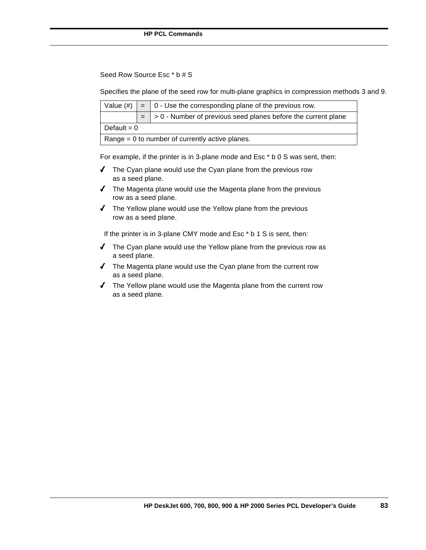Seed Row Source Esc \* b # S

Specifies the plane of the seed row for multi-plane graphics in compression methods 3 and 9.

|                                                   |               | Value $(\#)$ $\vert$ = $\vert$ 0 - Use the corresponding plane of the previous row. |  |  |  |  |  |  |  |  |
|---------------------------------------------------|---------------|-------------------------------------------------------------------------------------|--|--|--|--|--|--|--|--|
|                                                   |               | $=$ $\vert$ > 0 - Number of previous seed planes before the current plane           |  |  |  |  |  |  |  |  |
|                                                   | Default = $0$ |                                                                                     |  |  |  |  |  |  |  |  |
| Range $= 0$ to number of currently active planes. |               |                                                                                     |  |  |  |  |  |  |  |  |

For example, if the printer is in 3-plane mode and Esc \* b 0 S was sent, then:

- $\blacklozenge$  The Cyan plane would use the Cyan plane from the previous row as a seed plane.
- $\sqrt{\phantom{a}}$  The Magenta plane would use the Magenta plane from the previous row as a seed plane.
- $\sqrt{\phantom{a}}$  The Yellow plane would use the Yellow plane from the previous row as a seed plane.

If the printer is in 3-plane CMY mode and Esc \* b 1 S is sent, then:

- $\sqrt{ }$  The Cyan plane would use the Yellow plane from the previous row as a seed plane.
- 4 The Magenta plane would use the Cyan plane from the current row as a seed plane.
- $\sqrt{ }$  The Yellow plane would use the Magenta plane from the current row as a seed plane.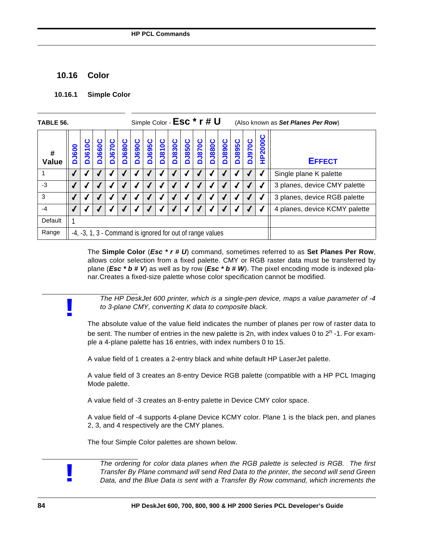# **10.16 Color**

**!**

**!**

#### **10.16.1 Simple Color**

| Simple Color - Esc * r # U<br>TABLE 56. |             |                                                           |       |               |               |               |               |               | (Also known as Set Planes Per Row) |                               |              |               |              |               |              |                |                              |
|-----------------------------------------|-------------|-----------------------------------------------------------|-------|---------------|---------------|---------------|---------------|---------------|------------------------------------|-------------------------------|--------------|---------------|--------------|---------------|--------------|----------------|------------------------------|
| #<br>Value                              | <b>J600</b> | ပ<br><b>DJ610</b>                                         | J660C | <b>DJ670C</b> | <b>DJ680C</b> | <b>DJ690C</b> | <b>DJ695C</b> | <b>DJ810C</b> | <b>DJ830C</b>                      | <b>DJ850C</b>                 | <b>J870C</b> | <b>DJ880C</b> | <b>J890C</b> | <b>DJ895C</b> | <b>J970C</b> | <b>HP2000C</b> | <b>EFFECT</b>                |
|                                         |             |                                                           |       |               |               |               |               |               |                                    |                               |              |               |              |               |              |                | Single plane K palette       |
| $-3$                                    |             |                                                           |       |               |               |               |               |               |                                    |                               |              |               |              |               |              |                | 3 planes, device CMY palette |
| 3                                       |             |                                                           |       |               |               |               |               |               |                                    |                               |              |               |              |               |              |                | 3 planes, device RGB palette |
| -4                                      |             |                                                           |       |               |               |               |               |               |                                    | 4 planes, device KCMY palette |              |               |              |               |              |                |                              |
| Default                                 |             |                                                           |       |               |               |               |               |               |                                    |                               |              |               |              |               |              |                |                              |
| Range                                   |             | -4, -3, 1, 3 - Command is ignored for out of range values |       |               |               |               |               |               |                                    |                               |              |               |              |               |              |                |                              |

The **Simple Color** (*Esc \* r # U*) command, sometimes referred to as **Set Planes Per Row**, allows color selection from a fixed palette. CMY or RGB raster data must be transferred by plane (*Esc \* b # V*) as well as by row (*Esc \* b # W*). The pixel encoding mode is indexed planar.Creates a fixed-size palette whose color specification cannot be modified.

*The HP DeskJet 600 printer, which is a single-pen device, maps a value parameter of -4 to 3-plane CMY, converting K data to composite black.*

The absolute value of the value field indicates the number of planes per row of raster data to be sent. The number of entries in the new palette is 2n, with index values 0 to 2<sup>n</sup> -1. For example a 4-plane palette has 16 entries, with index numbers 0 to 15.

A value field of 1 creates a 2-entry black and white default HP LaserJet palette.

A value field of 3 creates an 8-entry Device RGB palette (compatible with a HP PCL Imaging Mode palette.

A value field of -3 creates an 8-entry palette in Device CMY color space.

A value field of -4 supports 4-plane Device KCMY color. Plane 1 is the black pen, and planes 2, 3, and 4 respectively are the CMY planes.

The four Simple Color palettes are shown below.

*The ordering for color data planes when the RGB palette is selected is RGB. The first Transfer By Plane command will send Red Data to the printer, the second will send Green Data, and the Blue Data is sent with a Transfer By Row command, which increments the*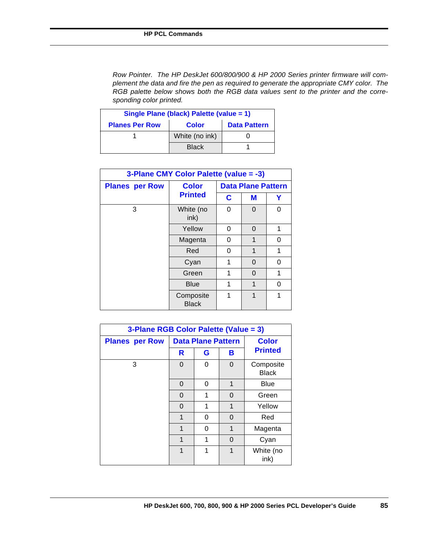*Row Pointer. The HP DeskJet 600/800/900 & HP 2000 Series printer firmware will complement the data and fire the pen as required to generate the appropriate CMY color. The RGB palette below shows both the RGB data values sent to the printer and the corresponding color printed.*

| Single Plane (black) Palette (value = 1) |                |                     |  |  |  |  |  |  |  |  |  |  |
|------------------------------------------|----------------|---------------------|--|--|--|--|--|--|--|--|--|--|
| <b>Planes Per Row</b>                    | <b>Color</b>   | <b>Data Pattern</b> |  |  |  |  |  |  |  |  |  |  |
|                                          | White (no ink) |                     |  |  |  |  |  |  |  |  |  |  |
|                                          | <b>Black</b>   |                     |  |  |  |  |  |  |  |  |  |  |

| 3-Plane CMY Color Palette (value = -3) |                           |   |                           |             |  |  |  |  |  |  |  |
|----------------------------------------|---------------------------|---|---------------------------|-------------|--|--|--|--|--|--|--|
| <b>Planes per Row</b>                  | <b>Color</b>              |   | <b>Data Plane Pattern</b> |             |  |  |  |  |  |  |  |
|                                        | <b>Printed</b>            | C | M                         | Y<br>0<br>1 |  |  |  |  |  |  |  |
| 3                                      | White (no<br>ink)         | 0 | 0                         |             |  |  |  |  |  |  |  |
|                                        | Yellow                    | 0 | 0                         |             |  |  |  |  |  |  |  |
|                                        | Magenta                   | 0 | 1                         | 0           |  |  |  |  |  |  |  |
|                                        | Red                       | 0 | 1                         | 1           |  |  |  |  |  |  |  |
|                                        | Cyan                      | 1 | 0                         | 0           |  |  |  |  |  |  |  |
|                                        | Green                     | 1 | 0                         | 1           |  |  |  |  |  |  |  |
|                                        | Blue                      | 1 | 1                         | 0           |  |  |  |  |  |  |  |
|                                        | Composite<br><b>Black</b> | 1 | 1                         | 1           |  |  |  |  |  |  |  |

| 3-Plane RGB Color Palette (Value = 3) |   |                           |              |                           |  |  |  |  |  |  |  |
|---------------------------------------|---|---------------------------|--------------|---------------------------|--|--|--|--|--|--|--|
| <b>Planes per Row</b>                 |   | <b>Data Plane Pattern</b> | <b>Color</b> |                           |  |  |  |  |  |  |  |
|                                       | R | G                         | в            | <b>Printed</b>            |  |  |  |  |  |  |  |
| 3                                     | 0 | 0                         | 0            | Composite<br><b>Black</b> |  |  |  |  |  |  |  |
|                                       | 0 | 0                         | 1            | <b>Blue</b>               |  |  |  |  |  |  |  |
|                                       | 0 | 1                         | Green        |                           |  |  |  |  |  |  |  |
|                                       | 0 | 1                         | 1            | Yellow                    |  |  |  |  |  |  |  |
|                                       | 1 | 0                         | 0            | Red                       |  |  |  |  |  |  |  |
|                                       | 1 | 0                         | 1            | Magenta                   |  |  |  |  |  |  |  |
|                                       | 1 | 1                         | Cyan         |                           |  |  |  |  |  |  |  |
|                                       | 1 | 1                         | 1            | White (no<br>ink)         |  |  |  |  |  |  |  |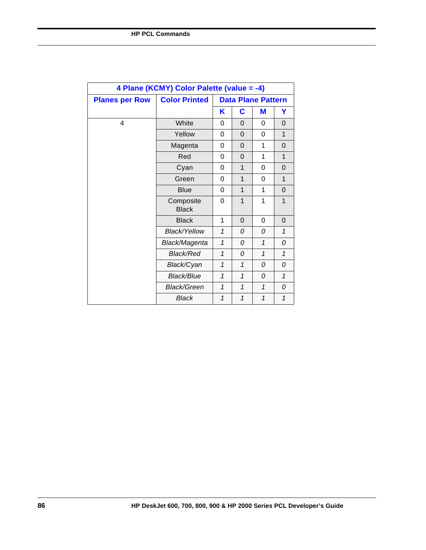| 4 Plane (KCMY) Color Palette (value = -4) |                           |              |          |                           |              |  |  |  |  |  |
|-------------------------------------------|---------------------------|--------------|----------|---------------------------|--------------|--|--|--|--|--|
| <b>Planes per Row</b>                     | <b>Color Printed</b>      |              |          | <b>Data Plane Pattern</b> |              |  |  |  |  |  |
|                                           |                           | Κ            | C        | M                         | Y            |  |  |  |  |  |
| 4                                         | White                     | 0            | 0        | 0                         | $\Omega$     |  |  |  |  |  |
|                                           | Yellow                    | 0            | $\Omega$ | $\Omega$                  | 1            |  |  |  |  |  |
|                                           | Magenta                   | 0            | $\Omega$ | 1                         | $\Omega$     |  |  |  |  |  |
|                                           | Red                       | 0            | 0        | 1                         | $\mathbf{1}$ |  |  |  |  |  |
|                                           | Cyan                      | 0            | 1        | 0                         | 0            |  |  |  |  |  |
|                                           | Green                     | 0            | 1        | 0                         | 1            |  |  |  |  |  |
|                                           | <b>Blue</b>               | 0            | 1        | 1                         | $\Omega$     |  |  |  |  |  |
|                                           | Composite<br><b>Black</b> | 0            | 1        | 1                         | 1            |  |  |  |  |  |
|                                           | <b>Black</b>              | 1            | 0        | $\Omega$                  | $\Omega$     |  |  |  |  |  |
|                                           | Black/Yellow              | $\mathbf{1}$ | 0        | $\Omega$                  | $\mathbf{1}$ |  |  |  |  |  |
|                                           | Black/Magenta             | $\mathcal I$ | 0        | $\mathbf{1}$              | 0            |  |  |  |  |  |
|                                           | <b>Black/Red</b>          | $\mathbf{1}$ | 0        | $\mathbf{1}$              | 1            |  |  |  |  |  |
|                                           | Black/Cyan                | $\mathbf{1}$ | 1        | $\Omega$                  | 0            |  |  |  |  |  |
|                                           | <b>Black/Blue</b>         | $\mathbf{1}$ | 1        | 0                         | $\mathbf{1}$ |  |  |  |  |  |
|                                           | <b>Black/Green</b>        | $\mathbf{1}$ | 1        | $\mathbf{1}$              | 0            |  |  |  |  |  |
|                                           | Black                     | 1            | 1        | $\mathbf{1}$              | 1            |  |  |  |  |  |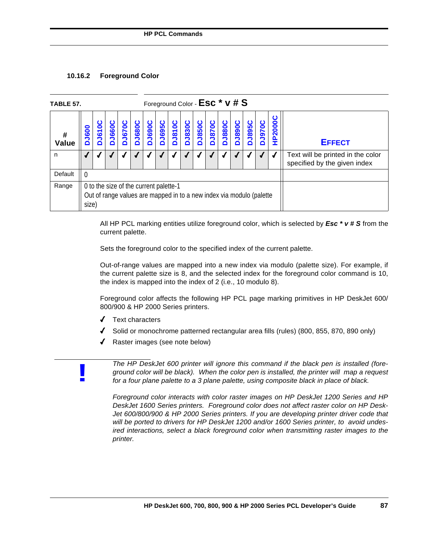# **10.16.2 Foreground Color**

| <b>TABLE 57.</b>  | Foreground Color - ESC <sup>*</sup> V # S                                                                                                                                                                                                                                             |  |  |  |  |  |  |  |                                                                   |               |  |  |  |
|-------------------|---------------------------------------------------------------------------------------------------------------------------------------------------------------------------------------------------------------------------------------------------------------------------------------|--|--|--|--|--|--|--|-------------------------------------------------------------------|---------------|--|--|--|
| #<br><b>Value</b> | P2000C<br><b>DJ690C</b><br><b>DJ830C</b><br><b>DJ680C</b><br><b>DJ810C</b><br><b>J850C</b><br><b>DJ670C</b><br><b>DJ695C</b><br><b>J880C</b><br><b>D068rd</b><br><b>DJ895C</b><br>u<br><b>DJ870C</b><br><b>J970C</b><br>J660C<br><b>DJ610</b><br><b>J600</b><br>ń<br>ó<br>T<br>ó<br>۵ |  |  |  |  |  |  |  |                                                                   | <b>EFFECT</b> |  |  |  |
| n                 |                                                                                                                                                                                                                                                                                       |  |  |  |  |  |  |  | Text will be printed in the color<br>specified by the given index |               |  |  |  |
| Default           | $\Omega$                                                                                                                                                                                                                                                                              |  |  |  |  |  |  |  |                                                                   |               |  |  |  |
| Range             | 0 to the size of the current palette-1<br>Out of range values are mapped in to a new index via modulo (palette<br>size)                                                                                                                                                               |  |  |  |  |  |  |  |                                                                   |               |  |  |  |

All HP PCL marking entities utilize foreground color, which is selected by *Esc \* v # S* from the current palette.

Sets the foreground color to the specified index of the current palette.

Out-of-range values are mapped into a new index via modulo (palette size). For example, if the current palette size is 8, and the selected index for the foreground color command is 10, the index is mapped into the index of 2 (i.e., 10 modulo 8).

Foreground color affects the following HP PCL page marking primitives in HP DeskJet 600/ 800/900 & HP 2000 Series printers.

- 4 Text characters
- 4 Solid or monochrome patterned rectangular area fills (rules) (800, 855, 870, 890 only)
- Raster images (see note below)

**!**

*The HP DeskJet 600 printer will ignore this command if the black pen is installed (foreground color will be black). When the color pen is installed, the printer will map a request for a four plane palette to a 3 plane palette, using composite black in place of black.* 

*Foreground color interacts with color raster images on HP DeskJet 1200 Series and HP DeskJet 1600 Series printers. Foreground color does not affect raster color on HP Desk-Jet 600/800/900 & HP 2000 Series printers. If you are developing printer driver code that will be ported to drivers for HP DeskJet 1200 and/or 1600 Series printer, to avoid undesired interactions, select a black foreground color when transmitting raster images to the printer.*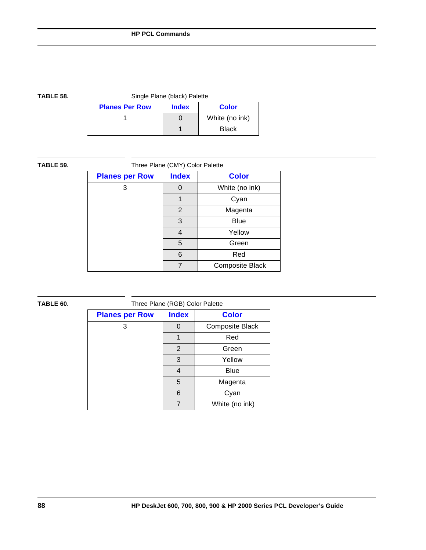| TABLE 58. |                       | Single Plane (black) Palette |                |
|-----------|-----------------------|------------------------------|----------------|
|           | <b>Planes Per Row</b> | <b>Index</b>                 | <b>Color</b>   |
|           |                       |                              | White (no ink) |
|           |                       |                              | <b>Black</b>   |

| TABLE 59. | Three Plane (CMY) Color Palette |                |                 |  |  |
|-----------|---------------------------------|----------------|-----------------|--|--|
|           | <b>Planes per Row</b>           | <b>Index</b>   | <b>Color</b>    |  |  |
|           | 3                               | 0              | White (no ink)  |  |  |
|           |                                 |                | Cyan            |  |  |
|           |                                 | $\overline{2}$ | Magenta         |  |  |
|           |                                 | 3              | <b>Blue</b>     |  |  |
|           |                                 | 4              | Yellow          |  |  |
|           |                                 | 5              | Green           |  |  |
|           |                                 | 6              | Red             |  |  |
|           |                                 | 7              | Composite Black |  |  |

| TABLE 60. |                       | Three Plane (RGB) Color Palette |                 |
|-----------|-----------------------|---------------------------------|-----------------|
|           | <b>Planes per Row</b> | <b>Index</b>                    | <b>Color</b>    |
|           | 3                     | 0                               | Composite Black |
|           |                       | 1                               | Red             |
|           |                       | $\overline{2}$                  | Green           |
|           |                       | 3                               | Yellow          |
|           |                       | 4                               | <b>Blue</b>     |
|           |                       | 5                               | Magenta         |
|           |                       | 6                               | Cyan            |
|           |                       | $\overline{7}$                  | White (no ink)  |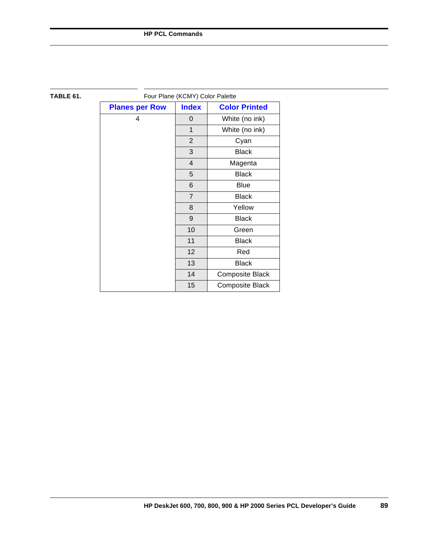| TABLE 61. | Four Plane (KCMY) Color Palette |                 |                      |
|-----------|---------------------------------|-----------------|----------------------|
|           | <b>Planes per Row</b>           | <b>Index</b>    | <b>Color Printed</b> |
|           | 4                               | $\Omega$        | White (no ink)       |
|           |                                 | $\mathbf{1}$    | White (no ink)       |
|           |                                 | $\overline{2}$  | Cyan                 |
|           |                                 | 3               | <b>Black</b>         |
|           |                                 | $\overline{4}$  | Magenta              |
|           |                                 | 5               | <b>Black</b>         |
|           |                                 | 6               | <b>Blue</b>          |
|           |                                 | $\overline{7}$  | <b>Black</b>         |
|           |                                 | 8               | Yellow               |
|           |                                 | $\overline{9}$  | <b>Black</b>         |
|           |                                 | 10              | Green                |
|           |                                 | 11              | <b>Black</b>         |
|           |                                 | 12 <sup>2</sup> | Red                  |
|           |                                 | 13              | <b>Black</b>         |
|           |                                 | 14              | Composite Black      |
|           |                                 | 15              | Composite Black      |

# **HP DeskJet 600, 700, 800, 900 & HP 2000 Series PCL Developer's Guide 89**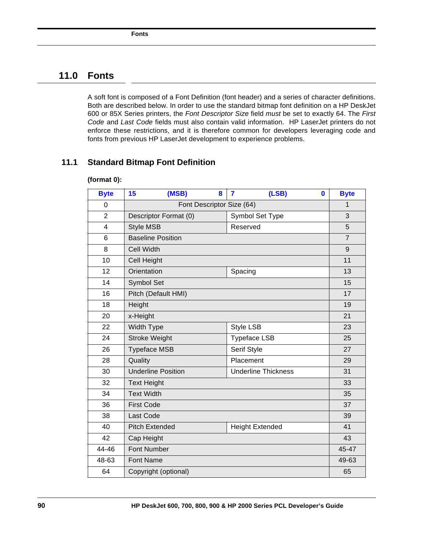# **11.0 Fonts**

A soft font is composed of a Font Definition (font header) and a series of character definitions. Both are described below. In order to use the standard bitmap font definition on a HP DeskJet 600 or 85X Series printers, the *Font Descriptor Size* field *must* be set to exactly 64. The *First Code* and *Last Code* fields must also contain valid information. HP LaserJet printers do not enforce these restrictions, and it is therefore common for developers leveraging code and fonts from previous HP LaserJet development to experience problems.

# **11.1 Standard Bitmap Font Definition**

| <b>Byte</b>    | (MSB)<br>15               | 8 | $\overline{7}$  | (LSB)                      | $\mathbf{0}$ | <b>Byte</b>    |
|----------------|---------------------------|---|-----------------|----------------------------|--------------|----------------|
| 0              | Font Descriptor Size (64) |   |                 |                            |              | 1              |
| $\overline{2}$ | Descriptor Format (0)     |   | Symbol Set Type |                            | 3            |                |
| 4              | <b>Style MSB</b>          |   | Reserved        |                            |              | 5              |
| 6              | <b>Baseline Position</b>  |   |                 |                            |              | $\overline{7}$ |
| 8              | <b>Cell Width</b>         |   |                 |                            |              | 9              |
| 10             | Cell Height               |   |                 |                            |              | 11             |
| 12             | Orientation               |   | Spacing         |                            |              | 13             |
| 14             | Symbol Set                |   |                 |                            |              | 15             |
| 16             | Pitch (Default HMI)       |   |                 |                            |              | 17             |
| 18             | Height                    |   |                 |                            |              | 19             |
| 20             | x-Height                  |   |                 |                            |              | 21             |
| 22             | Width Type                |   | Style LSB       |                            |              | 23             |
| 24             | <b>Stroke Weight</b>      |   |                 | <b>Typeface LSB</b>        |              | 25             |
| 26             | <b>Typeface MSB</b>       |   |                 | Serif Style                |              | 27             |
| 28             | Quality                   |   |                 | Placement                  |              | 29             |
| 30             | <b>Underline Position</b> |   |                 | <b>Underline Thickness</b> |              | 31             |
| 32             | <b>Text Height</b>        |   |                 |                            |              | 33             |
| 34             | <b>Text Width</b>         |   |                 |                            |              | 35             |
| 36             | <b>First Code</b>         |   |                 |                            |              | 37             |
| 38             | Last Code                 |   |                 |                            |              | 39             |
| 40             | <b>Pitch Extended</b>     |   |                 | <b>Height Extended</b>     |              | 41             |
| 42             | Cap Height                |   |                 |                            |              | 43             |
| 44-46          | <b>Font Number</b>        |   |                 |                            |              | 45-47          |
| 48-63          | <b>Font Name</b>          |   |                 |                            |              | 49-63          |
| 64             | Copyright (optional)      |   |                 |                            | 65           |                |

#### **(format 0):**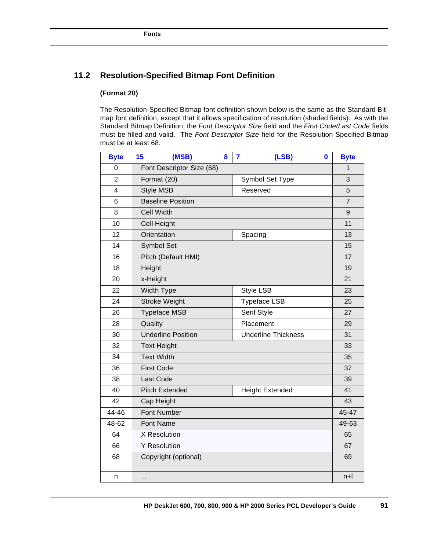# **11.2 Resolution-Specified Bitmap Font Definition**

# **(Format 20)**

The Resolution-Specified Bitmap font definition shown below is the same as the Standard Bitmap font definition, except that it allows specification of resolution (shaded fields). As with the Standard Bitmap Definition, the *Font Descriptor Size* field and the *First Code/Last Code* fields must be filled and valid. The *Font Descriptor Size* field for the Resolution Specified Bitmap must be at least 68.

| <b>Byte</b>    | 15                   | (MSB)                     | 8     | 7 | (LSB)                      | $\bf{0}$ | <b>Byte</b>      |
|----------------|----------------------|---------------------------|-------|---|----------------------------|----------|------------------|
| 0              |                      | Font Descriptor Size (68) |       |   |                            |          | 1                |
| $\overline{2}$ |                      | Format (20)               |       |   | Symbol Set Type            |          | 3                |
| $\overline{4}$ | <b>Style MSB</b>     |                           |       |   | Reserved                   |          | 5                |
| 6              |                      | <b>Baseline Position</b>  |       |   |                            |          | $\overline{7}$   |
| 8              | <b>Cell Width</b>    |                           |       |   |                            |          | $\boldsymbol{9}$ |
| 10             |                      | Cell Height               |       |   |                            |          | 11               |
| 12             |                      | Orientation               |       |   | Spacing                    |          | 13               |
| 14             |                      | Symbol Set                |       |   |                            |          | 15               |
| 16             |                      | Pitch (Default HMI)       |       |   |                            |          | 17               |
| 18             | Height               |                           |       |   |                            |          | 19               |
| 20             | x-Height             |                           |       |   |                            |          | 21               |
| 22             |                      | Width Type                |       |   | Style LSB                  |          | 23               |
| 24             |                      | <b>Stroke Weight</b>      |       |   | <b>Typeface LSB</b>        |          | 25               |
| 26             |                      | <b>Typeface MSB</b>       |       |   | Serif Style                |          | 27               |
| 28             | Quality              |                           |       |   | Placement                  |          | 29               |
| 30             |                      | <b>Underline Position</b> |       |   | <b>Underline Thickness</b> |          | 31               |
| 32             | <b>Text Height</b>   |                           | 33    |   |                            |          |                  |
| 34             | <b>Text Width</b>    |                           |       |   | 35                         |          |                  |
| 36             | <b>First Code</b>    |                           |       |   |                            |          | 37               |
| 38             | Last Code            |                           |       |   |                            |          | 39               |
| 40             |                      | <b>Pitch Extended</b>     |       |   | <b>Height Extended</b>     |          | 41               |
| 42             |                      | Cap Height                |       |   |                            |          | 43               |
| 44-46          | <b>Font Number</b>   |                           | 45-47 |   |                            |          |                  |
| 48-62          | Font Name            |                           |       |   | 49-63                      |          |                  |
| 64             | X Resolution         |                           |       |   | 65                         |          |                  |
| 66             | <b>Y</b> Resolution  |                           | 67    |   |                            |          |                  |
| 68             | Copyright (optional) |                           | 69    |   |                            |          |                  |
| n              |                      |                           |       |   |                            |          | n+l              |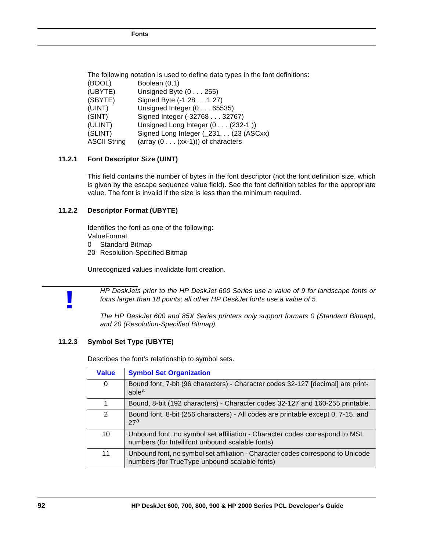|                     | The following notation is used to define data types in the font definitions: |
|---------------------|------------------------------------------------------------------------------|
| (BOOL)              | Boolean (0,1)                                                                |
| (UBYTE)             | Unsigned Byte $(0 \ldots 255)$                                               |
| (SBYTE)             | Signed Byte (-1 28 1 27)                                                     |
| (UINT)              | Unsigned Integer (065535)                                                    |
| (SINT)              | Signed Integer (-32768 32767)                                                |
| (ULINT)             | Unsigned Long Integer (0 (232-1))                                            |
| (SLINT)             | Signed Long Integer (231. (23 (ASCxx)                                        |
| <b>ASCII String</b> | (array $(0 \ldots (xx-1))$ ) of characters                                   |

# **11.2.1 Font Descriptor Size (UINT)**

This field contains the number of bytes in the font descriptor (not the font definition size, which is given by the escape sequence value field). See the font definition tables for the appropriate value. The font is invalid if the size is less than the minimum required.

# **11.2.2 Descriptor Format (UBYTE)**

Identifies the font as one of the following: ValueFormat

- 0 Standard Bitmap
- 20 Resolution-Specified Bitmap

Unrecognized values invalidate font creation.

*HP DeskJets prior to the HP DeskJet 600 Series use a value of 9 for landscape fonts or fonts larger than 18 points; all other HP DeskJet fonts use a value of 5.*

*The HP DeskJet 600 and 85X Series printers only support formats 0 (Standard Bitmap), and 20 (Resolution-Specified Bitmap).*

# **11.2.3 Symbol Set Type (UBYTE)**

**!**

Describes the font's relationship to symbol sets.

| <b>Value</b> | <b>Symbol Set Organization</b>                                                                                                   |
|--------------|----------------------------------------------------------------------------------------------------------------------------------|
| 0            | Bound font, 7-bit (96 characters) - Character codes 32-127 [decimal] are print-<br>able <sup>a</sup>                             |
| 1            | Bound, 8-bit (192 characters) - Character codes 32-127 and 160-255 printable.                                                    |
| 2            | Bound font, 8-bit (256 characters) - All codes are printable except 0, 7-15, and<br>27 <sup>a</sup>                              |
| 10           | Unbound font, no symbol set affiliation - Character codes correspond to MSL<br>numbers (for Intellifont unbound scalable fonts)  |
| 11           | Unbound font, no symbol set affiliation - Character codes correspond to Unicode<br>numbers (for TrueType unbound scalable fonts) |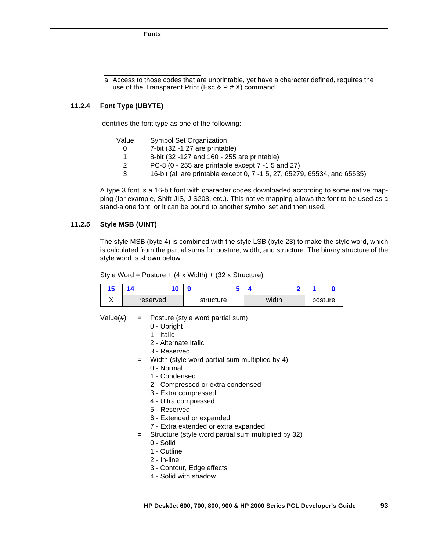a. Access to those codes that are unprintable, yet have a character defined, requires the use of the Transparent Print (Esc & P  $#$  X) command

#### **11.2.4 Font Type (UBYTE)**

Identifies the font type as one of the following:

| Value | <b>Symbol Set Organization</b>                                           |
|-------|--------------------------------------------------------------------------|
|       | 7-bit (32 -1 27 are printable)                                           |
|       | 8-bit (32 -127 and 160 - 255 are printable)                              |
|       | PC-8 (0 - 255 are printable except 7 -1 5 and 27)                        |
| 3     | 16-bit (all are printable except 0, 7 -1 5, 27, 65279, 65534, and 65535) |

A type 3 font is a 16-bit font with character codes downloaded according to some native mapping (for example, Shift-JIS, JIS208, etc.). This native mapping allows the font to be used as a stand-alone font, or it can be bound to another symbol set and then used.

# **11.2.5 Style MSB (UINT)**

The style MSB (byte 4) is combined with the style LSB (byte 23) to make the style word, which is calculated from the partial sums for posture, width, and structure. The binary structure of the style word is shown below.

Style Word = Posture + (4 x Width) + (32 x Structure)

| ю   |          |           |       |         |
|-----|----------|-----------|-------|---------|
| . . | reserved | structure | width | posture |

Value(#)  $=$  Posture (style word partial sum)

- 0 Upright
- 1 Italic
- 2 Alternate Italic
- 3 Reserved
- = Width (style word partial sum multiplied by 4)
	- 0 Normal
	- 1 Condensed
	- 2 Compressed or extra condensed
	- 3 Extra compressed
	- 4 Ultra compressed
	- 5 Reserved
	- 6 Extended or expanded
	- 7 Extra extended or extra expanded
- = Structure (style word partial sum multiplied by 32)
	- 0 Solid
	- 1 Outline
	- 2 In-line
	- 3 Contour, Edge effects
	- 4 Solid with shadow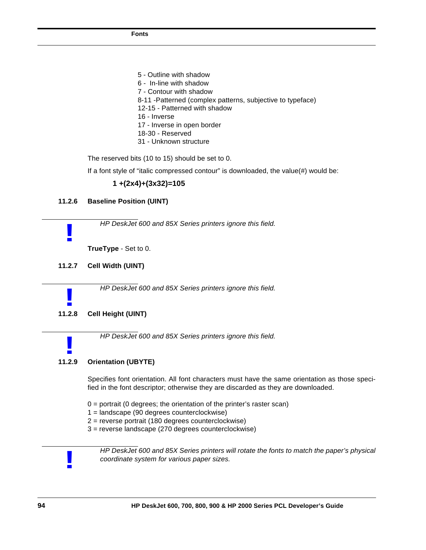5 - Outline with shadow 6 - In-line with shadow 7 - Contour with shadow 8-11 -Patterned (complex patterns, subjective to typeface) 12-15 - Patterned with shadow 16 - Inverse 17 - Inverse in open border 18-30 - Reserved 31 - Unknown structure

The reserved bits (10 to 15) should be set to 0.

If a font style of "italic compressed contour" is downloaded, the value(#) would be:

## **1 +(2x4)+(3x32)=105**

#### **11.2.6 Baseline Position (UINT)**

*HP DeskJet 600 and 85X Series printers ignore this field.*

**TrueType** - Set to 0.

**11.2.7 Cell Width (UINT)**

**!**

*HP DeskJet 600 and 85X Series printers ignore this field.*

# **11.2.8 Cell Height (UINT) !**

*HP DeskJet 600 and 85X Series printers ignore this field.*

# **11.2.9 Orientation (UBYTE) !**

Specifies font orientation. All font characters must have the same orientation as those specified in the font descriptor; otherwise they are discarded as they are downloaded.

- $0 =$  portrait (0 degrees; the orientation of the printer's raster scan)
- 1 = landscape (90 degrees counterclockwise)
- 2 = reverse portrait (180 degrees counterclockwise)
- 3 = reverse landscape (270 degrees counterclockwise)



*HP DeskJet 600 and 85X Series printers will rotate the fonts to match the paper's physical coordinate system for various paper sizes.*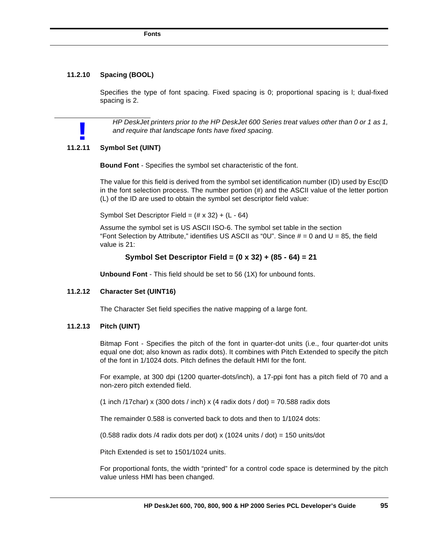#### **11.2.10 Spacing (BOOL)**

Specifies the type of font spacing. Fixed spacing is 0; proportional spacing is l; dual-fixed spacing is 2.

*HP DeskJet printers prior to the HP DeskJet 600 Series treat values other than 0 or 1 as 1, and require that landscape fonts have fixed spacing.*

# **11.2.11 Symbol Set (UINT) !**

**Bound Font** - Specifies the symbol set characteristic of the font.

The value for this field is derived from the symbol set identification number (ID) used by Esc(lD in the font selection process. The number portion  $(H)$  and the ASCII value of the letter portion (L) of the ID are used to obtain the symbol set descriptor field value:

Symbol Set Descriptor Field =  $(\# \times 32) + (L - 64)$ 

Assume the symbol set is US ASCII ISO-6. The symbol set table in the section "Font Selection by Attribute," identifies US ASCII as "0U". Since  $# = 0$  and U = 85, the field value is 21:

#### **Symbol Set Descriptor Field = (0 x 32) + (85 - 64) = 21**

**Unbound Font** - This field should be set to 56 (1X) for unbound fonts.

#### **11.2.12 Character Set (UINT16)**

The Character Set field specifies the native mapping of a large font.

#### **11.2.13 Pitch (UINT)**

Bitmap Font - Specifies the pitch of the font in quarter-dot units (i.e., four quarter-dot units equal one dot; also known as radix dots). It combines with Pitch Extended to specify the pitch of the font in 1/1024 dots. Pitch defines the default HMI for the font.

For example, at 300 dpi (1200 quarter-dots/inch), a 17-ppi font has a pitch field of 70 and a non-zero pitch extended field.

(1 inch /17char) x (300 dots / inch) x (4 radix dots / dot) = 70.588 radix dots

The remainder 0.588 is converted back to dots and then to 1/1024 dots:

(0.588 radix dots /4 radix dots per dot) x (1024 units / dot) = 150 units/dot

Pitch Extended is set to 1501/1024 units.

For proportional fonts, the width "printed" for a control code space is determined by the pitch value unless HMI has been changed.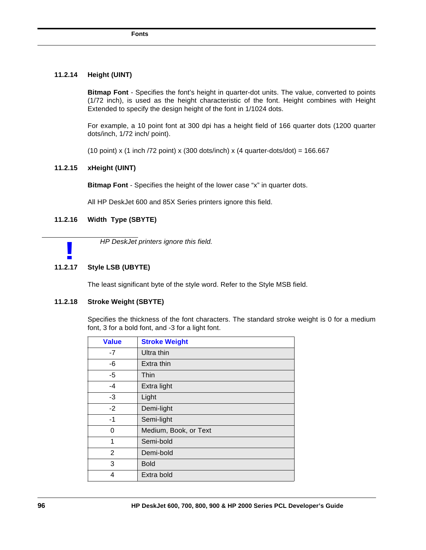# **11.2.14 Height (UINT)**

**Bitmap Font** - Specifies the font's height in quarter-dot units. The value, converted to points (1/72 inch), is used as the height characteristic of the font. Height combines with Height Extended to specify the design height of the font in 1/1024 dots.

For example, a 10 point font at 300 dpi has a height field of 166 quarter dots (1200 quarter dots/inch, 1/72 inch/ point).

(10 point) x (1 inch /72 point) x (300 dots/inch) x (4 quarter-dots/dot) =  $166.667$ 

# **11.2.15 xHeight (UINT)**

**Bitmap Font** - Specifies the height of the lower case "x" in quarter dots.

All HP DeskJet 600 and 85X Series printers ignore this field.

# **11.2.16 Width Type (SBYTE)**

*HP DeskJet printers ignore this field.*

# **11.2.17 Style LSB (UBYTE) !**

The least significant byte of the style word. Refer to the Style MSB field.

# **11.2.18 Stroke Weight (SBYTE)**

Specifies the thickness of the font characters. The standard stroke weight is 0 for a medium font, 3 for a bold font, and -3 for a light font.

| <b>Value</b>   | <b>Stroke Weight</b>  |
|----------------|-----------------------|
| -7             | Ultra thin            |
| -6             | Extra thin            |
| -5             | Thin                  |
| $-4$           | Extra light           |
| -3             | Light                 |
| $-2$           | Demi-light            |
| $-1$           | Semi-light            |
| 0              | Medium, Book, or Text |
| 1              | Semi-bold             |
| $\overline{2}$ | Demi-bold             |
| 3              | <b>Bold</b>           |
| 4              | Extra bold            |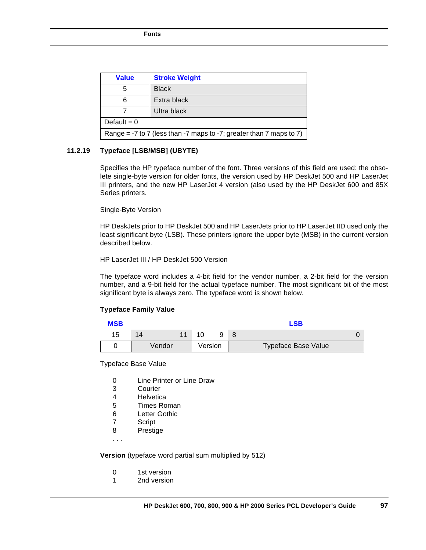| <b>Value</b>                                                               | <b>Stroke Weight</b> |  |
|----------------------------------------------------------------------------|----------------------|--|
| 5                                                                          | <b>Black</b>         |  |
| 6                                                                          | Extra black          |  |
|                                                                            | Ultra black          |  |
| Default = $0$                                                              |                      |  |
| Range = $-7$ to 7 (less than $-7$ maps to $-7$ ; greater than 7 maps to 7) |                      |  |

# **11.2.19 Typeface [LSB/MSB] (UBYTE)**

Specifies the HP typeface number of the font. Three versions of this field are used: the obsolete single-byte version for older fonts, the version used by HP DeskJet 500 and HP LaserJet III printers, and the new HP LaserJet 4 version (also used by the HP DeskJet 600 and 85X Series printers.

#### Single-Byte Version

HP DeskJets prior to HP DeskJet 500 and HP LaserJets prior to HP LaserJet IID used only the least significant byte (LSB). These printers ignore the upper byte (MSB) in the current version described below.

HP LaserJet III / HP DeskJet 500 Version

The typeface word includes a 4-bit field for the vendor number, a 2-bit field for the version number, and a 9-bit field for the actual typeface number. The most significant bit of the most significant byte is always zero. The typeface word is shown below.

## **Typeface Family Value**

| <b>MSB</b> |        |         |  | <b>LSB</b>                 |  |
|------------|--------|---------|--|----------------------------|--|
| 15         | 14     |         |  |                            |  |
|            | Vendor | Version |  | <b>Typeface Base Value</b> |  |

Typeface Base Value

- 0 Line Printer or Line Draw
- 3 Courier<br>4 Helvetic
- **Helvetica**
- 5 Times Roman
- 6 Letter Gothic
- 7 Script
- 8 Prestige
- . . .

**Version** (typeface word partial sum multiplied by 512)

- 0 1st version
- 1 2nd version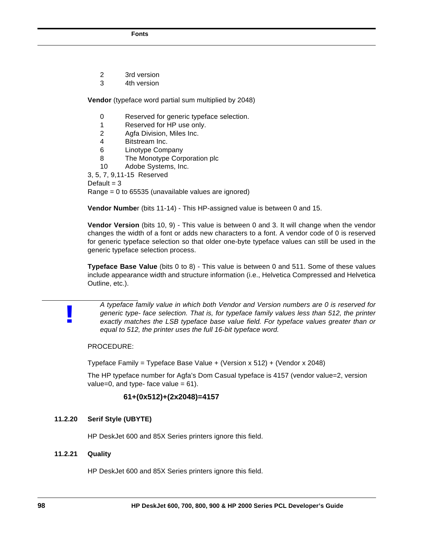- 2 3rd version
- 3 4th version

**Vendor** (typeface word partial sum multiplied by 2048)

- 0 Reserved for generic typeface selection.
- 1 Reserved for HP use only.
- 2 Agfa Division, Miles Inc.
- 4 Bitstream Inc.
- 6 Linotype Company
- 8 The Monotype Corporation plc
- 10 Adobe Systems, Inc.

3, 5, 7, 9,11-15 Reserved

Default  $=$  3

Range = 0 to 65535 (unavailable values are ignored)

**Vendor Numbe**r (bits 11-14) - This HP-assigned value is between 0 and 15.

**Vendor Version** (bits 10, 9) - This value is between 0 and 3. It will change when the vendor changes the width of a font or adds new characters to a font. A vendor code of 0 is reserved for generic typeface selection so that older one-byte typeface values can still be used in the generic typeface selection process.

**Typeface Base Value** (bits 0 to 8) - This value is between 0 and 511. Some of these values include appearance width and structure information (i.e., Helvetica Compressed and Helvetica Outline, etc.).

*A typeface family value in which both Vendor and Version numbers are 0 is reserved for generic type- face selection. That is, for typeface family values less than 512, the printer exactly matches the LSB typeface base value field. For typeface values greater than or equal to 512, the printer uses the full 16-bit typeface word.*

PROCEDURE:

Typeface Family = Typeface Base Value + (Version x 512) + (Vendor x 2048)

The HP typeface number for Agfa's Dom Casual typeface is 4157 (vendor value=2, version value=0, and type- face value =  $61$ ).

# **61+(0x512)+(2x2048)=4157**

# **11.2.20 Serif Style (UBYTE)**

HP DeskJet 600 and 85X Series printers ignore this field.

# **11.2.21 Quality**

**!**

HP DeskJet 600 and 85X Series printers ignore this field.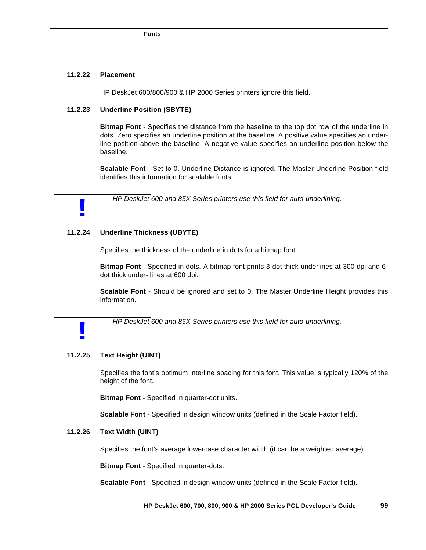#### **11.2.22 Placement**

**!**

**!**

HP DeskJet 600/800/900 & HP 2000 Series printers ignore this field.

# **11.2.23 Underline Position (SBYTE)**

**Bitmap Font** - Specifies the distance from the baseline to the top dot row of the underline in dots. Zero specifies an underline position at the baseline. A positive value specifies an underline position above the baseline. A negative value specifies an underline position below the baseline.

**Scalable Font** - Set to 0. Underline Distance is ignored. The Master Underline Position field identifies this information for scalable fonts.

*HP DeskJet 600 and 85X Series printers use this field for auto-underlining.*

### **11.2.24 Underline Thickness (UBYTE)**

Specifies the thickness of the underline in dots for a bitmap font.

**Bitmap Font** - Specified in dots. A bitmap font prints 3-dot thick underlines at 300 dpi and 6 dot thick under- lines at 600 dpi.

**Scalable Font** - Should be ignored and set to 0. The Master Underline Height provides this information.

*HP DeskJet 600 and 85X Series printers use this field for auto-underlining.*

## **11.2.25 Text Height (UINT)**

Specifies the font's optimum interline spacing for this font. This value is typically 120% of the height of the font.

**Bitmap Font** - Specified in quarter-dot units.

**Scalable Font** - Specified in design window units (defined in the Scale Factor field).

## **11.2.26 Text Width (UINT)**

Specifies the font's average lowercase character width (it can be a weighted average).

**Bitmap Font** - Specified in quarter-dots.

**Scalable Font** - Specified in design window units (defined in the Scale Factor field).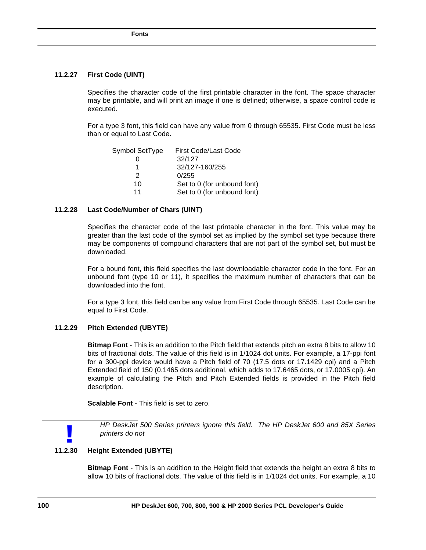# **11.2.27 First Code (UINT)**

Specifies the character code of the first printable character in the font. The space character may be printable, and will print an image if one is defined; otherwise, a space control code is executed.

For a type 3 font, this field can have any value from 0 through 65535. First Code must be less than or equal to Last Code.

| Symbol SetType | First Code/Last Code        |
|----------------|-----------------------------|
|                | 32/127                      |
|                | 32/127-160/255              |
| $\mathcal{P}$  | 0/255                       |
| 10             | Set to 0 (for unbound font) |
| 11             | Set to 0 (for unbound font) |

#### **11.2.28 Last Code/Number of Chars (UINT)**

Specifies the character code of the last printable character in the font. This value may be greater than the last code of the symbol set as implied by the symbol set type because there may be components of compound characters that are not part of the symbol set, but must be downloaded.

For a bound font, this field specifies the last downloadable character code in the font. For an unbound font (type 10 or 11), it specifies the maximum number of characters that can be downloaded into the font.

For a type 3 font, this field can be any value from First Code through 65535. Last Code can be equal to First Code.

## **11.2.29 Pitch Extended (UBYTE)**

**Bitmap Font** - This is an addition to the Pitch field that extends pitch an extra 8 bits to allow 10 bits of fractional dots. The value of this field is in 1/1024 dot units. For example, a 17-ppi font for a 300-ppi device would have a Pitch field of 70 (17.5 dots or 17.1429 cpi) and a Pitch Extended field of 150 (0.1465 dots additional, which adds to 17.6465 dots, or 17.0005 cpi). An example of calculating the Pitch and Pitch Extended fields is provided in the Pitch field description.

**Scalable Font** - This field is set to zero.

**!**

*HP DeskJet 500 Series printers ignore this field. The HP DeskJet 600 and 85X Series printers do not*

## **11.2.30 Height Extended (UBYTE)**

**Bitmap Font** - This is an addition to the Height field that extends the height an extra 8 bits to allow 10 bits of fractional dots. The value of this field is in 1/1024 dot units. For example, a 10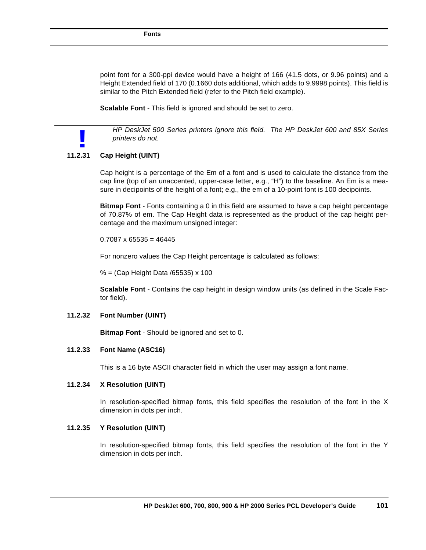point font for a 300-ppi device would have a height of 166 (41.5 dots, or 9.96 points) and a Height Extended field of 170 (0.1660 dots additional, which adds to 9.9998 points). This field is similar to the Pitch Extended field (refer to the Pitch field example).

**Scalable Font** - This field is ignored and should be set to zero.

*HP DeskJet 500 Series printers ignore this field. The HP DeskJet 600 and 85X Series printers do not.*

# **11.2.31 Cap Height (UINT) !**

Cap height is a percentage of the Em of a font and is used to calculate the distance from the cap line (top of an unaccented, upper-case letter, e.g., "H") to the baseline. An Em is a measure in decipoints of the height of a font; e.g., the em of a 10-point font is 100 decipoints.

**Bitmap Font** - Fonts containing a 0 in this field are assumed to have a cap height percentage of 70.87% of em. The Cap Height data is represented as the product of the cap height percentage and the maximum unsigned integer:

 $0.7087 \times 65535 = 46445$ 

For nonzero values the Cap Height percentage is calculated as follows:

% = (Cap Height Data /65535) x 100

**Scalable Font** - Contains the cap height in design window units (as defined in the Scale Factor field).

#### **11.2.32 Font Number (UINT)**

**Bitmap Font** - Should be ignored and set to 0.

#### **11.2.33 Font Name (ASC16)**

This is a 16 byte ASCII character field in which the user may assign a font name.

# **11.2.34 X Resolution (UINT)**

In resolution-specified bitmap fonts, this field specifies the resolution of the font in the X dimension in dots per inch.

# **11.2.35 Y Resolution (UINT)**

In resolution-specified bitmap fonts, this field specifies the resolution of the font in the Y dimension in dots per inch.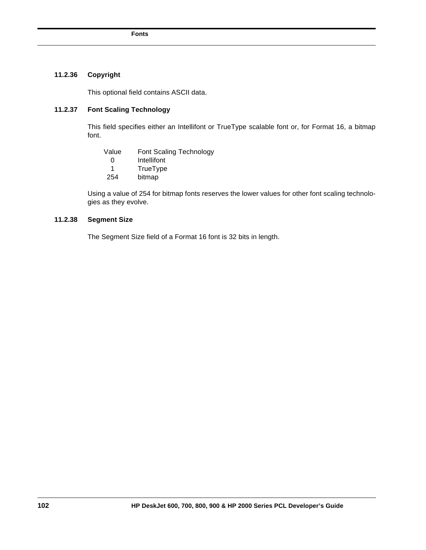# **11.2.36 Copyright**

This optional field contains ASCII data.

# **11.2.37 Font Scaling Technology**

This field specifies either an Intellifont or TrueType scalable font or, for Format 16, a bitmap font.

| Value | Font Scaling Technology |
|-------|-------------------------|
| ∩     | Intellifont             |

- 0 Intellifont<br>1 TrueType
- 1 TrueType<br>254 bitmap bitmap
	-

Using a value of 254 for bitmap fonts reserves the lower values for other font scaling technologies as they evolve.

# **11.2.38 Segment Size**

The Segment Size field of a Format 16 font is 32 bits in length.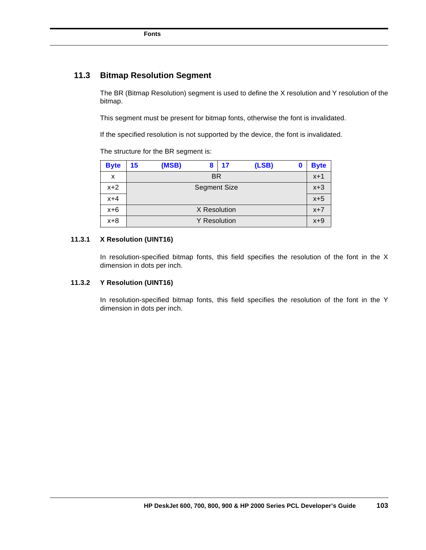# **11.3 Bitmap Resolution Segment**

The BR (Bitmap Resolution) segment is used to define the X resolution and Y resolution of the bitmap.

This segment must be present for bitmap fonts, otherwise the font is invalidated.

If the specified resolution is not supported by the device, the font is invalidated.

The structure for the BR segment is:

| <b>Byte</b> | 15                  | (MSB)     | 8            | -17 | (LSB) | 0 | <b>Byte</b> |
|-------------|---------------------|-----------|--------------|-----|-------|---|-------------|
| x           |                     | <b>BR</b> |              |     |       |   |             |
| $x+2$       | <b>Segment Size</b> |           |              |     | $x+3$ |   |             |
| $x+4$       |                     |           |              |     |       |   | $x+5$       |
| $x+6$       |                     |           | X Resolution |     |       |   | $x+7$       |
| $x+8$       | <b>Y</b> Resolution |           |              |     | $x+9$ |   |             |

#### **11.3.1 X Resolution (UINT16)**

In resolution-specified bitmap fonts, this field specifies the resolution of the font in the X dimension in dots per inch.

# **11.3.2 Y Resolution (UINT16)**

In resolution-specified bitmap fonts, this field specifies the resolution of the font in the Y dimension in dots per inch.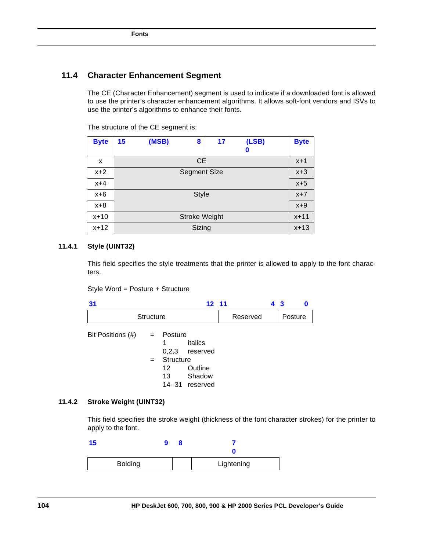# **11.4 Character Enhancement Segment**

The CE (Character Enhancement) segment is used to indicate if a downloaded font is allowed to use the printer's character enhancement algorithms. It allows soft-font vendors and ISVs to use the printer's algorithms to enhance their fonts.

| <b>Byte</b> | 15                  | (MSB)     | 8                    | 17 | (LSB)<br>0 | <b>Byte</b> |
|-------------|---------------------|-----------|----------------------|----|------------|-------------|
| x           |                     | <b>CE</b> |                      |    |            |             |
| $x+2$       | <b>Segment Size</b> |           |                      |    | $x+3$      |             |
| $x+4$       |                     |           |                      |    |            | $x+5$       |
| $x+6$       | <b>Style</b>        |           |                      |    | $x+7$      |             |
| $x+8$       |                     |           |                      |    |            | $x+9$       |
| x+10        |                     |           | <b>Stroke Weight</b> |    |            | $x + 11$    |
| x+12        |                     |           | Sizing               |    |            | $x + 13$    |

The structure of the CE segment is:

# **11.4.1 Style (UINT32)**

This field specifies the style treatments that the printer is allowed to apply to the font characters.

Style Word = Posture + Structure

| 31                |                  |                                                | $12 \quad 11$                                              |          | 43 |         | 0 |
|-------------------|------------------|------------------------------------------------|------------------------------------------------------------|----------|----|---------|---|
|                   | <b>Structure</b> |                                                |                                                            | Reserved |    | Posture |   |
| Bit Positions (#) | $=$<br>$=$       | Posture<br>1<br>0,2,3<br>Structure<br>12<br>13 | italics<br>reserved<br>Outline<br>Shadow<br>14-31 reserved |          |    |         |   |

#### **11.4.2 Stroke Weight (UINT32)**

This field specifies the stroke weight (thickness of the font character strokes) for the printer to apply to the font.

| ю              |  |            |
|----------------|--|------------|
| <b>Bolding</b> |  | Lightening |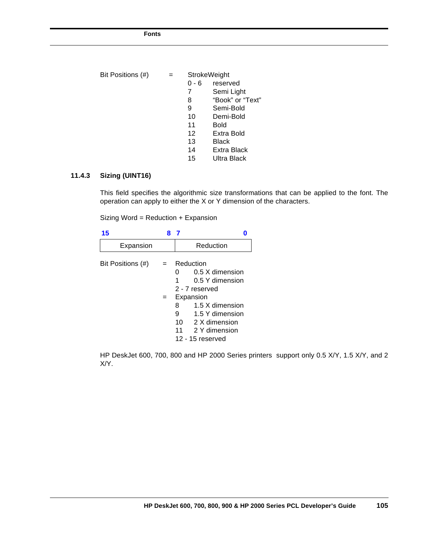| Bit Positions (#) |         | <b>StrokeWeight</b> |  |  |
|-------------------|---------|---------------------|--|--|
|                   | $0 - 6$ | reserved            |  |  |
|                   | 7       | Semi Light          |  |  |
|                   | 8       | "Book" or "Text"    |  |  |
|                   | 9       | Semi-Bold           |  |  |
|                   | 10      | Demi-Bold           |  |  |
|                   | 11      | <b>Bold</b>         |  |  |
|                   | 12      | Extra Bold          |  |  |
|                   | 13      | <b>Black</b>        |  |  |
|                   | 14      | Extra Black         |  |  |
|                   | 15      | Ultra Black         |  |  |

# **11.4.3 Sizing (UINT16)**

This field specifies the algorithmic size transformations that can be applied to the font. The operation can apply to either the X or Y dimension of the characters.

Sizing Word = Reduction + Expansion

| 15                | 8          |                                                                                                                                                                                                 |
|-------------------|------------|-------------------------------------------------------------------------------------------------------------------------------------------------------------------------------------------------|
| Expansion         |            | Reduction                                                                                                                                                                                       |
| Bit Positions (#) | $=$<br>$=$ | Reduction<br>0.5 X dimension<br>O<br>0.5 Y dimension<br>2 - 7 reserved<br>Expansion<br>1.5 X dimension<br>8<br>9<br>1.5 Y dimension<br>10 2 X dimension<br>11 2 Y dimension<br>12 - 15 reserved |

HP DeskJet 600, 700, 800 and HP 2000 Series printers support only 0.5 X/Y, 1.5 X/Y, and 2 X/Y.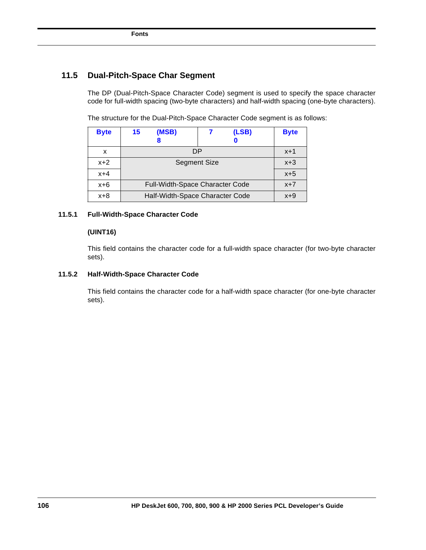# **11.5 Dual-Pitch-Space Char Segment**

The DP (Dual-Pitch-Space Character Code) segment is used to specify the space character code for full-width spacing (two-byte characters) and half-width spacing (one-byte characters).

The structure for the Dual-Pitch-Space Character Code segment is as follows:

| <b>Byte</b> | 15<br>(MSB)                            | (LSB) | <b>Byte</b> |
|-------------|----------------------------------------|-------|-------------|
|             |                                        |       |             |
| x           | DP                                     |       | $x + 1$     |
| $x+2$       | <b>Segment Size</b>                    | $x+3$ |             |
| $x+4$       |                                        |       | $x+5$       |
| $x+6$       | <b>Full-Width-Space Character Code</b> |       | $x+7$       |
| $x+8$       | Half-Width-Space Character Code        | $x+9$ |             |

# **11.5.1 Full-Width-Space Character Code**

# **(UINT16)**

This field contains the character code for a full-width space character (for two-byte character sets).

# **11.5.2 Half-Width-Space Character Code**

This field contains the character code for a half-width space character (for one-byte character sets).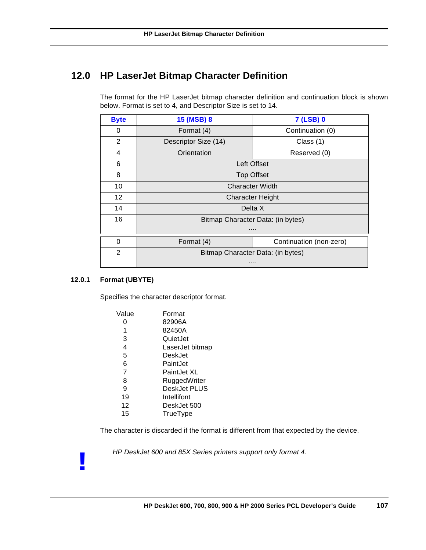# **12.0 HP LaserJet Bitmap Character Definition**

The format for the HP LaserJet bitmap character definition and continuation block is shown below. Format is set to 4, and Descriptor Size is set to 14.

| <b>Byte</b>     | 15 (MSB) 8                        | <b>7 (LSB) 0</b>        |  |  |  |
|-----------------|-----------------------------------|-------------------------|--|--|--|
| 0               | Format (4)                        | Continuation (0)        |  |  |  |
| 2               | Descriptor Size (14)              | Class (1)               |  |  |  |
| 4               | Orientation                       | Reserved (0)            |  |  |  |
| 6               | Left Offset                       |                         |  |  |  |
| 8               | <b>Top Offset</b>                 |                         |  |  |  |
| 10              | <b>Character Width</b>            |                         |  |  |  |
| 12 <sup>2</sup> | <b>Character Height</b>           |                         |  |  |  |
| 14              | Delta X                           |                         |  |  |  |
| 16              | Bitmap Character Data: (in bytes) |                         |  |  |  |
|                 |                                   |                         |  |  |  |
| $\Omega$        | Format (4)                        | Continuation (non-zero) |  |  |  |
| $\mathfrak{p}$  | Bitmap Character Data: (in bytes) |                         |  |  |  |
|                 | .                                 |                         |  |  |  |

# **12.0.1 Format (UBYTE)**

**!**

Specifies the character descriptor format.

| Value          | Format          |
|----------------|-----------------|
| Ω              | 82906A          |
| 1              | 82450A          |
| 3              | QuietJet        |
| 4              | LaserJet bitmap |
| 5              | DeskJet         |
| 6              | Paint. Jet      |
| $\overline{7}$ | PaintJet XL     |
| 8              | RuggedWriter    |
| 9              | DeskJet PLUS    |
| 19             | Intellifont     |
| 12             | DeskJet 500     |
| 15             | TrueType        |
|                |                 |

The character is discarded if the format is different from that expected by the device.

*HP DeskJet 600 and 85X Series printers support only format 4.*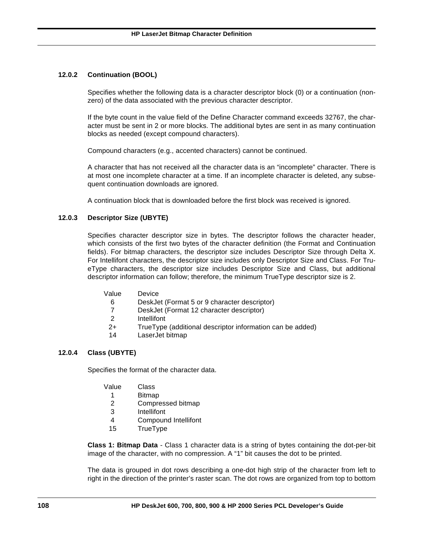# **12.0.2 Continuation (BOOL)**

Specifies whether the following data is a character descriptor block (0) or a continuation (nonzero) of the data associated with the previous character descriptor.

If the byte count in the value field of the Define Character command exceeds 32767, the character must be sent in 2 or more blocks. The additional bytes are sent in as many continuation blocks as needed (except compound characters).

Compound characters (e.g., accented characters) cannot be continued.

A character that has not received all the character data is an "incomplete" character. There is at most one incomplete character at a time. If an incomplete character is deleted, any subsequent continuation downloads are ignored.

A continuation block that is downloaded before the first block was received is ignored.

# **12.0.3 Descriptor Size (UBYTE)**

Specifies character descriptor size in bytes. The descriptor follows the character header, which consists of the first two bytes of the character definition (the Format and Continuation fields). For bitmap characters, the descriptor size includes Descriptor Size through Delta X. For Intellifont characters, the descriptor size includes only Descriptor Size and Class. For TrueType characters, the descriptor size includes Descriptor Size and Class, but additional descriptor information can follow; therefore, the minimum TrueType descriptor size is 2.

- Value Device
	- 6 DeskJet (Format 5 or 9 character descriptor)
	- 7 DeskJet (Format 12 character descriptor)
	- 2 Intellifont
	- 2+ TrueType (additional descriptor information can be added)
	- 14 LaserJet bitmap

# **12.0.4 Class (UBYTE)**

Specifies the format of the character data.

- Value Class
	- 1 Bitmap
- 2 Compressed bitmap
- 3 Intellifont
- 4 Compound Intellifont
- 15 TrueType

**Class 1: Bitmap Data** - Class 1 character data is a string of bytes containing the dot-per-bit image of the character, with no compression. A "1" bit causes the dot to be printed.

The data is grouped in dot rows describing a one-dot high strip of the character from left to right in the direction of the printer's raster scan. The dot rows are organized from top to bottom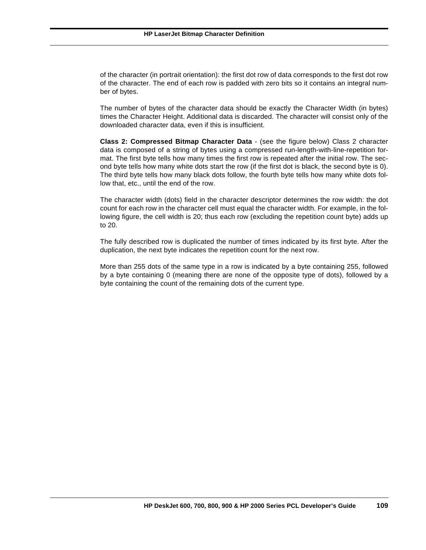of the character (in portrait orientation): the first dot row of data corresponds to the first dot row of the character. The end of each row is padded with zero bits so it contains an integral number of bytes.

The number of bytes of the character data should be exactly the Character Width (in bytes) times the Character Height. Additional data is discarded. The character will consist only of the downloaded character data, even if this is insufficient.

**Class 2: Compressed Bitmap Character Data** - (see the figure below) Class 2 character data is composed of a string of bytes using a compressed run-length-with-line-repetition format. The first byte tells how many times the first row is repeated after the initial row. The second byte tells how many white dots start the row (if the first dot is black, the second byte is 0). The third byte tells how many black dots follow, the fourth byte tells how many white dots follow that, etc., until the end of the row.

The character width (dots) field in the character descriptor determines the row width: the dot count for each row in the character cell must equal the character width. For example, in the following figure, the cell width is 20; thus each row (excluding the repetition count byte) adds up to 20.

The fully described row is duplicated the number of times indicated by its first byte. After the duplication, the next byte indicates the repetition count for the next row.

More than 255 dots of the same type in a row is indicated by a byte containing 255, followed by a byte containing 0 (meaning there are none of the opposite type of dots), followed by a byte containing the count of the remaining dots of the current type.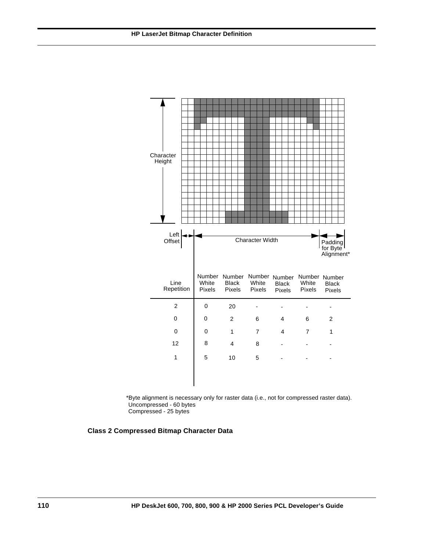

\*Byte alignment is necessary only for raster data (i.e., not for compressed raster data). Uncompressed - 60 bytes

Compressed - 25 bytes

**Class 2 Compressed Bitmap Character Data**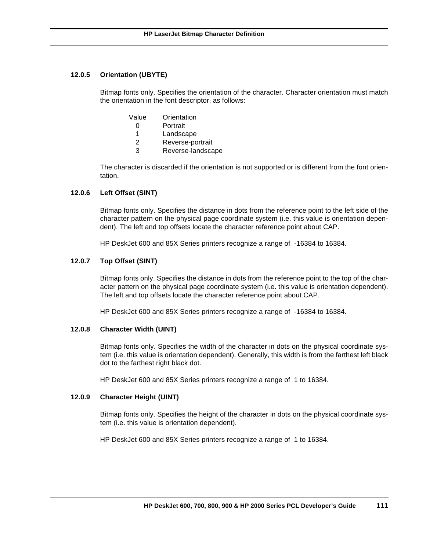#### **12.0.5 Orientation (UBYTE)**

Bitmap fonts only. Specifies the orientation of the character. Character orientation must match the orientation in the font descriptor, as follows:

- Value Orientation
	- 0 Portrait
	- 1 Landscape
	- 2 Reverse-portrait
	- 3 Reverse-landscape

The character is discarded if the orientation is not supported or is different from the font orientation.

#### **12.0.6 Left Offset (SINT)**

Bitmap fonts only. Specifies the distance in dots from the reference point to the left side of the character pattern on the physical page coordinate system (i.e. this value is orientation dependent). The left and top offsets locate the character reference point about CAP.

HP DeskJet 600 and 85X Series printers recognize a range of -16384 to 16384.

#### **12.0.7 Top Offset (SINT)**

Bitmap fonts only. Specifies the distance in dots from the reference point to the top of the character pattern on the physical page coordinate system (i.e. this value is orientation dependent). The left and top offsets locate the character reference point about CAP.

HP DeskJet 600 and 85X Series printers recognize a range of -16384 to 16384.

#### **12.0.8 Character Width (UINT)**

Bitmap fonts only. Specifies the width of the character in dots on the physical coordinate system (i.e. this value is orientation dependent). Generally, this width is from the farthest left black dot to the farthest right black dot.

HP DeskJet 600 and 85X Series printers recognize a range of 1 to 16384.

### **12.0.9 Character Height (UINT)**

Bitmap fonts only. Specifies the height of the character in dots on the physical coordinate system (i.e. this value is orientation dependent).

HP DeskJet 600 and 85X Series printers recognize a range of 1 to 16384.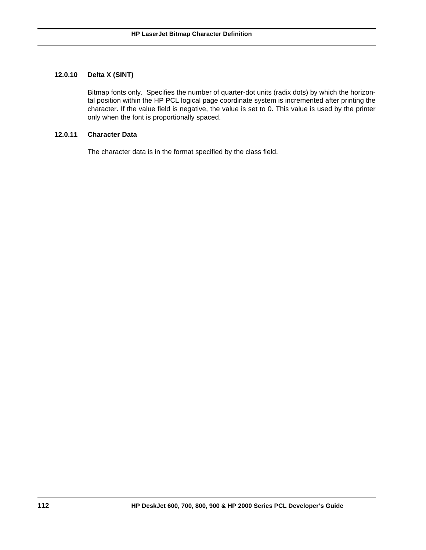#### **12.0.10 Delta X (SINT)**

Bitmap fonts only. Specifies the number of quarter-dot units (radix dots) by which the horizontal position within the HP PCL logical page coordinate system is incremented after printing the character. If the value field is negative, the value is set to 0. This value is used by the printer only when the font is proportionally spaced.

#### **12.0.11 Character Data**

The character data is in the format specified by the class field.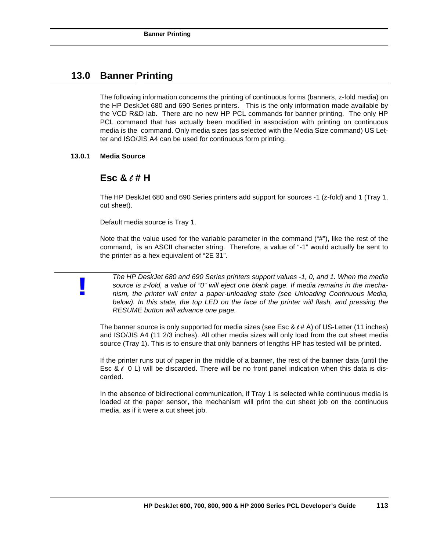# **13.0 Banner Printing**

The following information concerns the printing of continuous forms (banners, z-fold media) on the HP DeskJet 680 and 690 Series printers. This is the only information made available by the VCD R&D lab. There are no new HP PCL commands for banner printing. The only HP PCL command that has actually been modified in association with printing on continuous media is the command. Only media sizes (as selected with the Media Size command) US Letter and ISO/JIS A4 can be used for continuous form printing.

#### **13.0.1 Media Source**

**!**

## **Esc &** l **# H**

The HP DeskJet 680 and 690 Series printers add support for sources -1 (z-fold) and 1 (Tray 1, cut sheet).

Default media source is Tray 1.

Note that the value used for the variable parameter in the command ("#"), like the rest of the command, is an ASCII character string. Therefore, a value of "-1" would actually be sent to the printer as a hex equivalent of "2E 31".

*The HP DeskJet 680 and 690 Series printers support values -1, 0, and 1. When the media source is z-fold, a value of "0" will eject one blank page. If media remains in the mechanism, the printer will enter a paper-unloading state (see Unloading Continuous Media, below). In this state, the top LED on the face of the printer will flash, and pressing the RESUME button will advance one page.*

The banner source is only supported for media sizes (see Esc &  $\ell \neq A$ ) of US-Letter (11 inches) and ISO/JIS A4 (11 2/3 inches). All other media sizes will only load from the cut sheet media source (Tray 1). This is to ensure that only banners of lengths HP has tested will be printed.

If the printer runs out of paper in the middle of a banner, the rest of the banner data (until the Esc &  $\ell$  0 L) will be discarded. There will be no front panel indication when this data is discarded.

In the absence of bidirectional communication, if Tray 1 is selected while continuous media is loaded at the paper sensor, the mechanism will print the cut sheet job on the continuous media, as if it were a cut sheet job.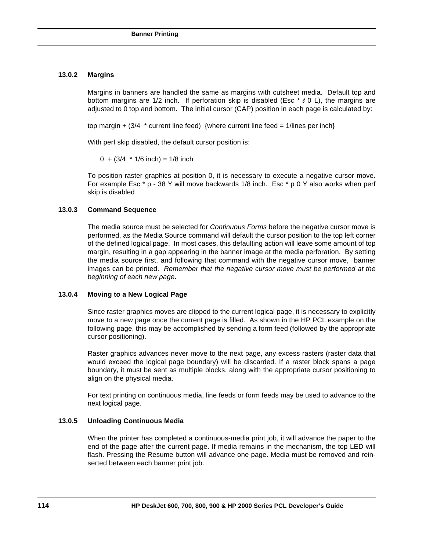#### **13.0.2 Margins**

Margins in banners are handled the same as margins with cutsheet media. Default top and bottom margins are 1/2 inch. If perforation skip is disabled (Esc  $* \ell \, 0$  L), the margins are adjusted to 0 top and bottom. The initial cursor (CAP) position in each page is calculated by:

top margin  $+$  (3/4  $*$  current line feed) {where current line feed = 1/lines per inch}

With perf skip disabled, the default cursor position is:

 $0 + (3/4 * 1/6$  inch) = 1/8 inch

To position raster graphics at position 0, it is necessary to execute a negative cursor move. For example Esc  $* p - 38 Y$  will move backwards 1/8 inch. Esc  $* p 0 Y$  also works when perf skip is disabled

#### **13.0.3 Command Sequence**

The media source must be selected for *Continuous Forms* before the negative cursor move is performed, as the Media Source command will default the cursor position to the top left corner of the defined logical page. In most cases, this defaulting action will leave some amount of top margin, resulting in a gap appearing in the banner image at the media perforation. By setting the media source first, and following that command with the negative cursor move, banner images can be printed. *Remember that the negative cursor move must be performed at the beginning of each new page*.

#### **13.0.4 Moving to a New Logical Page**

Since raster graphics moves are clipped to the current logical page, it is necessary to explicitly move to a new page once the current page is filled. As shown in the HP PCL example on the following page, this may be accomplished by sending a form feed (followed by the appropriate cursor positioning).

Raster graphics advances never move to the next page, any excess rasters (raster data that would exceed the logical page boundary) will be discarded. If a raster block spans a page boundary, it must be sent as multiple blocks, along with the appropriate cursor positioning to align on the physical media.

For text printing on continuous media, line feeds or form feeds may be used to advance to the next logical page.

#### **13.0.5 Unloading Continuous Media**

When the printer has completed a continuous-media print job, it will advance the paper to the end of the page after the current page. If media remains in the mechanism, the top LED will flash. Pressing the Resume button will advance one page. Media must be removed and reinserted between each banner print job.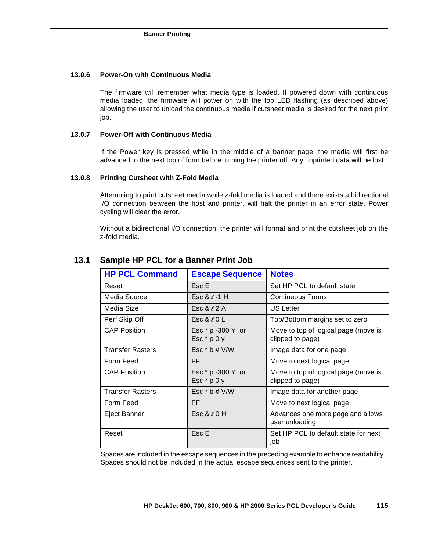#### **13.0.6 Power-On with Continuous Media**

The firmware will remember what media type is loaded. If powered down with continuous media loaded, the firmware will power on with the top LED flashing (as described above) allowing the user to unload the continuous media if cutsheet media is desired for the next print job.

#### **13.0.7 Power-Off with Continuous Media**

If the Power key is pressed while in the middle of a banner page, the media will first be advanced to the next top of form before turning the printer off. Any unprinted data will be lost.

#### **13.0.8 Printing Cutsheet with Z-Fold Media**

Attempting to print cutsheet media while z-fold media is loaded and there exists a bidirectional I/O connection between the host and printer, will halt the printer in an error state. Power cycling will clear the error.

Without a bidirectional I/O connection, the printer will format and print the cutsheet job on the z-fold media.

| <b>HP PCL Command</b>   | <b>Escape Sequence</b>             | <b>Notes</b>                                             |
|-------------------------|------------------------------------|----------------------------------------------------------|
| Reset                   | Esc E                              | Set HP PCL to default state                              |
| Media Source            | Esc & $\ell$ -1 H                  | <b>Continuous Forms</b>                                  |
| Media Size              | Esc & $\ell$ 2 A                   | US Letter                                                |
| Perf Skip Off           | Esc $&0$ L                         | Top/Bottom margins set to zero                           |
| <b>CAP Position</b>     | Esc * p -300 Y or<br>Esc $*$ p 0 y | Move to top of logical page (move is<br>clipped to page) |
| <b>Transfer Rasters</b> | Esc $*$ b # V/W                    | Image data for one page                                  |
| Form Feed               | FF                                 | Move to next logical page                                |
| <b>CAP Position</b>     | Esc * p -300 Y or<br>Esc $*$ p 0 y | Move to top of logical page (move is<br>clipped to page) |
| <b>Transfer Rasters</b> | Esc $*$ b # V/W                    | Image data for another page                              |
| Form Feed               | FF                                 | Move to next logical page                                |
| Eject Banner            | Esc & $\ell$ 0 H                   | Advances one more page and allows<br>user unloading      |
| Reset                   | Esc E                              | Set HP PCL to default state for next<br>job              |

## **13.1 Sample HP PCL for a Banner Print Job**

Spaces are included in the escape sequences in the preceding example to enhance readability. Spaces should not be included in the actual escape sequences sent to the printer.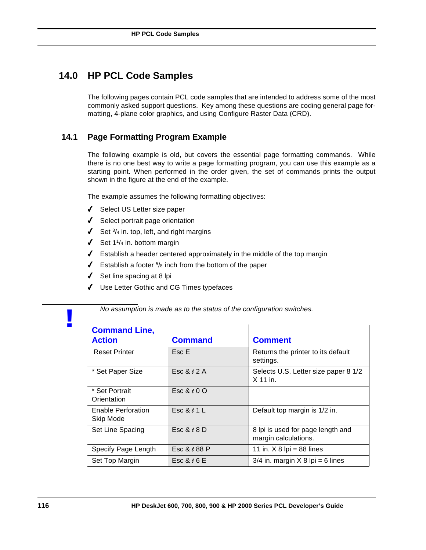# **14.0 HP PCL Code Samples**

The following pages contain PCL code samples that are intended to address some of the most commonly asked support questions. Key among these questions are coding general page formatting, 4-plane color graphics, and using Configure Raster Data (CRD).

## **14.1 Page Formatting Program Example**

The following example is old, but covers the essential page formatting commands. While there is no one best way to write a page formatting program, you can use this example as a starting point. When performed in the order given, the set of commands prints the output shown in the figure at the end of the example.

The example assumes the following formatting objectives:

- 4 Select US Letter size paper
- $\sqrt{\phantom{a}}$  Select portrait page orientation
- $\checkmark$  Set  $\frac{3}{4}$  in. top, left, and right margins
- $\checkmark$  Set 1<sup>1</sup>/<sub>4</sub> in. bottom margin
- $\blacklozenge$  Establish a header centered approximately in the middle of the top margin
- $\checkmark$  Establish a footer  $5/8$  inch from the bottom of the paper
- $\triangleleft$  Set line spacing at 8 lpi
- 4 Use Letter Gothic and CG Times typefaces

*No assumption is made as to the status of the configuration switches.*

| <b>Command Line,</b><br><b>Action</b> | <b>Command</b>    | <b>Comment</b>                                            |
|---------------------------------------|-------------------|-----------------------------------------------------------|
| <b>Reset Printer</b>                  | Esc E             | Returns the printer to its default<br>settings.           |
| * Set Paper Size                      | Esc & $\ell$ 2 A  | Selects U.S. Letter size paper 8 1/2<br>$X$ 11 in.        |
| * Set Portrait<br>Orientation         | Esc $&60$ O       |                                                           |
| Enable Perforation<br>Skip Mode       | Esc & $\ell$ 1 L  | Default top margin is 1/2 in.                             |
| Set Line Spacing                      | Esc & $\ell$ 8 D  | 8 lpi is used for page length and<br>margin calculations. |
| Specify Page Length                   | Esc & $\ell$ 88 P | 11 in. $X$ 8 lpi = 88 lines                               |
| Set Top Margin                        | Esc & $\ell$ 6 E  | $3/4$ in. margin X 8 lpi = 6 lines                        |

**!**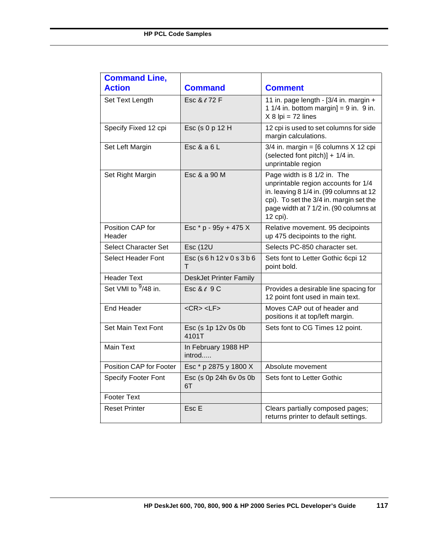| <b>Command Line,</b>       |                                        |                                                                                                                                                                                                                |
|----------------------------|----------------------------------------|----------------------------------------------------------------------------------------------------------------------------------------------------------------------------------------------------------------|
| <b>Action</b>              | <b>Command</b>                         | <b>Comment</b>                                                                                                                                                                                                 |
| Set Text Length            | Esc & e 72 F                           | 11 in. page length - [3/4 in. margin +<br>1 1/4 in. bottom margin] = $9$ in. $9$ in.<br>$X 8$ lpi = 72 lines                                                                                                   |
| Specify Fixed 12 cpi       | Esc (s 0 p 12 H                        | 12 cpi is used to set columns for side<br>margin calculations.                                                                                                                                                 |
| Set Left Margin            | Esc $&a 6 L$                           | $3/4$ in. margin = [6 columns X 12 cpi<br>(selected font pitch)] + 1/4 in.<br>unprintable region                                                                                                               |
| Set Right Margin           | Esc & a 90 M                           | Page width is 8 1/2 in. The<br>unprintable region accounts for 1/4<br>in. leaving 8 1/4 in. (99 columns at 12<br>cpi). To set the 3/4 in. margin set the<br>page width at 7 1/2 in. (90 columns at<br>12 cpi). |
| Position CAP for<br>Header | Esc * p - 95y + 475 X                  | Relative movement. 95 decipoints<br>up 475 decipoints to the right.                                                                                                                                            |
| Select Character Set       | <b>Esc (12U</b>                        | Selects PC-850 character set.                                                                                                                                                                                  |
| <b>Select Header Font</b>  | Esc (s 6 h 12 v 0 s 3 b 6<br>т         | Sets font to Letter Gothic 6cpi 12<br>point bold.                                                                                                                                                              |
| <b>Header Text</b>         | <b>DeskJet Printer Family</b>          |                                                                                                                                                                                                                |
| Set VMI to $9/48$ in.      | $\textsf{Esc}$ & $\ell$ 9 $\textsf{C}$ | Provides a desirable line spacing for<br>12 point font used in main text.                                                                                                                                      |
| <b>End Header</b>          | $<$ CR $>$ <lf<math>&gt;</lf<math>     | Moves CAP out of header and<br>positions it at top/left margin.                                                                                                                                                |
| Set Main Text Font         | Esc (s 1p 12v 0s 0b<br>4101T           | Sets font to CG Times 12 point.                                                                                                                                                                                |
| <b>Main Text</b>           | In February 1988 HP<br>introd          |                                                                                                                                                                                                                |
| Position CAP for Footer    | Esc * p 2875 y 1800 X                  | Absolute movement                                                                                                                                                                                              |
| <b>Specify Footer Font</b> | Esc (s 0p 24h 6v 0s 0b<br>6T           | Sets font to Letter Gothic                                                                                                                                                                                     |
| <b>Footer Text</b>         |                                        |                                                                                                                                                                                                                |
| <b>Reset Printer</b>       | Esc E                                  | Clears partially composed pages;<br>returns printer to default settings.                                                                                                                                       |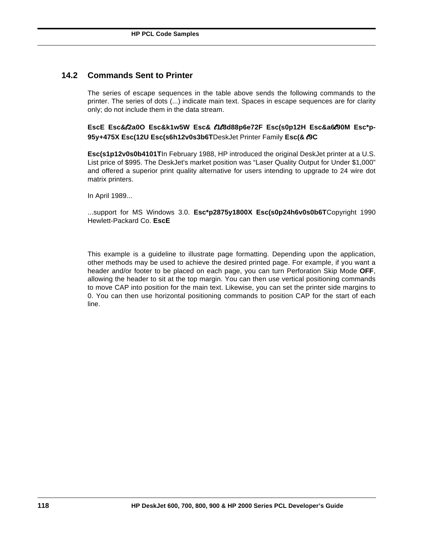## **14.2 Commands Sent to Printer**

The series of escape sequences in the table above sends the following commands to the printer. The series of dots (...) indicate main text. Spaces in escape sequences are for clarity only; do not include them in the data stream.

**EscE Esc&**l**2a0O Esc&k1w5W Esc&** l**1**l**8d88p6e72F Esc(s0p12H Esc&a6**l**90M Esc\*p-95y+475X Esc(12U Esc(s6h12v0s3b6T**DeskJet Printer Family **Esc(&** l**9C**

**Esc(s1p12v0s0b4101T**In February 1988, HP introduced the original DeskJet printer at a U.S. List price of \$995. The DeskJet's market position was "Laser Quality Output for Under \$1,000" and offered a superior print quality alternative for users intending to upgrade to 24 wire dot matrix printers.

In April 1989...

...support for MS Windows 3.0. **Esc\*p2875y1800X Esc(s0p24h6v0s0b6T**Copyright 1990 Hewlett-Packard Co. **EscE**

This example is a guideline to illustrate page formatting. Depending upon the application, other methods may be used to achieve the desired printed page. For example, if you want a header and/or footer to be placed on each page, you can turn Perforation Skip Mode **OFF**, allowing the header to sit at the top margin. You can then use vertical positioning commands to move CAP into position for the main text. Likewise, you can set the printer side margins to 0. You can then use horizontal positioning commands to position CAP for the start of each line.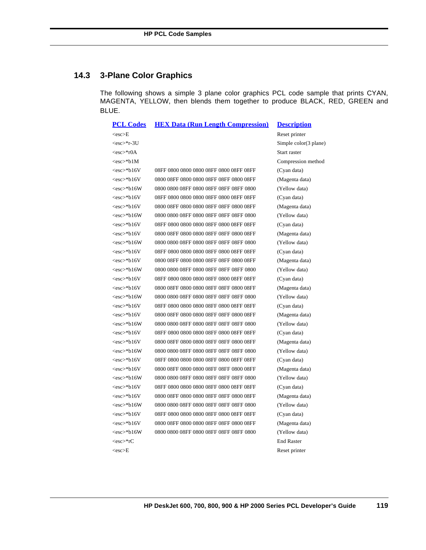# **14.3 3-Plane Color Graphics**

The following shows a simple 3 plane color graphics PCL code sample that prints CYAN, MAGENTA, YELLOW, then blends them together to produce BLACK, RED, GREEN and BLUE.

| <b>PCL Codes</b>  | <b>HEX Data (Run Length Compression)</b> | <b>Description</b>    |
|-------------------|------------------------------------------|-----------------------|
| $<$ esc $>$ E     |                                          | Reset printer         |
| <esc>*r-3U</esc>  |                                          | Simple color(3 plane) |
| $<$ esc $>$ *r0A  |                                          | Start raster          |
| $<$ esc $>$ *b1M  |                                          | Compression method    |
| <esc>*b16V</esc>  |                                          | (Cyan data)           |
| <esc>*b16V</esc>  | 0800 08FF 0800 0800 08FF 08FF 0800 08FF  | (Magenta data)        |
| $<$ esc>*b16W     | 0800 0800 08FF 0800 08FF 08FF 08FF 0800  | (Yellow data)         |
| <esc>*b16V</esc>  |                                          | (Cyan data)           |
| $<$ esc $>$ *b16V | 0800 08FF 0800 0800 08FF 08FF 0800 08FF  | (Magenta data)        |
| <esc>*b16W</esc>  | 0800 0800 08FF 0800 08FF 08FF 08FF 0800  | (Yellow data)         |
| $<$ esc $>$ *b16V |                                          | (Cyan data)           |
| $<$ esc $>$ *b16V | 0800 08FF 0800 0800 08FF 08FF 0800 08FF  | (Magenta data)        |
| $<$ esc $>$ *b16W | 0800 0800 08FF 0800 08FF 08FF 08FF 0800  | (Yellow data)         |
| <esc>*b16V</esc>  |                                          | (Cyan data)           |
| <esc>*b16V</esc>  | 0800 08FF 0800 0800 08FF 08FF 0800 08FF  | (Magenta data)        |
| $<$ esc>*b16W     | 0800 0800 08FF 0800 08FF 08FF 08FF 0800  | (Yellow data)         |
| <esc>*b16V</esc>  |                                          | (Cyan data)           |
| $<$ esc $>$ *b16V | 0800 08FF 0800 0800 08FF 08FF 0800 08FF  | (Magenta data)        |
| <esc>*b16W</esc>  | 0800 0800 08FF 0800 08FF 08FF 08FF 0800  | (Yellow data)         |
| <esc>*b16V</esc>  |                                          | (Cyan data)           |
| $<$ esc $>$ *b16V | 0800 08FF 0800 0800 08FF 08FF 0800 08FF  | (Magenta data)        |
| $<$ esc $>$ *b16W | 0800 0800 08FF 0800 08FF 08FF 08FF 0800  | (Yellow data)         |
| <esc>*b16V</esc>  |                                          | (Cyan data)           |
| <esc>*b16V</esc>  | 0800 08FF 0800 0800 08FF 08FF 0800 08FF  | (Magenta data)        |
| <esc>*b16W</esc>  | 0800 0800 08FF 0800 08FF 08FF 08FF 0800  | (Yellow data)         |
| <esc>*b16V</esc>  |                                          | (Cyan data)           |
| <esc>*b16V</esc>  | 0800 08FF 0800 0800 08FF 08FF 0800 08FF  | (Magenta data)        |
| $<$ esc>*b16W     | 0800 0800 08FF 0800 08FF 08FF 08FF 0800  | (Yellow data)         |
| $<$ esc $>$ *b16V |                                          | (Cyan data)           |
| $<$ esc $>$ *b16V | 0800 08FF 0800 0800 08FF 08FF 0800 08FF  | (Magenta data)        |
| <esc>*b16W</esc>  | 0800 0800 08FF 0800 08FF 08FF 08FF 0800  | (Yellow data)         |
| $<$ esc $>$ *b16V |                                          | (Cyan data)           |
| $<$ esc $>$ *b16V | 0800 08FF 0800 0800 08FF 08FF 0800 08FF  | (Magenta data)        |
| <esc>*b16W</esc>  | 0800 0800 08FF 0800 08FF 08FF 08FF 0800  | (Yellow data)         |
| <esc>*rC</esc>    |                                          | <b>End Raster</b>     |
| <esc>E</esc>      |                                          | Reset printer         |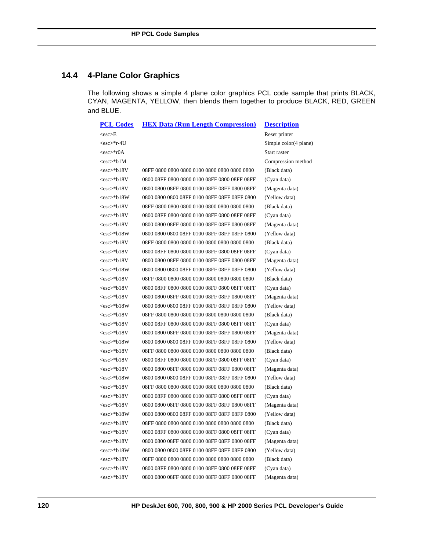# **14.4 4-Plane Color Graphics**

The following shows a simple 4 plane color graphics PCL code sample that prints BLACK, CYAN, MAGENTA, YELLOW, then blends them together to produce BLACK, RED, GREEN and BLUE.

| <b>PCL Codes</b>  | <b>HEX Data (Run Length Compression)</b>     | <b>Description</b>    |
|-------------------|----------------------------------------------|-----------------------|
| $<$ esc $> E$     |                                              | Reset printer         |
| <esc>*r-4U</esc>  |                                              | Simple color(4 plane) |
| <esc>*r0A</esc>   |                                              | Start raster          |
| $<$ esc $>$ *b1M  |                                              | Compression method    |
| $<$ esc $>$ *b18V |                                              | (Black data)          |
| $<$ esc $>$ *b18V |                                              | (Cyan data)           |
| $<$ esc $>$ *b18V | 0800 0800 08FF 0800 0100 08FF 08FF 0800 08FF | (Magenta data)        |
| <esc>*b18W</esc>  |                                              | (Yellow data)         |
| $<$ esc $>$ *b18V |                                              | (Black data)          |
| $<$ esc $>$ *b18V |                                              | (Cyan data)           |
| $<$ esc $>$ *b18V | 0800 0800 08FF 0800 0100 08FF 08FF 0800 08FF | (Magenta data)        |
| <esc>*b18W</esc>  |                                              | (Yellow data)         |
| $<$ esc $>$ *b18V |                                              | (Black data)          |
| $<$ esc $>$ *b18V |                                              | (Cyan data)           |
| <esc>*b18V</esc>  | 0800 0800 08FF 0800 0100 08FF 08FF 0800 08FF | (Magenta data)        |
| <esc>*b18W</esc>  |                                              | (Yellow data)         |
| <esc>*b18V</esc>  |                                              | (Black data)          |
| <esc>*b18V</esc>  |                                              | (Cyan data)           |
| $<$ esc $>$ *b18V | 0800 0800 08FF 0800 0100 08FF 08FF 0800 08FF | (Magenta data)        |
| <esc>*b18W</esc>  |                                              | (Yellow data)         |
| <esc>*b18V</esc>  |                                              | (Black data)          |
| <esc>*b18V</esc>  |                                              | (Cyan data)           |
| $<$ esc $>$ *b18V | 0800 0800 08FF 0800 0100 08FF 08FF 0800 08FF | (Magenta data)        |
| <esc>*b18W</esc>  |                                              | (Yellow data)         |
| <esc>*b18V</esc>  |                                              | (Black data)          |
| <esc>*b18V</esc>  |                                              | (Cyan data)           |
| <esc>*b18V</esc>  | 0800 0800 08FF 0800 0100 08FF 08FF 0800 08FF | (Magenta data)        |
| <esc>*b18W</esc>  |                                              | (Yellow data)         |
| <esc>*b18V</esc>  |                                              | (Black data)          |
| $<$ esc $>$ *b18V |                                              | (Cyan data)           |
| $<$ esc $>$ *b18V | 0800 0800 08FF 0800 0100 08FF 08FF 0800 08FF | (Magenta data)        |
| $<$ esc $>$ *b18W |                                              | (Yellow data)         |
| $<$ esc $>$ *b18V |                                              | (Black data)          |
| $<$ esc $>$ *b18V |                                              | (Cyan data)           |
| $<$ esc $>$ *b18V | 0800 0800 08FF 0800 0100 08FF 08FF 0800 08FF | (Magenta data)        |
| <esc>*b18W</esc>  |                                              | (Yellow data)         |
| $<$ esc $>$ *b18V |                                              | (Black data)          |
| <esc>*b18V</esc>  |                                              | (Cyan data)           |
| $<$ esc $>$ *b18V | 0800 0800 08FF 0800 0100 08FF 08FF 0800 08FF | (Magenta data)        |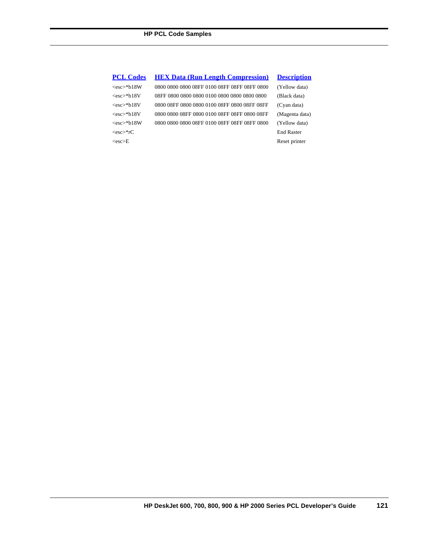#### **PCL Codes HEX Data (Run Length Compression) Description**

<esc>\*rC End Raster <esc>E Reset printer

<esc>\*b18W 0800 0800 0800 08FF 0100 08FF 08FF 08FF 0800 (Yellow data) <esc>\*b18V 08FF 0800 0800 0800 0100 0800 0800 0800 0800 (Black data) <esc>\*b18V 0800 08FF 0800 0800 0100 08FF 0800 08FF 08FF (Cyan data) <esc>\*b18V 0800 0800 08FF 0800 0100 08FF 08FF 0800 08FF (Magenta data) <esc>\*b18W 0800 0800 0800 08FF 0100 08FF 08FF 08FF 0800 (Yellow data)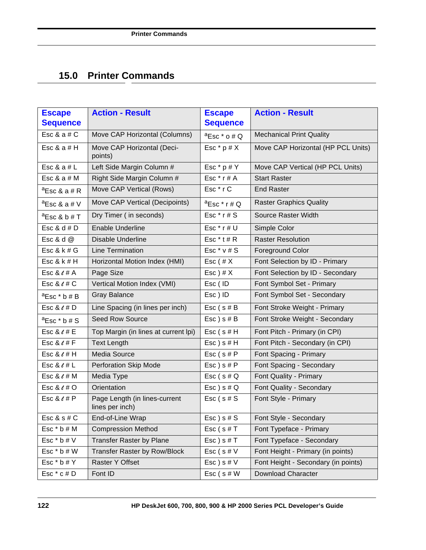# **15.0 Printer Commands**

| <b>Escape</b><br><b>Sequence</b> | <b>Action - Result</b>                           | <b>Escape</b><br><b>Sequence</b> | <b>Action - Result</b>              |
|----------------------------------|--------------------------------------------------|----------------------------------|-------------------------------------|
| Esc & $a \# C$                   | Move CAP Horizontal (Columns)                    | ${}^{\text{a}}$ Esc $*$ o # Q    | <b>Mechanical Print Quality</b>     |
| Esc & a $#$ H                    | Move CAP Horizontal (Deci-<br>points)            | Esc $*$ p # X                    | Move CAP Horizontal (HP PCL Units)  |
| Esc & $a \# L$                   | Left Side Margin Column #                        | Esc $*$ p # Y                    | Move CAP Vertical (HP PCL Units)    |
| Esc & $a \# M$                   | Right Side Margin Column #                       | Esc $*$ r # A                    | <b>Start Raster</b>                 |
| $a$ Esc & a # R                  | Move CAP Vertical (Rows)                         | Esc*rC                           | <b>End Raster</b>                   |
| $a$ Esc & a # V                  | Move CAP Vertical (Decipoints)                   | ${}^{\text{a}}$ Esc * r # Q      | <b>Raster Graphics Quality</b>      |
| $a$ Esc & b # T                  | Dry Timer (in seconds)                           | Esc $*$ r # S                    | Source Raster Width                 |
| Esc & $d \# D$                   | <b>Enable Underline</b>                          | Esc $*$ r # U                    | Simple Color                        |
| Esc & d $@$                      | <b>Disable Underline</b>                         | Esc $*$ t # R                    | <b>Raster Resolution</b>            |
| Esc & $k \# G$                   | <b>Line Termination</b>                          | Esc $*$ v # S                    | <b>Foreground Color</b>             |
| Esc 8k # H                       | Horizontal Motion Index (HMI)                    | $Esc$ (# $X$                     | Font Selection by ID - Primary      |
| Esc & $\ell$ # A                 | Page Size                                        | $Esc$ ) # $X$                    | Font Selection by ID - Secondary    |
| Esc & $\ell$ # C                 | Vertical Motion Index (VMI)                      | Esc (ID                          | Font Symbol Set - Primary           |
| $^a$ Esc $*$ b # B               | <b>Gray Balance</b>                              | Esc) ID                          | Font Symbol Set - Secondary         |
| Esc & $\ell$ # D                 | Line Spacing (in lines per inch)                 | $Esc$ (s#B                       | Font Stroke Weight - Primary        |
| ${}^{\text{a}}$ Esc $*$ b # S    | <b>Seed Row Source</b>                           | $Esc$ ) s # B                    | Font Stroke Weight - Secondary      |
| Esc & $\ell$ # E                 | Top Margin (in lines at current lpi)             | $Esc$ (s#H                       | Font Pitch - Primary (in CPI)       |
| Esc & $\ell$ # F                 | <b>Text Length</b>                               | $Esc$ ) s # H                    | Font Pitch - Secondary (in CPI)     |
| Esc $&6t#H$                      | Media Source                                     | $Esc$ (s#P                       | Font Spacing - Primary              |
| Esc & $\ell$ # L                 | <b>Perforation Skip Mode</b>                     | $Esc$ ) s # $P$                  | Font Spacing - Secondary            |
| Esc & $\ell$ # M                 | Media Type                                       | $Esc$ (s# $Q$                    | Font Quality - Primary              |
| Esc & $\ell$ # O                 | Orientation                                      | $Esc$ ) s # $Q$                  | Font Quality - Secondary            |
| Esc & $\ell$ # P                 | Page Length (in lines-current<br>lines per inch) | $Esc$ (s#S)                      | Font Style - Primary                |
| Esc & $s \# C$                   | End-of-Line Wrap                                 | $Esc$ ) s # $S$                  | Font Style - Secondary              |
| Esc $*$ b $#$ M                  | <b>Compression Method</b>                        | $Esc$ (s#T                       | Font Typeface - Primary             |
| Esc $*$ b $#V$                   | Transfer Raster by Plane                         | $Esc$ ) s # T                    | Font Typeface - Secondary           |
| Esc $*$ b $#$ W                  | Transfer Raster by Row/Block                     | Esc $(s \# V)$                   | Font Height - Primary (in points)   |
| Esc $*$ b $#$ Y                  | Raster Y Offset                                  | $Esc$ ) s # $V$                  | Font Height - Secondary (in points) |
| Esc $*$ c # D                    | Font ID                                          | $Esc$ (s#W                       | <b>Download Character</b>           |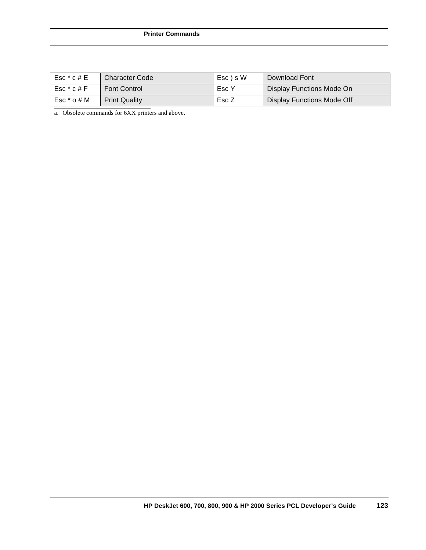#### **Printer Commands**

| $Esc * c # E$ | Character Code       | Esc ) s W | Download Font              |
|---------------|----------------------|-----------|----------------------------|
| $Esc * c # F$ | Font Control         | Esc Y     | Display Functions Mode On  |
| Esc * o # M   | <b>Print Quality</b> | Esc Z     | Display Functions Mode Off |

a. Obsolete commands for 6XX printers and above.